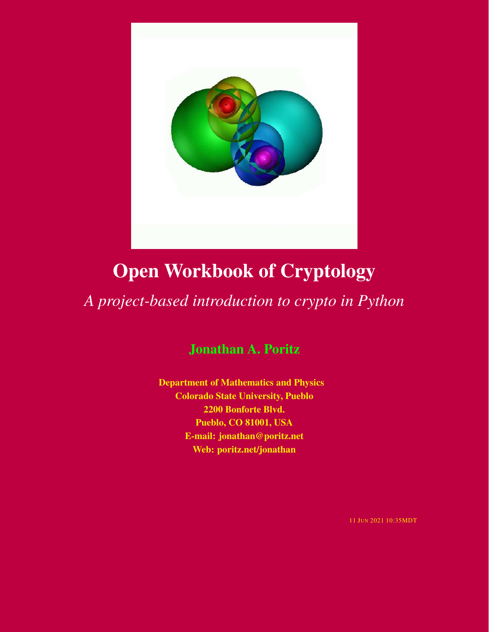

# Open Workbook of Cryptology

# *A project-based introduction to crypto in Python*

# Jonathan A. Poritz

Department of Mathematics and Physics Colorado State University, Pueblo 2200 Bonforte Blvd. Pueblo, CO 81001, USA E-mail: jonathan@poritz.net Web: poritz.net/jonathan

11 JUN 2021 10:35MDT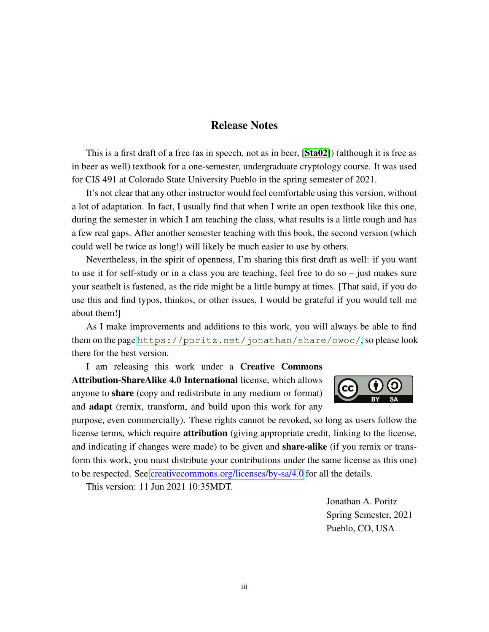## Release Notes

<span id="page-2-0"></span>This is a first draft of a free (as in speech, not as in beer, [[Sta02](#page-86-0)]) (although it is free as in beer as well) textbook for a one-semester, undergraduate cryptology course. It was used for CIS 491 at Colorado State University Pueblo in the spring semester of 2021.

It's not clear that any other instructor would feel comfortable using this version, without a lot of adaptation. In fact, I usually find that when I write an open textbook like this one, during the semester in which I am teaching the class, what results is a little rough and has a few real gaps. After another semester teaching with this book, the second version (which could well be twice as long!) will likely be much easier to use by others.

Nevertheless, in the spirit of openness, I'm sharing this first draft as well: if you want to use it for self-study or in a class you are teaching, feel free to do so – just makes sure your seatbelt is fastened, as the ride might be a little bumpy at times. [That said, if you do use this and find typos, thinkos, or other issues, I would be grateful if you would tell me about them!]

As I make improvements and additions to this work, you will always be able to find them on the page <https://poritz.net/jonathan/share/owoc/>, so please look there for the best version.

I am releasing this work under a Creative Commons Attribution-ShareAlike 4.0 International license, which allows anyone to share (copy and redistribute in any medium or format) and **adapt** (remix, transform, and build upon this work for any



purpose, even commercially). These rights cannot be revoked, so long as users follow the license terms, which require **attribution** (giving appropriate credit, linking to the license, and indicating if changes were made) to be given and **share-alike** (if you remix or transform this work, you must distribute your contributions under the same license as this one) to be respected. See [creativecommons.org/licenses/by-sa/4.0](https://creativecommons.org/licenses/by-sa/4.0) for all the details.

This version: 11 Jun 2021 10:35MDT.

Jonathan A. Poritz Spring Semester, 2021 Pueblo, CO, USA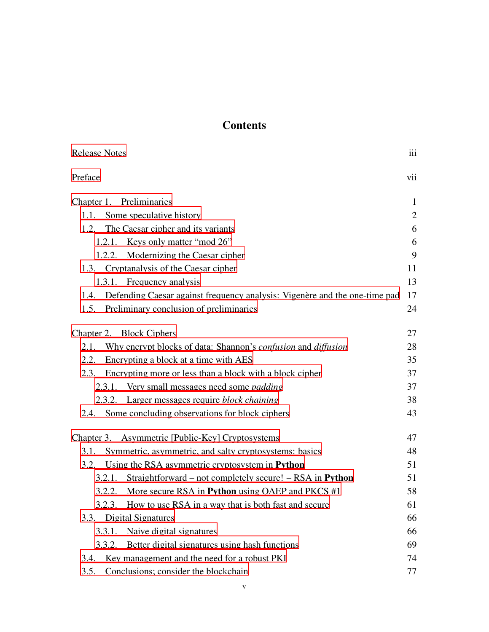## **Contents**

| <b>Release Notes</b>                                                            | iii            |
|---------------------------------------------------------------------------------|----------------|
| Preface                                                                         | vii            |
| Chapter 1. Preliminaries                                                        | $\mathbf{1}$   |
| 1.1. Some speculative history                                                   | $\overline{2}$ |
| 1.2. The Caesar cipher and its variants                                         | 6              |
| 1.2.1. Keys only matter "mod 26"                                                | 6              |
| 1.2.2. Modernizing the Caesar cipher                                            | 9              |
| 1.3. Cryptanalysis of the Caesar cipher                                         | 11             |
| 1.3.1. Frequency analysis                                                       | 13             |
| 1.4. Defending Caesar against frequency analysis: Vigenère and the one-time pad | 17             |
| 1.5. Preliminary conclusion of preliminaries                                    | 24             |
| Chapter 2. Block Ciphers                                                        | 27             |
| 2.1. Why encrypt blocks of data: Shannon's confusion and diffusion              | 28             |
| 2.2. Encrypting a block at a time with AES                                      | 35             |
| 2.3. Encrypting more or less than a block with a block cipher                   | 37             |
| 2.3.1. Very small messages need some <i>padding</i>                             | 37             |
| 2.3.2. Larger messages require block chaining                                   | 38             |
| 2.4. Some concluding observations for block ciphers                             | 43             |
| Chapter 3. Asymmetric [Public-Key] Cryptosystems                                | 47             |
| Symmetric, asymmetric, and salty cryptosystems: basics<br>3.1.                  | 48             |
| 3.2. Using the RSA asymmetric cryptosystem in Python                            | 51             |
| 3.2.1. Straightforward – not completely secure! – RSA in Python                 | 51             |
| More secure RSA in Python using OAEP and PKCS #1<br>3.2.2.                      | 58             |
| How to use RSA in a way that is both fast and secure<br>3.2.3.                  | 61             |
| Digital Signatures<br>3.3.                                                      | 66             |
| Naive digital signatures<br>3.3.1.                                              | 66             |
| Better digital signatures using hash functions<br>3.3.2.                        | 69             |
| Key management and the need for a robust PKI<br>3.4.                            | 74             |
| Conclusions; consider the blockchain<br>3.5.                                    | 77             |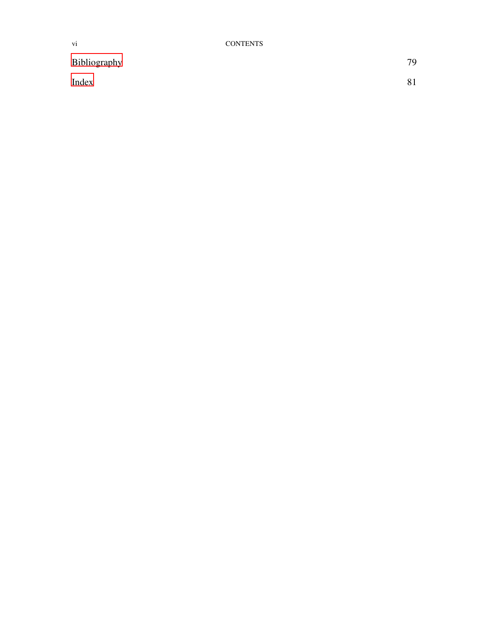## [Bibliography](#page-86-1) 79

[Index](#page-88-0) 81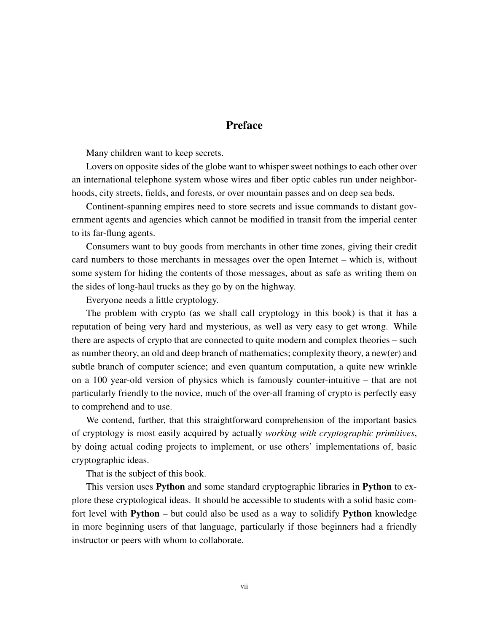## **Preface**

<span id="page-6-0"></span>Many children want to keep secrets.

Lovers on opposite sides of the globe want to whisper sweet nothings to each other over an international telephone system whose wires and fiber optic cables run under neighborhoods, city streets, fields, and forests, or over mountain passes and on deep sea beds.

Continent-spanning empires need to store secrets and issue commands to distant government agents and agencies which cannot be modified in transit from the imperial center to its far-flung agents.

Consumers want to buy goods from merchants in other time zones, giving their credit card numbers to those merchants in messages over the open Internet – which is, without some system for hiding the contents of those messages, about as safe as writing them on the sides of long-haul trucks as they go by on the highway.

Everyone needs a little cryptology.

The problem with crypto (as we shall call cryptology in this book) is that it has a reputation of being very hard and mysterious, as well as very easy to get wrong. While there are aspects of crypto that are connected to quite modern and complex theories – such as number theory, an old and deep branch of mathematics; complexity theory, a new(er) and subtle branch of computer science; and even quantum computation, a quite new wrinkle on a 100 year-old version of physics which is famously counter-intuitive – that are not particularly friendly to the novice, much of the over-all framing of crypto is perfectly easy to comprehend and to use.

We contend, further, that this straightforward comprehension of the important basics of cryptology is most easily acquired by actually *working with cryptographic primitives*, by doing actual coding projects to implement, or use others' implementations of, basic cryptographic ideas.

That is the subject of this book.

This version uses Python and some standard cryptographic libraries in Python to explore these cryptological ideas. It should be accessible to students with a solid basic comfort level with **Python** – but could also be used as a way to solidify **Python** knowledge in more beginning users of that language, particularly if those beginners had a friendly instructor or peers with whom to collaborate.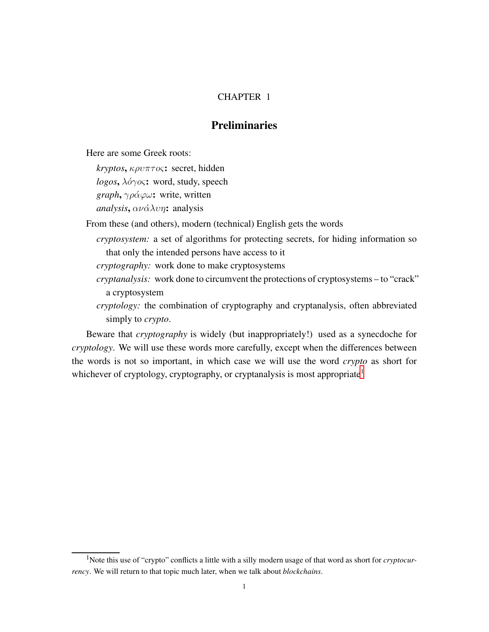## CHAPTER 1

## Preliminaries

<span id="page-8-0"></span>Here are some Greek roots:

*kryptos*, κρυπτoς: secret, hidden *logos*,  $\lambda$ *ό*γ*o*ς: word, study, speech *graph, γράφω*: write, written  $analysis$ ,  $\alpha\nu\acute{\alpha}\lambda\nu\eta$ : analysis

From these (and others), modern (technical) English gets the words

- *cryptosystem:* a set of algorithms for protecting secrets, for hiding information so that only the intended persons have access to it
- *cryptography:* work done to make cryptosystems
- *cryptanalysis:* work done to circumvent the protections of cryptosystems to "crack" a cryptosystem
- *cryptology:* the combination of cryptography and cryptanalysis, often abbreviated simply to *crypto*.

Beware that *cryptography* is widely (but inappropriately!) used as a synecdoche for *cryptology*. We will use these words more carefully, except when the differences between the words is not so important, in which case we will use the word *crypto* as short for whichever of cryptology, cryptography, or cryptanalysis is most appropriate<sup>[1](#page-8-1)</sup>

<span id="page-8-1"></span><sup>&</sup>lt;sup>1</sup>Note this use of "crypto" conflicts a little with a silly modern usage of that word as short for *cryptocurrency*. We will return to that topic much later, when we talk about *blockchains*.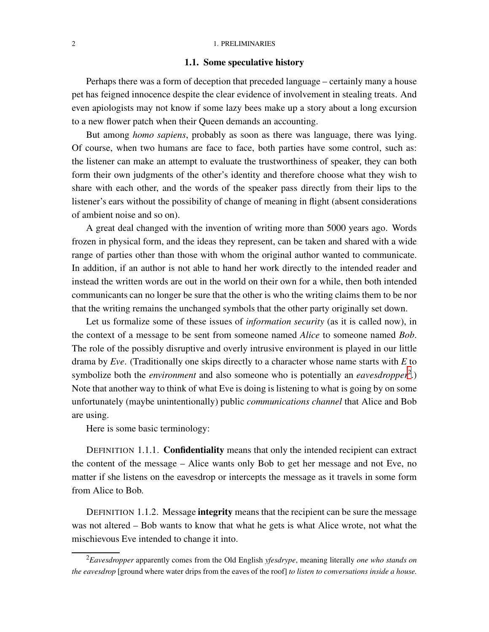#### <span id="page-9-0"></span>2 1. PRELIMINARIES

#### 1.1. Some speculative history

Perhaps there was a form of deception that preceded language – certainly many a house pet has feigned innocence despite the clear evidence of involvement in stealing treats. And even apiologists may not know if some lazy bees make up a story about a long excursion to a new flower patch when their Queen demands an accounting.

But among *homo sapiens*, probably as soon as there was language, there was lying. Of course, when two humans are face to face, both parties have some control, such as: the listener can make an attempt to evaluate the trustworthiness of speaker, they can both form their own judgments of the other's identity and therefore choose what they wish to share with each other, and the words of the speaker pass directly from their lips to the listener's ears without the possibility of change of meaning in flight (absent considerations of ambient noise and so on).

A great deal changed with the invention of writing more than 5000 years ago. Words frozen in physical form, and the ideas they represent, can be taken and shared with a wide range of parties other than those with whom the original author wanted to communicate. In addition, if an author is not able to hand her work directly to the intended reader and instead the written words are out in the world on their own for a while, then both intended communicants can no longer be sure that the other is who the writing claims them to be nor that the writing remains the unchanged symbols that the other party originally set down.

Let us formalize some of these issues of *information security* (as it is called now), in the context of a message to be sent from someone named *Alice* to someone named *Bob*. The role of the possibly disruptive and overly intrusive environment is played in our little drama by *Eve*. (Traditionally one skips directly to a character whose name starts with *E* to symbolize both the *environment* and also someone who is potentially an *eavesdropper*<sup>[2](#page-9-1)</sup>.) Note that another way to think of what Eve is doing is listening to what is going by on some unfortunately (maybe unintentionally) public *communications channel* that Alice and Bob are using.

Here is some basic terminology:

DEFINITION 1.1.1. Confidentiality means that only the intended recipient can extract the content of the message – Alice wants only Bob to get her message and not Eve, no matter if she listens on the eavesdrop or intercepts the message as it travels in some form from Alice to Bob.

DEFINITION 1.1.2. Message integrity means that the recipient can be sure the message was not altered – Bob wants to know that what he gets is what Alice wrote, not what the mischievous Eve intended to change it into.

<span id="page-9-1"></span><sup>2</sup>*Eavesdropper* apparently comes from the Old English *yfesdrype*, meaning literally *one who stands on the eavesdrop* [ground where water drips from the eaves of the roof] *to listen to conversations inside a house.*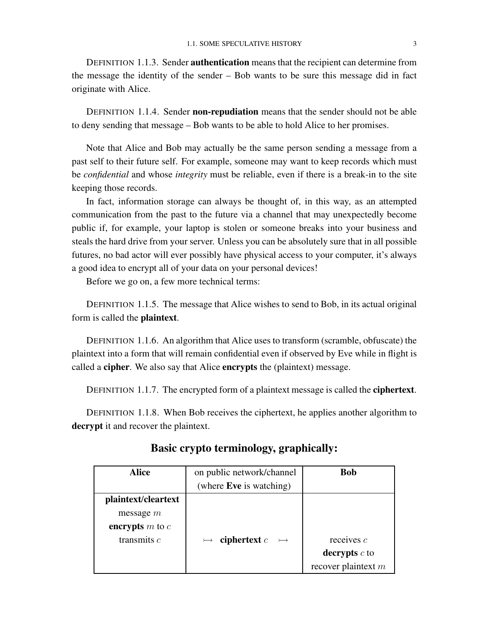DEFINITION 1.1.3. Sender authentication means that the recipient can determine from the message the identity of the sender – Bob wants to be sure this message did in fact originate with Alice.

DEFINITION 1.1.4. Sender **non-repudiation** means that the sender should not be able to deny sending that message – Bob wants to be able to hold Alice to her promises.

Note that Alice and Bob may actually be the same person sending a message from a past self to their future self. For example, someone may want to keep records which must be *confidential* and whose *integrity* must be reliable, even if there is a break-in to the site keeping those records.

In fact, information storage can always be thought of, in this way, as an attempted communication from the past to the future via a channel that may unexpectedly become public if, for example, your laptop is stolen or someone breaks into your business and steals the hard drive from your server. Unless you can be absolutely sure that in all possible futures, no bad actor will ever possibly have physical access to your computer, it's always a good idea to encrypt all of your data on your personal devices!

Before we go on, a few more technical terms:

DEFINITION 1.1.5. The message that Alice wishes to send to Bob, in its actual original form is called the plaintext.

DEFINITION 1.1.6. An algorithm that Alice uses to transform (scramble, obfuscate) the plaintext into a form that will remain confidential even if observed by Eve while in flight is called a cipher. We also say that Alice encrypts the (plaintext) message.

DEFINITION 1.1.7. The encrypted form of a plaintext message is called the **ciphertext**.

DEFINITION 1.1.8. When Bob receives the ciphertext, he applies another algorithm to decrypt it and recover the plaintext.

| <b>Alice</b>        | on public network/channel       | <b>Bob</b>            |
|---------------------|---------------------------------|-----------------------|
|                     | (where <b>Eve</b> is watching)  |                       |
| plaintext/cleartext |                                 |                       |
| message $m$         |                                 |                       |
| encrypts $m$ to $c$ |                                 |                       |
| transmits $c$       | ciphertext $c$<br>$\rightarrow$ | receives $c$          |
|                     |                                 | decrypts $c$ to       |
|                     |                                 | recover plaintext $m$ |

## Basic crypto terminology, graphically: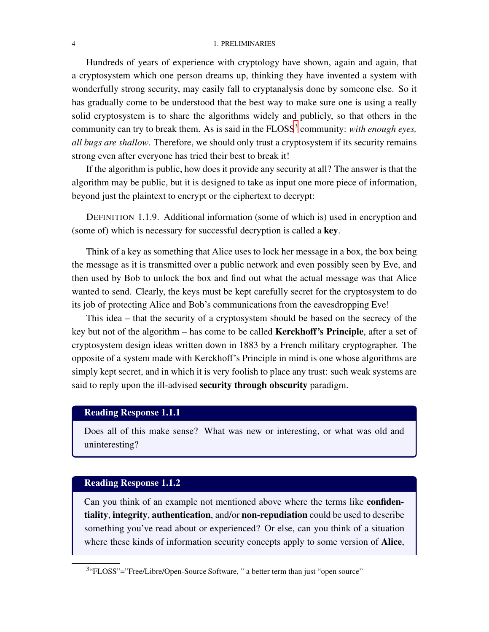#### 4 1. PRELIMINARIES

Hundreds of years of experience with cryptology have shown, again and again, that a cryptosystem which one person dreams up, thinking they have invented a system with wonderfully strong security, may easily fall to cryptanalysis done by someone else. So it has gradually come to be understood that the best way to make sure one is using a really solid cryptosystem is to share the algorithms widely and publicly, so that others in the community can try to break them. As is said in the FLOSS<sup>[3](#page-11-0)</sup> community: *with enough eyes*, *all bugs are shallow*. Therefore, we should only trust a cryptosystem if its security remains strong even after everyone has tried their best to break it!

If the algorithm is public, how does it provide any security at all? The answer is that the algorithm may be public, but it is designed to take as input one more piece of information, beyond just the plaintext to encrypt or the ciphertext to decrypt:

DEFINITION 1.1.9. Additional information (some of which is) used in encryption and (some of) which is necessary for successful decryption is called a key.

Think of a key as something that Alice uses to lock her message in a box, the box being the message as it is transmitted over a public network and even possibly seen by Eve, and then used by Bob to unlock the box and find out what the actual message was that Alice wanted to send. Clearly, the keys must be kept carefully secret for the cryptosystem to do its job of protecting Alice and Bob's communications from the eavesdropping Eve!

This idea – that the security of a cryptosystem should be based on the secrecy of the key but not of the algorithm – has come to be called Kerckhoff's Principle, after a set of cryptosystem design ideas written down in 1883 by a French military cryptographer. The opposite of a system made with Kerckhoff's Principle in mind is one whose algorithms are simply kept secret, and in which it is very foolish to place any trust: such weak systems are said to reply upon the ill-advised security through obscurity paradigm.

#### Reading Response 1.1.1

Does all of this make sense? What was new or interesting, or what was old and uninteresting?

## Reading Response 1.1.2

Can you think of an example not mentioned above where the terms like confidentiality, integrity, authentication, and/or non-repudiation could be used to describe something you've read about or experienced? Or else, can you think of a situation where these kinds of information security concepts apply to some version of Alice,

<span id="page-11-0"></span><sup>&</sup>lt;sup>3</sup>"FLOSS"="Free/Libre/Open-Source Software, " a better term than just "open source"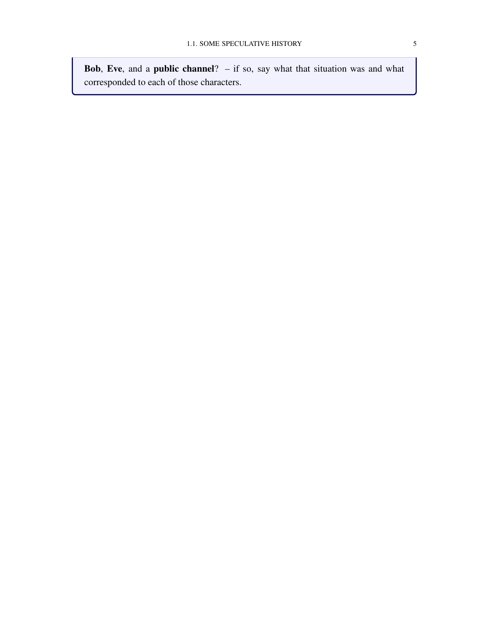**Bob, Eve, and a public channel?**  $-$  if so, say what that situation was and what corresponded to each of those characters.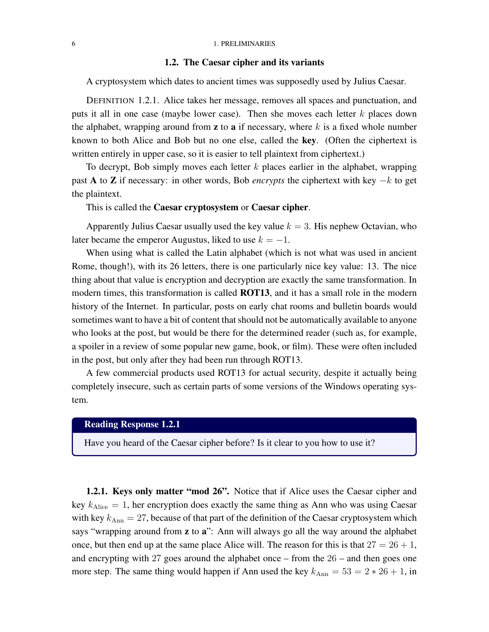#### <span id="page-13-0"></span>6 1. PRELIMINARIES

#### 1.2. The Caesar cipher and its variants

A cryptosystem which dates to ancient times was supposedly used by Julius Caesar.

DEFINITION 1.2.1. Alice takes her message, removes all spaces and punctuation, and puts it all in one case (maybe lower case). Then she moves each letter  $k$  places down the alphabet, wrapping around from  $z$  to  $a$  if necessary, where  $k$  is a fixed whole number known to both Alice and Bob but no one else, called the key. (Often the ciphertext is written entirely in upper case, so it is easier to tell plaintext from ciphertext.)

To decrypt, Bob simply moves each letter  $k$  places earlier in the alphabet, wrapping past A to Z if necessary: in other words, Bob *encrypts* the ciphertext with key −k to get the plaintext.

This is called the Caesar cryptosystem or Caesar cipher.

Apparently Julius Caesar usually used the key value  $k = 3$ . His nephew Octavian, who later became the emperor Augustus, liked to use  $k = -1$ .

When using what is called the Latin alphabet (which is not what was used in ancient Rome, though!), with its 26 letters, there is one particularly nice key value: 13. The nice thing about that value is encryption and decryption are exactly the same transformation. In modern times, this transformation is called **ROT13**, and it has a small role in the modern history of the Internet. In particular, posts on early chat rooms and bulletin boards would sometimes want to have a bit of content that should not be automatically available to anyone who looks at the post, but would be there for the determined reader (such as, for example, a spoiler in a review of some popular new game, book, or film). These were often included in the post, but only after they had been run through ROT13.

A few commercial products used ROT13 for actual security, despite it actually being completely insecure, such as certain parts of some versions of the Windows operating system.

## Reading Response 1.2.1

Have you heard of the Caesar cipher before? Is it clear to you how to use it?

<span id="page-13-1"></span>1.2.1. Keys only matter "mod 26". Notice that if Alice uses the Caesar cipher and key  $k_{\text{Alice}} = 1$ , her encryption does exactly the same thing as Ann who was using Caesar with key  $k_{\text{Ann}} = 27$ , because of that part of the definition of the Caesar cryptosystem which says "wrapping around from z to a": Ann will always go all the way around the alphabet once, but then end up at the same place Alice will. The reason for this is that  $27 = 26 + 1$ , and encrypting with 27 goes around the alphabet once – from the 26 – and then goes one more step. The same thing would happen if Ann used the key  $k_{\text{Ann}} = 53 = 2 \times 26 + 1$ , in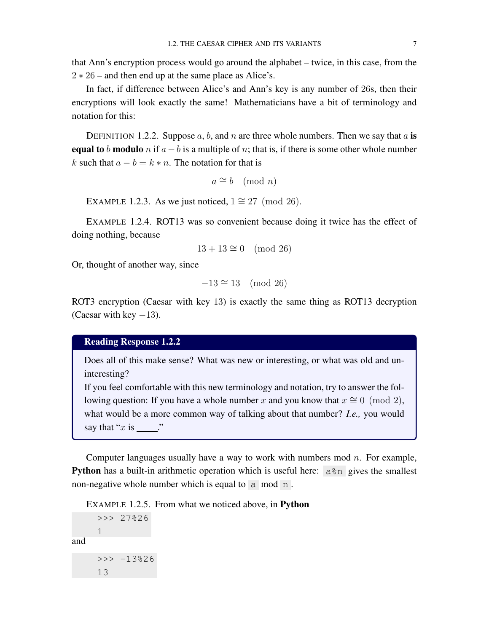that Ann's encryption process would go around the alphabet – twice, in this case, from the  $2 \times 26$  – and then end up at the same place as Alice's.

In fact, if difference between Alice's and Ann's key is any number of 26s, then their encryptions will look exactly the same! Mathematicians have a bit of terminology and notation for this:

DEFINITION 1.2.2. Suppose a, b, and n are three whole numbers. Then we say that a is equal to b modulo n if  $a-b$  is a multiple of n; that is, if there is some other whole number k such that  $a - b = k * n$ . The notation for that is

```
a \cong b \pmod{n}
```
EXAMPLE 1.2.3. As we just noticed,  $1 \approx 27 \pmod{26}$ .

EXAMPLE 1.2.4. ROT13 was so convenient because doing it twice has the effect of doing nothing, because

$$
13 + 13 \cong 0 \pmod{26}
$$

Or, thought of another way, since

$$
-13 \cong 13 \pmod{26}
$$

ROT3 encryption (Caesar with key 13) is exactly the same thing as ROT13 decryption (Caesar with key  $-13$ ).

## Reading Response 1.2.2

Does all of this make sense? What was new or interesting, or what was old and uninteresting?

If you feel comfortable with this new terminology and notation, try to answer the following question: If you have a whole number x and you know that  $x \approx 0 \pmod{2}$ , what would be a more common way of talking about that number? *I.e.,* you would say that " $x$  is  $\qquad$  "

Computer languages usually have a way to work with numbers mod  $n$ . For example, **Python** has a built-in arithmetic operation which is useful here:  $a * n$  gives the smallest non-negative whole number which is equal to  $\alpha$  mod n.

EXAMPLE 1.2.5. From what we noticed above, in Python

```
>>> 27%26
    1
and
    >>  -13%2613
```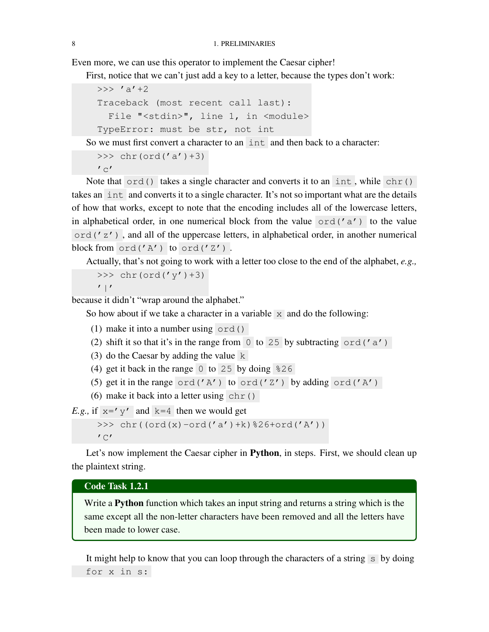Even more, we can use this operator to implement the Caesar cipher!

First, notice that we can't just add a key to a letter, because the types don't work:

```
>>> ' a' +2Traceback (most recent call last):
  File "<stdin>", line 1, in <module>
TypeError: must be str, not int
```
So we must first convert a character to an int and then back to a character:

```
>>> chr(ord('a') + 3)\mathcal{C}
```
Note that  $\text{ord}(\mathfrak{c})$  takes a single character and converts it to an int, while chr() takes an int and converts it to a single character. It's not so important what are the details of how that works, except to note that the encoding includes all of the lowercase letters, in alphabetical order, in one numerical block from the value  $\sigma$ rd('a') to the value ord('z') , and all of the uppercase letters, in alphabetical order, in another numerical block from ord('A') to ord('Z') .

Actually, that's not going to work with a letter too close to the end of the alphabet, *e.g.,*

```
>>> chr(ord('y') + 3)
```
 $'$ |'

because it didn't "wrap around the alphabet."

So how about if we take a character in a variable  $\bar{x}$  and do the following:

- (1) make it into a number using ord()
- (2) shift it so that it's in the range from  $\overline{0}$  to 25 by subtracting ord ('a')
- (3) do the Caesar by adding the value  $k$
- (4) get it back in the range  $\overline{0}$  to 25 by doing  $\overline{25}$
- (5) get it in the range ord( $'A'$ ) to ord( $'Z'$ ) by adding ord( $'A'$ )
- (6) make it back into a letter using  $chr()$

*E.g.,* if  $x = y'$  and  $k=4$  then we would get

>>>  $chr((ord(x)-ord('a')+k)*26+ord('A'))$  $'$  C $'$ 

Let's now implement the Caesar cipher in Python, in steps. First, we should clean up the plaintext string.

#### Code Task 1.2.1

Write a Python function which takes an input string and returns a string which is the same except all the non-letter characters have been removed and all the letters have been made to lower case.

It might help to know that you can loop through the characters of a string  $\overline{s}$  by doing for x in s: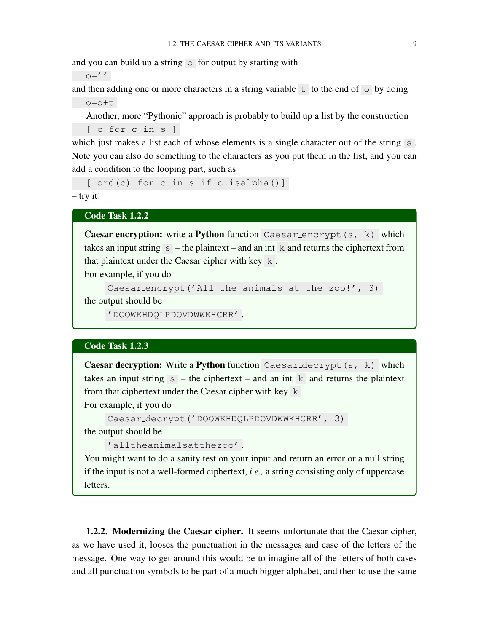and you can build up a string  $\circ$  for output by starting with

 $O=$ ''

and then adding one or more characters in a string variable  $\pm$  to the end of  $\circ$  by doing o=o+t

Another, more "Pythonic" approach is probably to build up a list by the construction [ c for c in s ]

which just makes a list each of whose elements is a single character out of the string  $\vert s \vert$ . Note you can also do something to the characters as you put them in the list, and you can add a condition to the looping part, such as

[ ord(c) for c in s if c.isalpha()]

– try it!

Code Task 1.2.2

Caesar encryption: write a Python function Caesar encrypt (s, k) which takes an input string  $\overline{s}$  – the plaintext – and an int k and returns the ciphertext from that plaintext under the Caesar cipher with key k .

For example, if you do

```
Caesar encrypt('All the animals at the zoo!', 3)
```
the output should be

'DOOWKHDQLPDOVDWWKHCRR' .

#### Code Task 1.2.3

Caesar decryption: Write a Python function Caesar decrypt (s, k) which takes an input string  $s$  – the ciphertext – and an int k and returns the plaintext from that ciphertext under the Caesar cipher with key k .

For example, if you do

```
Caesar decrypt('DOOWKHDQLPDOVDWWKHCRR', 3)
the output should be
```

```
'alltheanimalsatthezoo' .
```
You might want to do a sanity test on your input and return an error or a null string if the input is not a well-formed ciphertext, *i.e.,* a string consisting only of uppercase letters.

<span id="page-16-0"></span>1.2.2. Modernizing the Caesar cipher. It seems unfortunate that the Caesar cipher, as we have used it, looses the punctuation in the messages and case of the letters of the message. One way to get around this would be to imagine all of the letters of both cases and all punctuation symbols to be part of a much bigger alphabet, and then to use the same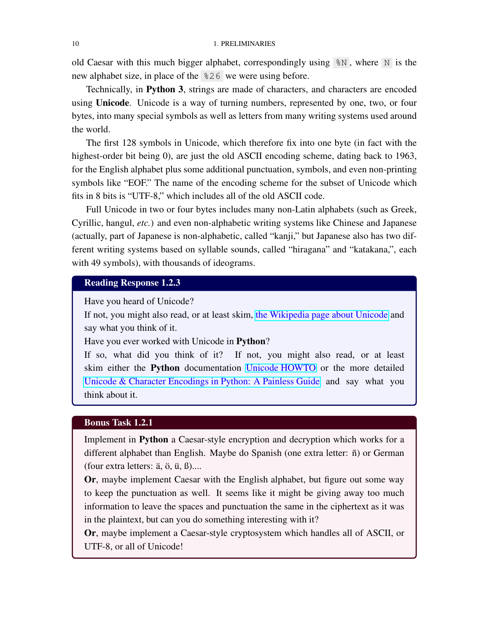old Caesar with this much bigger alphabet, correspondingly using  $\mathcal{N}$ , where N is the new alphabet size, in place of the %26 we were using before.

Technically, in Python 3, strings are made of characters, and characters are encoded using **Unicode**. Unicode is a way of turning numbers, represented by one, two, or four bytes, into many special symbols as well as letters from many writing systems used around the world.

The first 128 symbols in Unicode, which therefore fix into one byte (in fact with the highest-order bit being 0), are just the old ASCII encoding scheme, dating back to 1963, for the English alphabet plus some additional punctuation, symbols, and even non-printing symbols like "EOF." The name of the encoding scheme for the subset of Unicode which fits in 8 bits is "UTF-8," which includes all of the old ASCII code.

Full Unicode in two or four bytes includes many non-Latin alphabets (such as Greek, Cyrillic, hangul, *etc.*) and even non-alphabetic writing systems like Chinese and Japanese (actually, part of Japanese is non-alphabetic, called "kanji," but Japanese also has two different writing systems based on syllable sounds, called "hiragana" and "katakana,", each with 49 symbols), with thousands of ideograms.

## Reading Response 1.2.3

Have you heard of Unicode?

If not, you might also read, or at least skim, [the Wikipedia page about Unicode](https://en.wikipedia.org/wiki/Unicode) and say what you think of it.

Have you ever worked with Unicode in Python?

If so, what did you think of it? If not, you might also read, or at least skim either the Python documentation [Unicode HOWTO](https://docs.python.org/3/howto/unicode.html) or the more detailed [Unicode & Character Encodings in Python: A Painless Guide](https://realpython.com/python-encodings-guide/) and say what you think about it.

#### Bonus Task 1.2.1

Implement in Python a Caesar-style encryption and decryption which works for a different alphabet than English. Maybe do Spanish (one extra letter:  $\tilde{n}$ ) or German (four extra letters:  $\ddot{a}$ ,  $\ddot{o}$ ,  $\ddot{u}$ ,  $\ddot{B}$ )....

Or, maybe implement Caesar with the English alphabet, but figure out some way to keep the punctuation as well. It seems like it might be giving away too much information to leave the spaces and punctuation the same in the ciphertext as it was in the plaintext, but can you do something interesting with it?

Or, maybe implement a Caesar-style cryptosystem which handles all of ASCII, or UTF-8, or all of Unicode!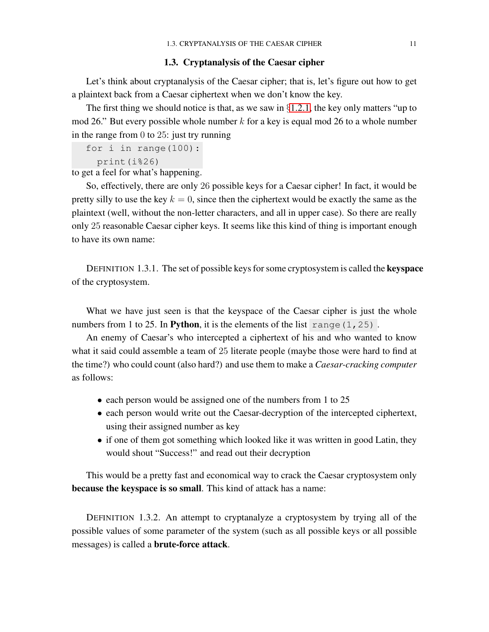#### 1.3. Cryptanalysis of the Caesar cipher

<span id="page-18-0"></span>Let's think about cryptanalysis of the Caesar cipher; that is, let's figure out how to get a plaintext back from a Caesar ciphertext when we don't know the key.

The first thing we should notice is that, as we saw in  $\S1.2.1$ , the key only matters "up to mod 26." But every possible whole number  $k$  for a key is equal mod 26 to a whole number in the range from 0 to 25: just try running

```
for i in range(100):
 print(i%26)
```
to get a feel for what's happening.

So, effectively, there are only 26 possible keys for a Caesar cipher! In fact, it would be pretty silly to use the key  $k = 0$ , since then the ciphertext would be exactly the same as the plaintext (well, without the non-letter characters, and all in upper case). So there are really only 25 reasonable Caesar cipher keys. It seems like this kind of thing is important enough to have its own name:

DEFINITION 1.3.1. The set of possible keys for some cryptosystem is called the keyspace of the cryptosystem.

What we have just seen is that the keyspace of the Caesar cipher is just the whole numbers from 1 to 25. In Python, it is the elements of the list range  $(1, 25)$ .

An enemy of Caesar's who intercepted a ciphertext of his and who wanted to know what it said could assemble a team of 25 literate people (maybe those were hard to find at the time?) who could count (also hard?) and use them to make a *Caesar-cracking computer* as follows:

- each person would be assigned one of the numbers from 1 to 25
- each person would write out the Caesar-decryption of the intercepted ciphertext, using their assigned number as key
- if one of them got something which looked like it was written in good Latin, they would shout "Success!" and read out their decryption

This would be a pretty fast and economical way to crack the Caesar cryptosystem only because the keyspace is so small. This kind of attack has a name:

DEFINITION 1.3.2. An attempt to cryptanalyze a cryptosystem by trying all of the possible values of some parameter of the system (such as all possible keys or all possible messages) is called a brute-force attack.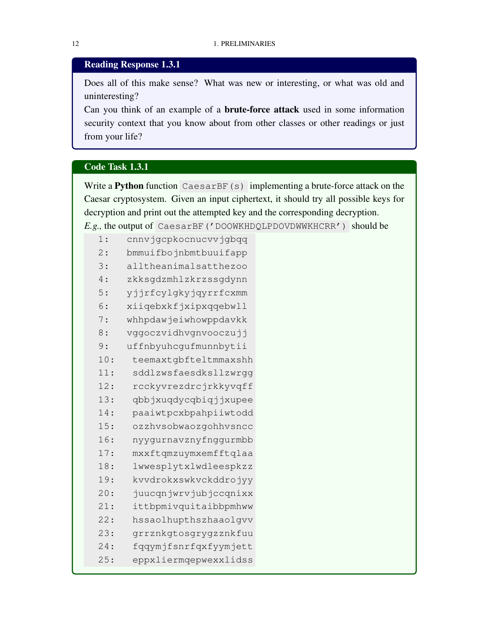## Reading Response 1.3.1

Does all of this make sense? What was new or interesting, or what was old and uninteresting?

Can you think of an example of a brute-force attack used in some information security context that you know about from other classes or other readings or just from your life?

#### Code Task 1.3.1

Write a **Python** function CaesarBF(s) implementing a brute-force attack on the Caesar cryptosystem. Given an input ciphertext, it should try all possible keys for decryption and print out the attempted key and the corresponding decryption. *E.g.,* the output of CaesarBF('DOOWKHDQLPDOVDWWKHCRR') should be

| 1:  | cnnvjgcpkocnucvvjgbqq |
|-----|-----------------------|
| 2:  | bmmuifbojnbmtbuuifapp |
| 3:  | alltheanimalsatthezoo |
| 4 : | zkksgdzmhlzkrzssgdynn |
| 5:  | yjjrfcylgkyjqyrrfcxmm |
| 6:  | xiiqebxkfjxipxqqebwll |
| 7 : | whhpdawjeiwhowppdavkk |
| 8:  | vggoczvidhvgnvooczujj |
| 9:  | uffnbyuhcgufmunnbytii |
| 10: | teemaxtgbfteltmmaxshh |
| 11: | sddlzwsfaesdksllzwrgg |
| 12: | rcckyvrezdrcjrkkyvqff |
| 13: | qbbjxuqdycqbiqjjxupee |
| 14: | paaiwtpcxbpahpiiwtodd |
| 15: | ozzhvsobwaozgohhvsncc |
| 16: | nyygurnavznyfnggurmbb |
| 17: | mxxftqmzuymxemfftqlaa |
| 18: | lwwesplytxlwdleespkzz |
| 19: | kvvdrokxswkvckddrojyy |
| 20: | juucqnjwrvjubjccqnixx |
| 21: | ittbpmivquitaibbpmhww |
| 22: | hssaolhupthszhaaolqvv |
| 23: | grrznkgtosgrygzznkfuu |
| 24: | fqqymjfsnrfqxfyymjett |
| 25: | eppxliermqepwexxlidss |
|     |                       |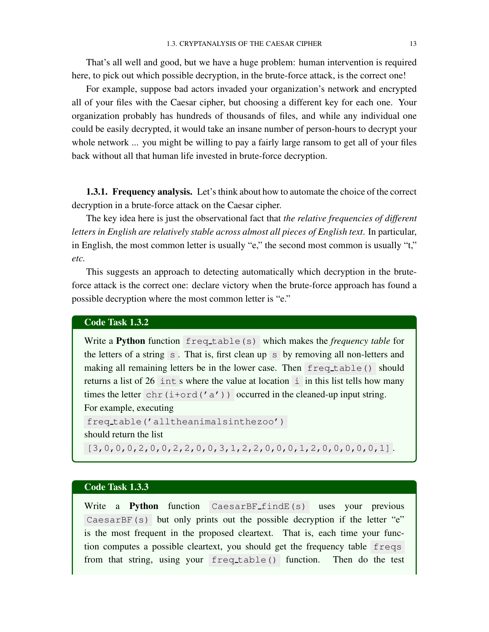That's all well and good, but we have a huge problem: human intervention is required here, to pick out which possible decryption, in the brute-force attack, is the correct one!

For example, suppose bad actors invaded your organization's network and encrypted all of your files with the Caesar cipher, but choosing a different key for each one. Your organization probably has hundreds of thousands of files, and while any individual one could be easily decrypted, it would take an insane number of person-hours to decrypt your whole network ... you might be willing to pay a fairly large ransom to get all of your files back without all that human life invested in brute-force decryption.

<span id="page-20-0"></span>1.3.1. Frequency analysis. Let's think about how to automate the choice of the correct decryption in a brute-force attack on the Caesar cipher.

The key idea here is just the observational fact that *the relative frequencies of different letters in English are relatively stable across almost all pieces of English text*. In particular, in English, the most common letter is usually "e," the second most common is usually "t," *etc.*

This suggests an approach to detecting automatically which decryption in the bruteforce attack is the correct one: declare victory when the brute-force approach has found a possible decryption where the most common letter is "e."

#### Code Task 1.3.2

Write a Python function freq\_table(s) which makes the *frequency table* for the letters of a string  $\overline{s}$ . That is, first clean up  $\overline{s}$  by removing all non-letters and making all remaining letters be in the lower case. Then freq table() should returns a list of  $26$  int s where the value at location i in this list tells how many times the letter chr(i+ord('a')) occurred in the cleaned-up input string. For example, executing freq table('alltheanimalsinthezoo') should return the list  $[3,0,0,0,2,0,0,2,2,0,0,3,1,2,2,0,0,0,1,2,0,0,0,0,0,1]$ .

#### Code Task 1.3.3

Write a **Python** function CaesarBF findE(s) uses your previous CaesarBF(s) but only prints out the possible decryption if the letter "e" is the most frequent in the proposed cleartext. That is, each time your function computes a possible cleartext, you should get the frequency table freqs from that string, using your freq table() function. Then do the test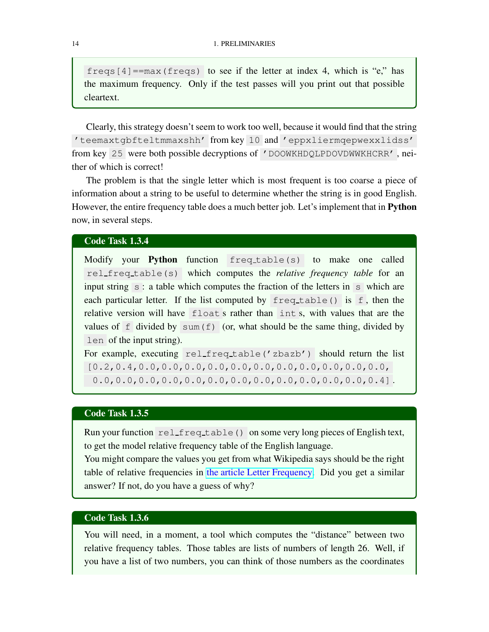freqs  $[4] = max(freqs)$  to see if the letter at index 4, which is "e," has the maximum frequency. Only if the test passes will you print out that possible cleartext.

Clearly, this strategy doesn't seem to work too well, because it would find that the string 'teemaxtgbfteltmmaxshh' from key 10 and 'eppxliermqepwexxlidss' from key 25 were both possible decryptions of 'DOOWKHDQLPDOVDWWKHCRR' , neither of which is correct!

The problem is that the single letter which is most frequent is too coarse a piece of information about a string to be useful to determine whether the string is in good English. However, the entire frequency table does a much better job. Let's implement that in **Python** now, in several steps.

#### Code Task 1.3.4

Modify your Python function freq table(s) to make one called rel freq table(s) which computes the *relative frequency table* for an input string  $\overline{s}$ : a table which computes the fraction of the letters in  $\overline{s}$  which are each particular letter. If the list computed by  $freq_table()$  is f, then the relative version will have float s rather than int s, with values that are the values of  $f$  divided by sum( $f$ ) (or, what should be the same thing, divided by len of the input string).

For example, executing rel freq table('zbazb') should return the list [0.2,0.4,0.0,0.0,0.0,0.0,0.0,0.0,0.0,0.0,0.0,0.0,0.0, 0.0,0.0,0.0,0.0,0.0,0.0,0.0,0.0,0.0,0.0,0.0,0.0,0.4] .

#### Code Task 1.3.5

Run your function rel freq table() on some very long pieces of English text, to get the model relative frequency table of the English language.

You might compare the values you get from what Wikipedia says should be the right table of relative frequencies in [the article Letter Frequency.](https://en.wikipedia.org/wiki/Letter_frequency) Did you get a similar answer? If not, do you have a guess of why?

## Code Task 1.3.6

You will need, in a moment, a tool which computes the "distance" between two relative frequency tables. Those tables are lists of numbers of length 26. Well, if you have a list of two numbers, you can think of those numbers as the coordinates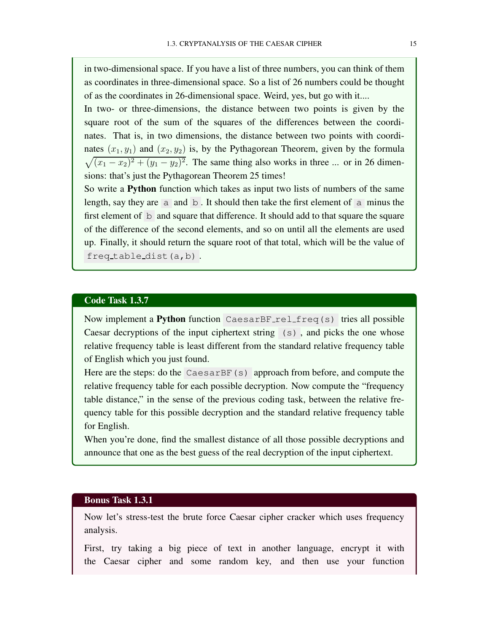in two-dimensional space. If you have a list of three numbers, you can think of them as coordinates in three-dimensional space. So a list of 26 numbers could be thought of as the coordinates in 26-dimensional space. Weird, yes, but go with it....

In two- or three-dimensions, the distance between two points is given by the square root of the sum of the squares of the differences between the coordinates. That is, in two dimensions, the distance between two points with coordinates  $(x_1, y_1)$  and  $(x_2, y_2)$  is, by the Pythagorean Theorem, given by the formula  $\sqrt{(x_1-x_2)^2+(y_1-y_2)^2}$ . The same thing also works in three ... or in 26 dimensions: that's just the Pythagorean Theorem 25 times!

So write a Python function which takes as input two lists of numbers of the same length, say they are  $\overline{a}$  and  $\overline{b}$ . It should then take the first element of  $\overline{a}$  minus the first element of  $\mathbf b$  and square that difference. It should add to that square the square of the difference of the second elements, and so on until all the elements are used up. Finally, it should return the square root of that total, which will be the value of freq table dist(a,b) .

#### Code Task 1.3.7

Now implement a Python function CaesarBF rel freq(s) tries all possible Caesar decryptions of the input ciphertext string (s) , and picks the one whose relative frequency table is least different from the standard relative frequency table of English which you just found.

Here are the steps: do the CaesarBF(s) approach from before, and compute the relative frequency table for each possible decryption. Now compute the "frequency table distance," in the sense of the previous coding task, between the relative frequency table for this possible decryption and the standard relative frequency table for English.

When you're done, find the smallest distance of all those possible decryptions and announce that one as the best guess of the real decryption of the input ciphertext.

## Bonus Task 1.3.1

Now let's stress-test the brute force Caesar cipher cracker which uses frequency analysis.

First, try taking a big piece of text in another language, encrypt it with the Caesar cipher and some random key, and then use your function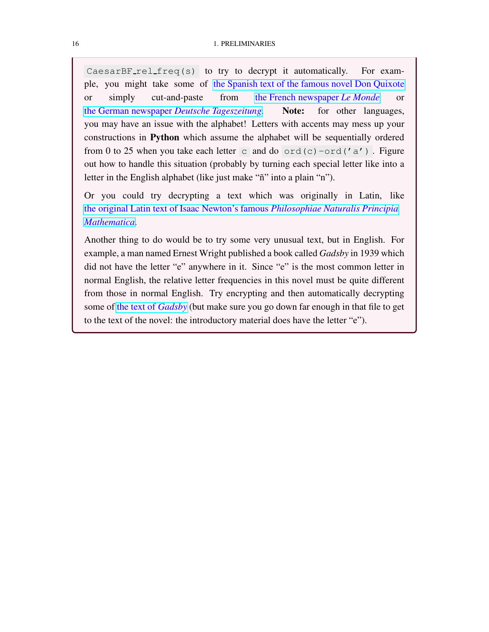CaesarBF rel freq(s) to try to decrypt it automatically. For example, you might take some of [the Spanish text of the famous novel Don Quixote](https://www.gutenberg.org/files/2000/2000-0.txt) or simply cut-and-paste from [the French newspaper](https://www.lemonde.fr/) *Le Monde* or [the German newspaper](https://www.deutschetageszeitung.de/) *Deutsche Tageszeitung*. Note: for other languages, you may have an issue with the alphabet! Letters with accents may mess up your constructions in Python which assume the alphabet will be sequentially ordered from 0 to 25 when you take each letter c and do  $\text{ord}(c)$  -ord('a'). Figure out how to handle this situation (probably by turning each special letter like into a letter in the English alphabet (like just make "ñ" into a plain "n").

Or you could try decrypting a text which was originally in Latin, like [the original Latin text of Isaac Newton's famous](https://www.gutenberg.org/cache/epub/28233/pg28233.txt) *Philosophiae Naturalis Principia [Mathematica](https://www.gutenberg.org/cache/epub/28233/pg28233.txt)*.

Another thing to do would be to try some very unusual text, but in English. For example, a man named Ernest Wright published a book called *Gadsby* in 1939 which did not have the letter "e" anywhere in it. Since "e" is the most common letter in normal English, the relative letter frequencies in this novel must be quite different from those in normal English. Try encrypting and then automatically decrypting some of [the text of](https://www.gutenberg.org/cache/epub/47342/pg47342.txt) *Gadsby* (but make sure you go down far enough in that file to get to the text of the novel: the introductory material does have the letter "e").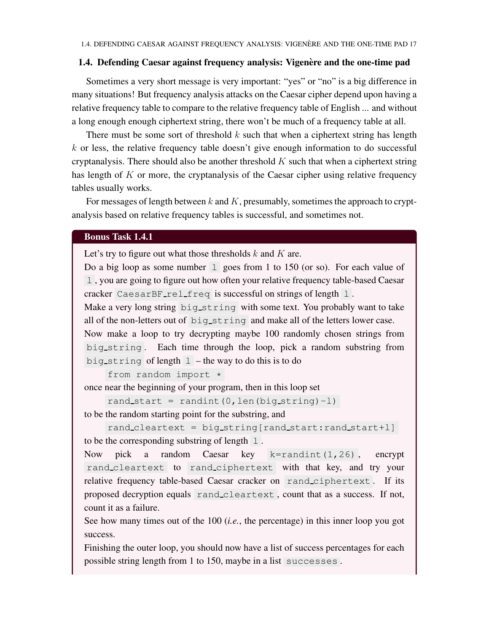#### <span id="page-24-0"></span>1.4. Defending Caesar against frequency analysis: Vigenère and the one-time pad

Sometimes a very short message is very important: "yes" or "no" is a big difference in many situations! But frequency analysis attacks on the Caesar cipher depend upon having a relative frequency table to compare to the relative frequency table of English ... and without a long enough enough ciphertext string, there won't be much of a frequency table at all.

There must be some sort of threshold  $k$  such that when a ciphertext string has length  $k$  or less, the relative frequency table doesn't give enough information to do successful cryptanalysis. There should also be another threshold  $K$  such that when a ciphertext string has length of  $K$  or more, the cryptanalysis of the Caesar cipher using relative frequency tables usually works.

For messages of length between  $k$  and  $K$ , presumably, sometimes the approach to cryptanalysis based on relative frequency tables is successful, and sometimes not.

#### Bonus Task 1.4.1

Let's try to figure out what those thresholds  $k$  and  $K$  are.

Do a big loop as some number  $\boxed{1}$  goes from 1 to 150 (or so). For each value of l , you are going to figure out how often your relative frequency table-based Caesar cracker CaesarBF rel freq is successful on strings of length 1.

Make a very long string big\_string with some text. You probably want to take all of the non-letters out of big string and make all of the letters lower case. Now make a loop to try decrypting maybe 100 randomly chosen strings from big string . Each time through the loop, pick a random substring from big\_string of length  $1$  – the way to do this is to do

from random import \*

once near the beginning of your program, then in this loop set

rand\_start = randint( $0$ , len(big\_string)-1) to be the random starting point for the substring, and

```
rand cleartext = big string[rand start:rand start+l]
to be the corresponding substring of length \perp.
```
Now pick a random Caesar key k=randint(1,26), encrypt rand cleartext to rand ciphertext with that key, and try your relative frequency table-based Caesar cracker on rand ciphertext . If its proposed decryption equals rand cleartext , count that as a success. If not, count it as a failure.

See how many times out of the 100 (*i.e.*, the percentage) in this inner loop you got success.

Finishing the outer loop, you should now have a list of success percentages for each possible string length from 1 to 150, maybe in a list successes .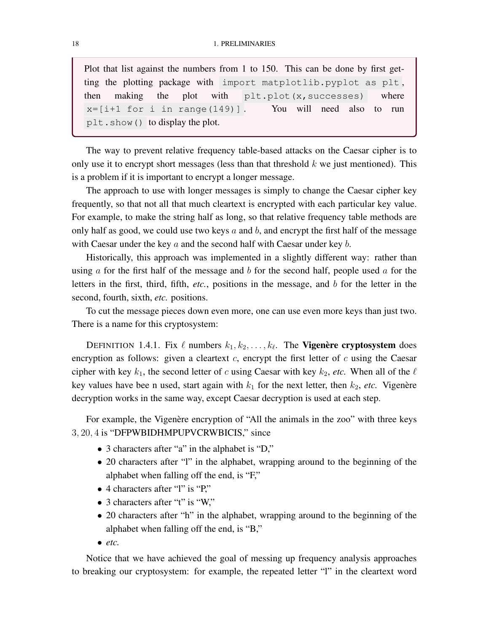Plot that list against the numbers from 1 to 150. This can be done by first getting the plotting package with import matplotlib.pyplot as plt , then making the plot with  $plt.plot(x, successes)$  where  $x=[i+1 for i in range(149)]$ . You will need also to run plt.show() to display the plot.

The way to prevent relative frequency table-based attacks on the Caesar cipher is to only use it to encrypt short messages (less than that threshold  $k$  we just mentioned). This is a problem if it is important to encrypt a longer message.

The approach to use with longer messages is simply to change the Caesar cipher key frequently, so that not all that much cleartext is encrypted with each particular key value. For example, to make the string half as long, so that relative frequency table methods are only half as good, we could use two keys  $a$  and  $b$ , and encrypt the first half of the message with Caesar under the key  $a$  and the second half with Caesar under key  $b$ .

Historically, this approach was implemented in a slightly different way: rather than using  $\alpha$  for the first half of the message and  $\delta$  for the second half, people used  $\alpha$  for the letters in the first, third, fifth, *etc.*, positions in the message, and b for the letter in the second, fourth, sixth, *etc.* positions.

To cut the message pieces down even more, one can use even more keys than just two. There is a name for this cryptosystem:

DEFINITION 1.4.1. Fix  $\ell$  numbers  $k_1, k_2, \ldots, k_{\ell}$ . The **Vigenère cryptosystem** does encryption as follows: given a cleartext  $c$ , encrypt the first letter of  $c$  using the Caesar cipher with key  $k_1$ , the second letter of c using Caesar with key  $k_2$ , etc. When all of the  $\ell$ key values have bee n used, start again with  $k_1$  for the next letter, then  $k_2$ , *etc.* Vigenère decryption works in the same way, except Caesar decryption is used at each step.

For example, the Vigenère encryption of "All the animals in the zoo" with three keys 3, 20, 4 is "DFPWBIDHMPUPVCRWBICIS," since

- 3 characters after "a" in the alphabet is "D,"
- 20 characters after "l" in the alphabet, wrapping around to the beginning of the alphabet when falling off the end, is "F,"
- 4 characters after "l" is "P,"
- 3 characters after "t" is "W,"
- 20 characters after "h" in the alphabet, wrapping around to the beginning of the alphabet when falling off the end, is "B,"
- $\bullet$  *etc.*

Notice that we have achieved the goal of messing up frequency analysis approaches to breaking our cryptosystem: for example, the repeated letter "l" in the cleartext word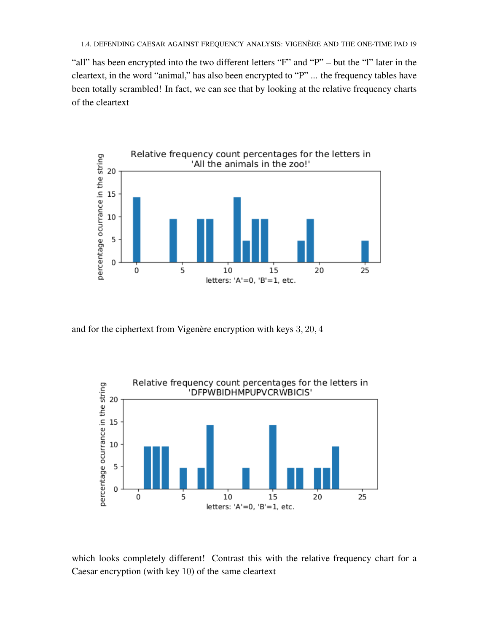"all" has been encrypted into the two different letters "F" and "P" – but the "l" later in the cleartext, in the word "animal," has also been encrypted to "P" ... the frequency tables have been totally scrambled! In fact, we can see that by looking at the relative frequency charts of the cleartext



and for the ciphertext from Vigenère encryption with keys  $3, 20, 4$ 



which looks completely different! Contrast this with the relative frequency chart for a Caesar encryption (with key 10) of the same cleartext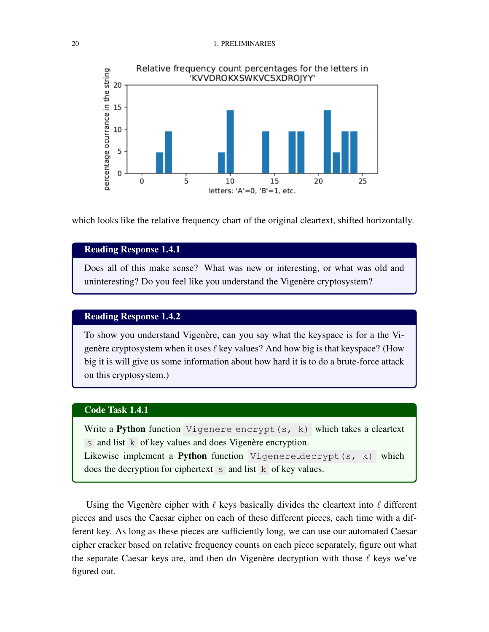#### 20 1. PRELIMINARIES



which looks like the relative frequency chart of the original cleartext, shifted horizontally.

## Reading Response 1.4.1

Does all of this make sense? What was new or interesting, or what was old and uninteresting? Do you feel like you understand the Vigenère cryptosystem?

## Reading Response 1.4.2

To show you understand Vigenère, can you say what the keyspace is for a the Vigenère cryptosystem when it uses  $\ell$  key values? And how big is that keyspace? (How big it is will give us some information about how hard it is to do a brute-force attack on this cryptosystem.)

## Code Task 1.4.1

Write a Python function Vigenere encrypt(s, k) which takes a cleartext  $s$  and list  $k$  of key values and does Vigenère encryption. Likewise implement a **Python** function Vigenere decrypt(s, k) which does the decryption for ciphertext  $\overline{s}$  and list  $\overline{k}$  of key values.

Using the Vigenère cipher with  $\ell$  keys basically divides the cleartext into  $\ell$  different pieces and uses the Caesar cipher on each of these different pieces, each time with a different key. As long as these pieces are sufficiently long, we can use our automated Caesar cipher cracker based on relative frequency counts on each piece separately, figure out what the separate Caesar keys are, and then do Vigenère decryption with those  $\ell$  keys we've figured out.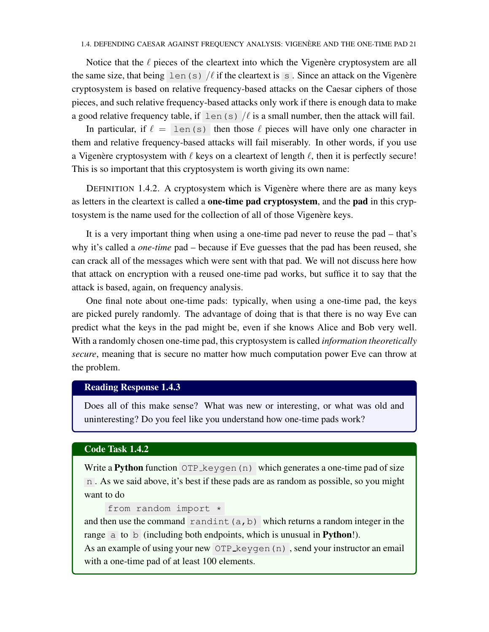Notice that the  $\ell$  pieces of the cleartext into which the Vigenère cryptosystem are all the same size, that being len(s)  $\ell$  if the cleartext is s. Since an attack on the Vigenère cryptosystem is based on relative frequency-based attacks on the Caesar ciphers of those pieces, and such relative frequency-based attacks only work if there is enough data to make a good relative frequency table, if len(s)  $/\ell$  is a small number, then the attack will fail.

In particular, if  $\ell = \text{len}(s)$  then those  $\ell$  pieces will have only one character in them and relative frequency-based attacks will fail miserably. In other words, if you use a Vigenère cryptosystem with  $\ell$  keys on a cleartext of length  $\ell$ , then it is perfectly secure! This is so important that this cryptosystem is worth giving its own name:

DEFINITION 1.4.2. A cryptosystem which is Vigenère where there are as many keys as letters in the cleartext is called a **one-time pad cryptosystem**, and the **pad** in this cryptosystem is the name used for the collection of all of those Vigenère keys.

It is a very important thing when using a one-time pad never to reuse the pad – that's why it's called a *one-time* pad – because if Eve guesses that the pad has been reused, she can crack all of the messages which were sent with that pad. We will not discuss here how that attack on encryption with a reused one-time pad works, but suffice it to say that the attack is based, again, on frequency analysis.

One final note about one-time pads: typically, when using a one-time pad, the keys are picked purely randomly. The advantage of doing that is that there is no way Eve can predict what the keys in the pad might be, even if she knows Alice and Bob very well. With a randomly chosen one-time pad, this cryptosystem is called *information theoretically secure*, meaning that is secure no matter how much computation power Eve can throw at the problem.

## Reading Response 1.4.3

Does all of this make sense? What was new or interesting, or what was old and uninteresting? Do you feel like you understand how one-time pads work?

#### Code Task 1.4.2

Write a Python function OTP keygen (n) which generates a one-time pad of size n . As we said above, it's best if these pads are as random as possible, so you might want to do

```
from random import *
```
and then use the command randint (a, b) which returns a random integer in the range a to b (including both endpoints, which is unusual in **Python!**).

<span id="page-28-0"></span>As an example of using your new OTP keygen (n), send your instructor an email with a one-time pad of at least 100 elements.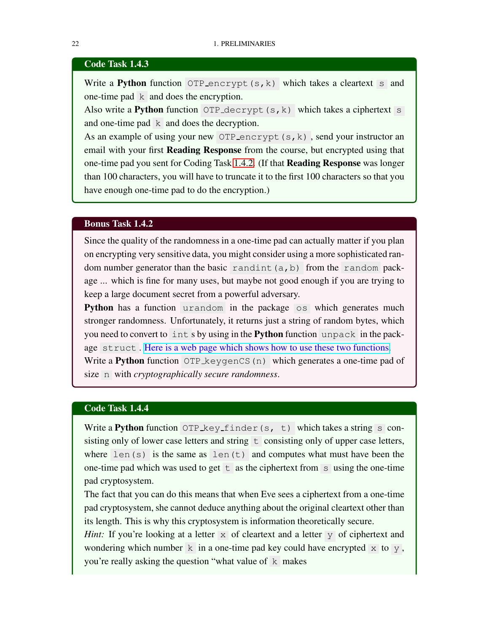#### Code Task 1.4.3

Write a **Python** function OTP encrypt  $(s, k)$  which takes a cleartext s and one-time pad k and does the encryption.

Also write a Python function OTP decrypt  $(s, k)$  which takes a ciphertext s and one-time pad k and does the decryption.

As an example of using your new OTP encrypt  $(s, k)$ , send your instructor an email with your first Reading Response from the course, but encrypted using that one-time pad you sent for Coding Task [1.4.2.](#page-28-0) (If that Reading Response was longer than 100 characters, you will have to truncate it to the first 100 characters so that you have enough one-time pad to do the encryption.)

#### Bonus Task 1.4.2

Since the quality of the randomness in a one-time pad can actually matter if you plan on encrypting very sensitive data, you might consider using a more sophisticated random number generator than the basic randint  $(a, b)$  from the random package ... which is fine for many uses, but maybe not good enough if you are trying to keep a large document secret from a powerful adversary.

**Python** has a function urandom in the package os which generates much stronger randomness. Unfortunately, it returns just a string of random bytes, which you need to convert to int s by using in the Python function unpack in the package struct . [Here is a web page which shows how to use these two functions.](https://pynative.com/cryptographically-secure-random-data-in-python/) Write a Python function OTP keygenCS(n) which generates a one-time pad of

size n with *cryptographically secure randomness*.

#### Code Task 1.4.4

Write a Python function OTP key finder(s, t) which takes a string  $s$  consisting only of lower case letters and string  $\pm$  consisting only of upper case letters, where  $len(s)$  is the same as  $len(t)$  and computes what must have been the one-time pad which was used to get  $\pm$  as the ciphertext from s using the one-time pad cryptosystem.

The fact that you can do this means that when Eve sees a ciphertext from a one-time pad cryptosystem, she cannot deduce anything about the original cleartext other than its length. This is why this cryptosystem is information theoretically secure.

*Hint:* If you're looking at a letter x of cleartext and a letter y of ciphertext and wondering which number  $k$  in a one-time pad key could have encrypted  $x$  to  $y$ , you're really asking the question "what value of k makes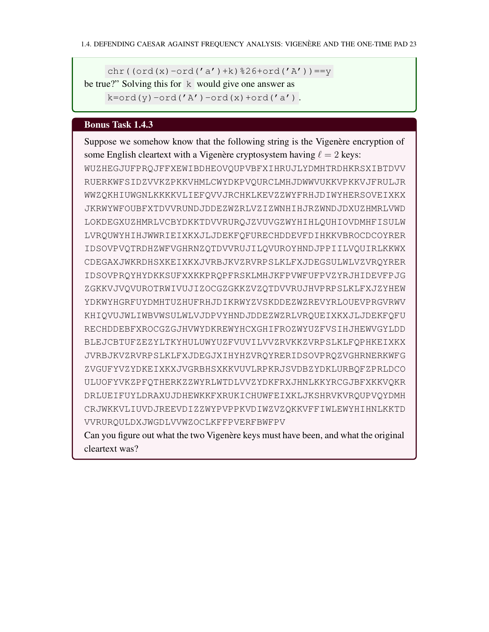chr((ord(x)-ord('a')+k)%26+ord('A')) ==y be true?" Solving this for  $k$  would give one answer as

 $k=ord(y)-ord('A')-ord(x)+ord('a')$ .

## Bonus Task 1.4.3

Suppose we somehow know that the following string is the Vigenère encryption of some English cleartext with a Vigenère cryptosystem having  $\ell = 2$  keys: WUZHEGJUFPRQJFFXEWIBDHEOVQUPVBFXIHRUJLYDMHTRDHKRSXIBTDVV RUERKWFSIDZVVKZPKKVHMLCWYDKPVQURCLMHJDWWVUKKVPKKVJFRULJR WWZQKHIUWGNLKKKKVLIEFQVVJRCHKLKEVZZWYFRHJDIWYHERSOVEIXKX JKRWYWFOUBFXTDVVRUNDJDDEZWZRLVZIZWNHIHJRZWNDJDXUZHMRLVWD LOKDEGXUZHMRLVCBYDKKTDVVRURQJZVUVGZWYHIHLQUHIOVDMHFISULW LVRQUWYHIHJWWRIEIXKXJLJDEKFQFURECHDDEVFDIHKKVBROCDCOYRER IDSOVPVQTRDHZWFVGHRNZQTDVVRUJILQVUROYHNDJPPIILVQUIRLKKWX CDEGAXJWKRDHSXKEIXKXJVRBJKVZRVRPSLKLFXJDEGSULWLVZVRQYRER IDSOVPRQYHYDKKSUFXXKKPRQPFRSKLMHJKFPVWFUFPVZYRJHIDEVFPJG ZGKKVJVQVUROTRWIVUJIZOCGZGKKZVZQTDVVRUJHVPRPSLKLFXJZYHEW YDKWYHGRFUYDMHTUZHUFRHJDIKRWYZVSKDDEZWZREVYRLOUEVPRGVRWV KHIQVUJWLIWBVWSULWLVJDPVYHNDJDDEZWZRLVRQUEIXKXJLJDEKFQFU RECHDDEBFXROCGZGJHVWYDKREWYHCXGHIFROZWYUZFVSIHJHEWVGYLDD BLEJCBTUFZEZYLTKYHULUWYUZFVUVILVVZRVKKZVRPSLKLFQPHKEIXKX JVRBJKVZRVRPSLKLFXJDEGJXIHYHZVRQYRERIDSOVPRQZVGHRNERKWFG ZVGUFYVZYDKEIXKXJVGRBHSXKKVUVLRPKRJSVDBZYDKLURBQFZPRLDCO ULUOFYVKZPFQTHERKZZWYRLWTDLVVZYDKFRXJHNLKKYRCGJBFXKKVQKR DRLUEIFUYLDRAXUJDHEWKKFXRUKICHUWFEIXKLJKSHRVKVRQUPVQYDMH CRJWKKVLIUVDJREEVDIZZWYPVPPKVDIWZVZQKKVFFIWLEWYHIHNLKKTD VVRURQULDXJWGDLVVWZOCLKFFPVERFBWFPV

Can you figure out what the two Vigenère keys must have been, and what the original cleartext was?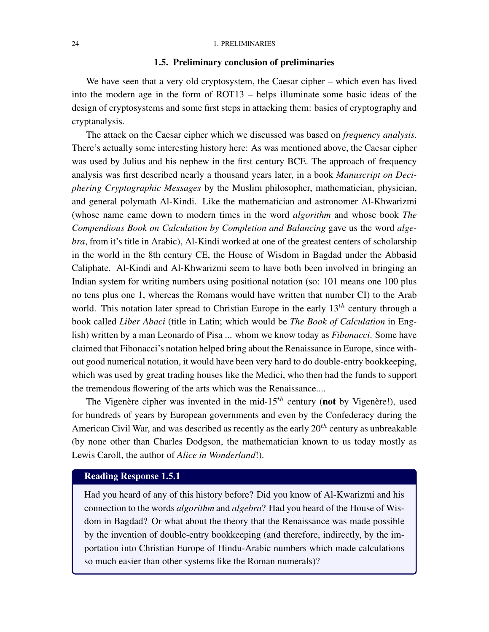#### 1.5. Preliminary conclusion of preliminaries

<span id="page-31-0"></span>We have seen that a very old cryptosystem, the Caesar cipher – which even has lived into the modern age in the form of ROT13 – helps illuminate some basic ideas of the design of cryptosystems and some first steps in attacking them: basics of cryptography and cryptanalysis.

The attack on the Caesar cipher which we discussed was based on *frequency analysis*. There's actually some interesting history here: As was mentioned above, the Caesar cipher was used by Julius and his nephew in the first century BCE. The approach of frequency analysis was first described nearly a thousand years later, in a book *Manuscript on Deciphering Cryptographic Messages* by the Muslim philosopher, mathematician, physician, and general polymath Al-Kindi. Like the mathematician and astronomer Al-Khwarizmi (whose name came down to modern times in the word *algorithm* and whose book *The Compendious Book on Calculation by Completion and Balancing* gave us the word *algebra*, from it's title in Arabic), Al-Kindi worked at one of the greatest centers of scholarship in the world in the 8th century CE, the House of Wisdom in Bagdad under the Abbasid Caliphate. Al-Kindi and Al-Khwarizmi seem to have both been involved in bringing an Indian system for writing numbers using positional notation (so: 101 means one 100 plus no tens plus one 1, whereas the Romans would have written that number CI) to the Arab world. This notation later spread to Christian Europe in the early  $13<sup>th</sup>$  century through a book called *Liber Abaci* (title in Latin; which would be *The Book of Calculation* in English) written by a man Leonardo of Pisa ... whom we know today as *Fibonacci*. Some have claimed that Fibonacci's notation helped bring about the Renaissance in Europe, since without good numerical notation, it would have been very hard to do double-entry bookkeeping, which was used by great trading houses like the Medici, who then had the funds to support the tremendous flowering of the arts which was the Renaissance....

The Vigenère cipher was invented in the mid-15<sup>th</sup> century (not by Vigenère!), used for hundreds of years by European governments and even by the Confederacy during the American Civil War, and was described as recently as the early  $20<sup>th</sup>$  century as unbreakable (by none other than Charles Dodgson, the mathematician known to us today mostly as Lewis Caroll, the author of *Alice in Wonderland*!).

#### Reading Response 1.5.1

Had you heard of any of this history before? Did you know of Al-Kwarizmi and his connection to the words *algorithm* and *algebra*? Had you heard of the House of Wisdom in Bagdad? Or what about the theory that the Renaissance was made possible by the invention of double-entry bookkeeping (and therefore, indirectly, by the importation into Christian Europe of Hindu-Arabic numbers which made calculations so much easier than other systems like the Roman numerals)?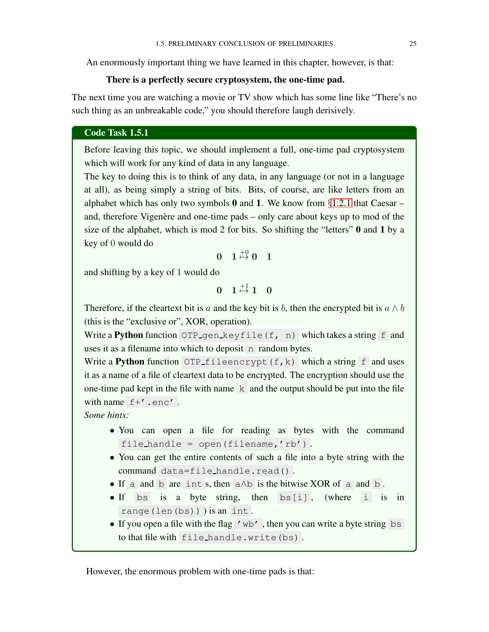An enormously important thing we have learned in this chapter, however, is that:

#### There is a perfectly secure cryptosystem, the one-time pad.

The next time you are watching a movie or TV show which has some line like "There's no such thing as an unbreakable code," you should therefore laugh derisively.

#### Code Task 1.5.1

Before leaving this topic, we should implement a full, one-time pad cryptosystem which will work for any kind of data in any language.

The key to doing this is to think of any data, in any language (or not in a language at all), as being simply a string of bits. Bits, of course, are like letters from an alphabet which has only two symbols  $\bf{0}$  and  $\bf{1}$ . We know from §[1.2.1](#page-13-1) that Caesar – and, therefore Vigenère and one-time pads – only care about keys up to mod of the size of the alphabet, which is mod 2 for bits. So shifting the "letters" 0 and 1 by a key of 0 would do

$$
0\quad 1\stackrel{+0}{\mapsto} 0\quad 1
$$

and shifting by a key of 1 would do

 $\begin{matrix} 0 & 1 \stackrel{+1}{\mapsto} 1 & 0 \end{matrix}$ 

Therefore, if the cleartext bit is a and the key bit is b, then the encrypted bit is  $a \wedge b$ (this is the "exclusive or", XOR, operation).

Write a Python function OTP gen keyfile(f, n) which takes a string f and uses it as a filename into which to deposit n random bytes.

Write a Python function OTP\_fileencrypt(f,k) which a string f and uses it as a name of a file of cleartext data to be encrypted. The encryption should use the one-time pad kept in the file with name  $k$  and the output should be put into the file with name  $f+$ '.enc'.

*Some hints:*

- You can open a file for reading as bytes with the command file\_handle =  $open(filename, 'rb')$ .
- You can get the entire contents of such a file into a byte string with the command data=file handle.read() .
- If a and b are int s, then a∧b is the bitwise XOR of a and b .
- If bs is a byte string, then bs[i], (where i is in range(len(bs)) ) is an int .
- If you open a file with the flag 'wb', then you can write a byte string  $bs$ to that file with file handle.write(bs) .

However, the enormous problem with one-time pads is that: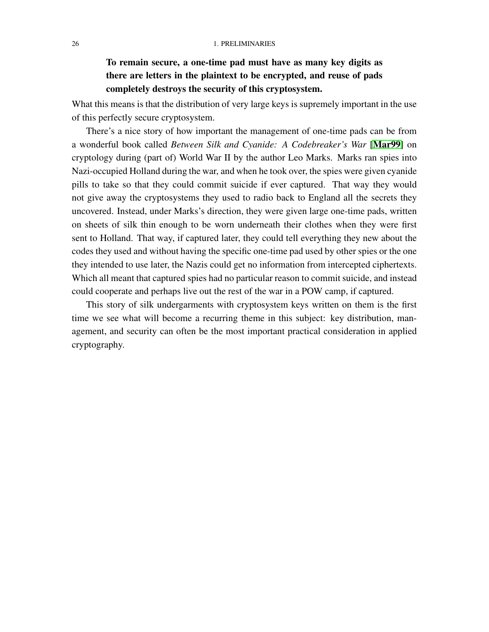## To remain secure, a one-time pad must have as many key digits as there are letters in the plaintext to be encrypted, and reuse of pads completely destroys the security of this cryptosystem.

What this means is that the distribution of very large keys is supremely important in the use of this perfectly secure cryptosystem.

There's a nice story of how important the management of one-time pads can be from a wonderful book called *Between Silk and Cyanide: A Codebreaker's War* [[Mar99](#page-86-2)] on cryptology during (part of) World War II by the author Leo Marks. Marks ran spies into Nazi-occupied Holland during the war, and when he took over, the spies were given cyanide pills to take so that they could commit suicide if ever captured. That way they would not give away the cryptosystems they used to radio back to England all the secrets they uncovered. Instead, under Marks's direction, they were given large one-time pads, written on sheets of silk thin enough to be worn underneath their clothes when they were first sent to Holland. That way, if captured later, they could tell everything they new about the codes they used and without having the specific one-time pad used by other spies or the one they intended to use later, the Nazis could get no information from intercepted ciphertexts. Which all meant that captured spies had no particular reason to commit suicide, and instead could cooperate and perhaps live out the rest of the war in a POW camp, if captured.

This story of silk undergarments with cryptosystem keys written on them is the first time we see what will become a recurring theme in this subject: key distribution, management, and security can often be the most important practical consideration in applied cryptography.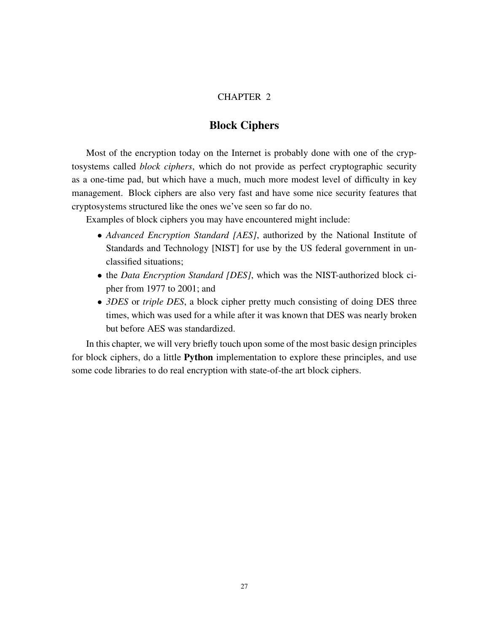#### CHAPTER 2

## Block Ciphers

<span id="page-34-0"></span>Most of the encryption today on the Internet is probably done with one of the cryptosystems called *block ciphers*, which do not provide as perfect cryptographic security as a one-time pad, but which have a much, much more modest level of difficulty in key management. Block ciphers are also very fast and have some nice security features that cryptosystems structured like the ones we've seen so far do no.

Examples of block ciphers you may have encountered might include:

- *Advanced Encryption Standard [AES]*, authorized by the National Institute of Standards and Technology [NIST] for use by the US federal government in unclassified situations;
- the *Data Encryption Standard [DES]*, which was the NIST-authorized block cipher from 1977 to 2001; and
- *3DES* or *triple DES*, a block cipher pretty much consisting of doing DES three times, which was used for a while after it was known that DES was nearly broken but before AES was standardized.

In this chapter, we will very briefly touch upon some of the most basic design principles for block ciphers, do a little Python implementation to explore these principles, and use some code libraries to do real encryption with state-of-the art block ciphers.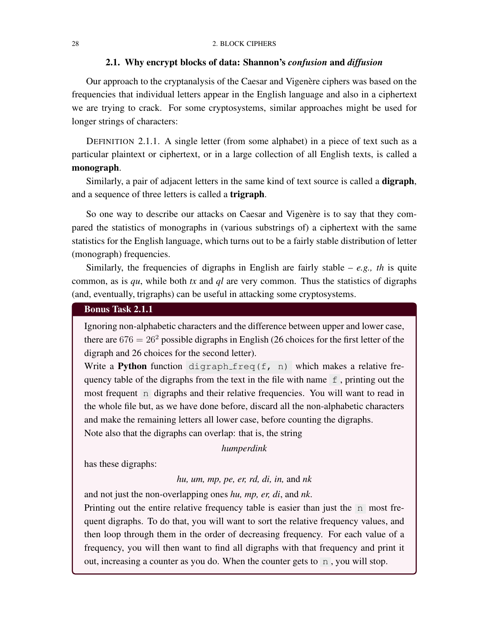#### <span id="page-35-0"></span>28 2. BLOCK CIPHERS

#### 2.1. Why encrypt blocks of data: Shannon's *confusion* and *diffusion*

Our approach to the cryptanalysis of the Caesar and Vigenère ciphers was based on the frequencies that individual letters appear in the English language and also in a ciphertext we are trying to crack. For some cryptosystems, similar approaches might be used for longer strings of characters:

DEFINITION 2.1.1. A single letter (from some alphabet) in a piece of text such as a particular plaintext or ciphertext, or in a large collection of all English texts, is called a monograph.

Similarly, a pair of adjacent letters in the same kind of text source is called a digraph, and a sequence of three letters is called a trigraph.

So one way to describe our attacks on Caesar and Vigenère is to say that they compared the statistics of monographs in (various substrings of) a ciphertext with the same statistics for the English language, which turns out to be a fairly stable distribution of letter (monograph) frequencies.

Similarly, the frequencies of digraphs in English are fairly stable  $-e.g., th$  is quite common, as is *qu*, while both *tx* and *ql* are very common. Thus the statistics of digraphs (and, eventually, trigraphs) can be useful in attacking some cryptosystems.

## Bonus Task 2.1.1

Ignoring non-alphabetic characters and the difference between upper and lower case, there are  $676 = 26<sup>2</sup>$  possible digraphs in English (26 choices for the first letter of the digraph and 26 choices for the second letter).

Write a Python function digraph freq(f, n) which makes a relative frequency table of the digraphs from the text in the file with name  $f$ , printing out the most frequent n digraphs and their relative frequencies. You will want to read in the whole file but, as we have done before, discard all the non-alphabetic characters and make the remaining letters all lower case, before counting the digraphs. Note also that the digraphs can overlap: that is, the string

*humperdink*

has these digraphs:

*hu, um, mp, pe, er, rd, di, in,* and *nk*

and not just the non-overlapping ones *hu, mp, er, di*, and *nk*.

Printing out the entire relative frequency table is easier than just the n most frequent digraphs. To do that, you will want to sort the relative frequency values, and then loop through them in the order of decreasing frequency. For each value of a frequency, you will then want to find all digraphs with that frequency and print it out, increasing a counter as you do. When the counter gets to n , you will stop.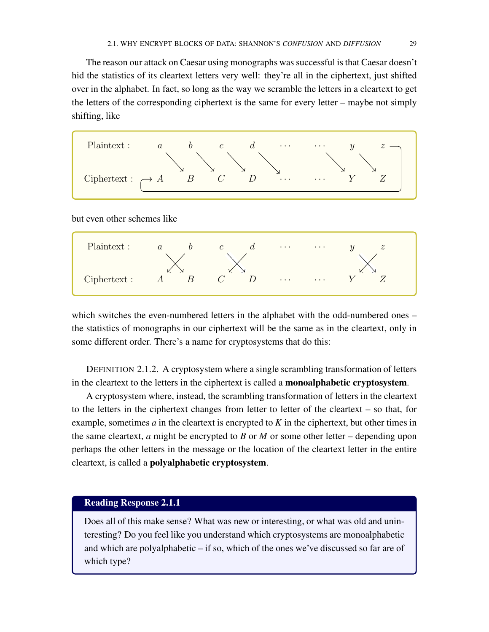The reason our attack on Caesar using monographs was successful is that Caesar doesn't hid the statistics of its cleartext letters very well: they're all in the ciphertext, just shifted over in the alphabet. In fact, so long as the way we scramble the letters in a cleartext to get the letters of the corresponding ciphertext is the same for every letter – maybe not simply shifting, like



but even other schemes like



which switches the even-numbered letters in the alphabet with the odd-numbered ones – the statistics of monographs in our ciphertext will be the same as in the cleartext, only in some different order. There's a name for cryptosystems that do this:

DEFINITION 2.1.2. A cryptosystem where a single scrambling transformation of letters in the cleartext to the letters in the ciphertext is called a monoalphabetic cryptosystem.

A cryptosystem where, instead, the scrambling transformation of letters in the cleartext to the letters in the ciphertext changes from letter to letter of the cleartext – so that, for example, sometimes *a* in the cleartext is encrypted to *K* in the ciphertext, but other times in the same cleartext, *a* might be encrypted to *B* or *M* or some other letter – depending upon perhaps the other letters in the message or the location of the cleartext letter in the entire cleartext, is called a polyalphabetic cryptosystem.

# Reading Response 2.1.1

Does all of this make sense? What was new or interesting, or what was old and uninteresting? Do you feel like you understand which cryptosystems are monoalphabetic and which are polyalphabetic – if so, which of the ones we've discussed so far are of which type?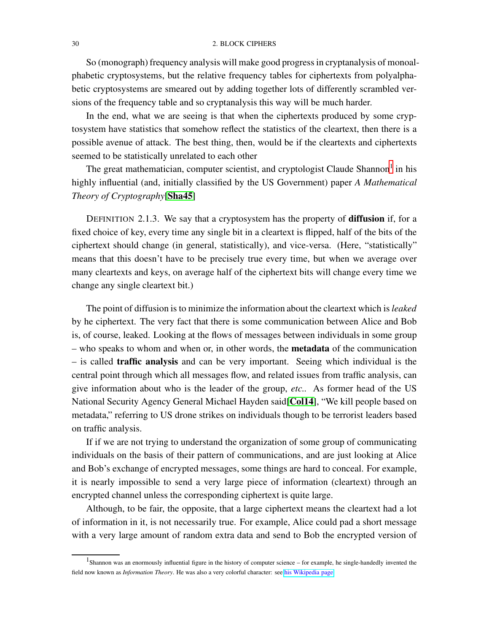So (monograph) frequency analysis will make good progress in cryptanalysis of monoalphabetic cryptosystems, but the relative frequency tables for ciphertexts from polyalphabetic cryptosystems are smeared out by adding together lots of differently scrambled versions of the frequency table and so cryptanalysis this way will be much harder.

In the end, what we are seeing is that when the ciphertexts produced by some cryptosystem have statistics that somehow reflect the statistics of the cleartext, then there is a possible avenue of attack. The best thing, then, would be if the cleartexts and ciphertexts seemed to be statistically unrelated to each other

The great mathematician, computer scientist, and cryptologist Claude Shannon<sup>[1](#page-37-0)</sup> in his highly influential (and, initially classified by the US Government) paper *A Mathematical Theory of Cryptography*[[Sha45](#page-86-0)]

DEFINITION 2.1.3. We say that a cryptosystem has the property of **diffusion** if, for a fixed choice of key, every time any single bit in a cleartext is flipped, half of the bits of the ciphertext should change (in general, statistically), and vice-versa. (Here, "statistically" means that this doesn't have to be precisely true every time, but when we average over many cleartexts and keys, on average half of the ciphertext bits will change every time we change any single cleartext bit.)

The point of diffusion is to minimize the information about the cleartext which is*leaked* by he ciphertext. The very fact that there is some communication between Alice and Bob is, of course, leaked. Looking at the flows of messages between individuals in some group – who speaks to whom and when or, in other words, the metadata of the communication – is called traffic analysis and can be very important. Seeing which individual is the central point through which all messages flow, and related issues from traffic analysis, can give information about who is the leader of the group, *etc..* As former head of the US National Security Agency General Michael Hayden said[[Col14](#page-86-1)], "We kill people based on metadata," referring to US drone strikes on individuals though to be terrorist leaders based on traffic analysis.

If if we are not trying to understand the organization of some group of communicating individuals on the basis of their pattern of communications, and are just looking at Alice and Bob's exchange of encrypted messages, some things are hard to conceal. For example, it is nearly impossible to send a very large piece of information (cleartext) through an encrypted channel unless the corresponding ciphertext is quite large.

Although, to be fair, the opposite, that a large ciphertext means the cleartext had a lot of information in it, is not necessarily true. For example, Alice could pad a short message with a very large amount of random extra data and send to Bob the encrypted version of

<span id="page-37-0"></span><sup>&</sup>lt;sup>1</sup>Shannon was an enormously influential figure in the history of computer science – for example, he single-handedly invented the field now known as *Information Theory*. He was also a very colorful character: see [his Wikipedia page.](https://en.wikipedia.org/wiki/Claude_Shannon)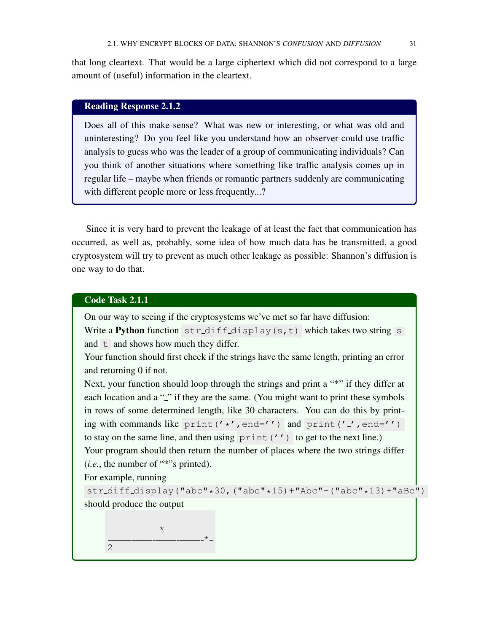that long cleartext. That would be a large ciphertext which did not correspond to a large amount of (useful) information in the cleartext.

# Reading Response 2.1.2

Does all of this make sense? What was new or interesting, or what was old and uninteresting? Do you feel like you understand how an observer could use traffic analysis to guess who was the leader of a group of communicating individuals? Can you think of another situations where something like traffic analysis comes up in regular life – maybe when friends or romantic partners suddenly are communicating with different people more or less frequently...?

Since it is very hard to prevent the leakage of at least the fact that communication has occurred, as well as, probably, some idea of how much data has be transmitted, a good cryptosystem will try to prevent as much other leakage as possible: Shannon's diffusion is one way to do that.

### Code Task 2.1.1

On our way to seeing if the cryptosystems we've met so far have diffusion:

Write a **Python** function  $str\_diff\_display(s,t)$  which takes two string s and  $t$  and shows how much they differ.

Your function should first check if the strings have the same length, printing an error and returning 0 if not.

Next, your function should loop through the strings and print a "\*" if they differ at each location and a "-" if they are the same. (You might want to print these symbols in rows of some determined length, like 30 characters. You can do this by printing with commands like print  $('*/$ , end='') and print  $('.'$ , end='') to stay on the same line, and then using  $print('')$  to get to the next line.) Your program should then return the number of places where the two strings differ (*i.e.*, the number of "\*"s printed).

For example, running

str\_diff\_display("abc"\*30,("abc"\*15)+"Abc"+("abc"\*13)+"aBc") should produce the output

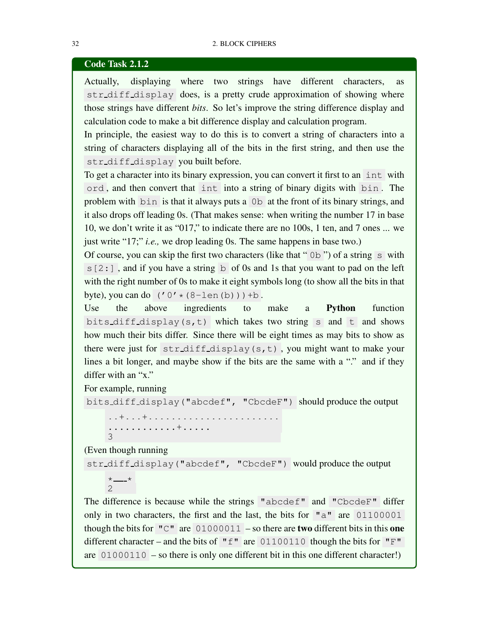### Code Task 2.1.2

Actually, displaying where two strings have different characters, as str diff display does, is a pretty crude approximation of showing where those strings have different *bits*. So let's improve the string difference display and calculation code to make a bit difference display and calculation program.

In principle, the easiest way to do this is to convert a string of characters into a string of characters displaying all of the bits in the first string, and then use the str diff display you built before.

To get a character into its binary expression, you can convert it first to an int with ord , and then convert that int into a string of binary digits with bin . The problem with bin is that it always puts a 0b at the front of its binary strings, and it also drops off leading 0s. (That makes sense: when writing the number 17 in base 10, we don't write it as "017," to indicate there are no 100s, 1 ten, and 7 ones ... we just write "17;" *i.e.,* we drop leading 0s. The same happens in base two.)

Of course, you can skip the first two characters (like that " $0b$ ") of a string s with  $s[2:]$ , and if you have a string b of 0s and 1s that you want to pad on the left with the right number of 0s to make it eight symbols long (to show all the bits in that byte), you can do  $('0' * (8-len(b))) + b$ .

Use the above ingredients to make a Python function bits diff display(s,t) which takes two string s and t and shows how much their bits differ. Since there will be eight times as may bits to show as there were just for str diff display(s,t) , you might want to make your lines a bit longer, and maybe show if the bits are the same with a "." and if they differ with an "x."

For example, running

bits diff display("abcdef", "CbcdeF") should produce the output

..+...+....................... ............+..... 3

(Even though running

 $*$   $\overline{\phantom{a}}$ 2

str diff display("abcdef", "CbcdeF") would produce the output

<span id="page-39-0"></span>The difference is because while the strings "abcdef" and "CbcdeF" differ only in two characters, the first and the last, the bits for "a" are 01100001 though the bits for  $\ ^{\prime\prime}$ C" are 01000011 – so there are **two** different bits in this one different character – and the bits of " $f''$ " are 01100110 though the bits for " $F''$ " are 01000110 – so there is only one different bit in this one different character!)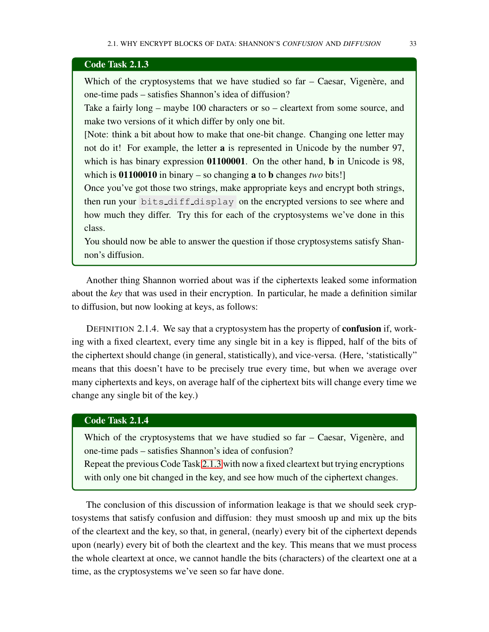### Code Task 2.1.3

Which of the cryptosystems that we have studied so  $far - Caesar$ , Vigenère, and one-time pads – satisfies Shannon's idea of diffusion?

Take a fairly long – maybe 100 characters or so – cleartext from some source, and make two versions of it which differ by only one bit.

[Note: think a bit about how to make that one-bit change. Changing one letter may not do it! For example, the letter a is represented in Unicode by the number 97, which is has binary expression **01100001**. On the other hand, **b** in Unicode is 98, which is 01100010 in binary – so changing a to b changes *two* bits!]

Once you've got those two strings, make appropriate keys and encrypt both strings, then run your bits diff display on the encrypted versions to see where and how much they differ. Try this for each of the cryptosystems we've done in this class.

<span id="page-40-0"></span>You should now be able to answer the question if those cryptosystems satisfy Shannon's diffusion.

Another thing Shannon worried about was if the ciphertexts leaked some information about the *key* that was used in their encryption. In particular, he made a definition similar to diffusion, but now looking at keys, as follows:

DEFINITION 2.1.4. We say that a cryptosystem has the property of confusion if, working with a fixed cleartext, every time any single bit in a key is flipped, half of the bits of the ciphertext should change (in general, statistically), and vice-versa. (Here, 'statistically" means that this doesn't have to be precisely true every time, but when we average over many ciphertexts and keys, on average half of the ciphertext bits will change every time we change any single bit of the key.)

### Code Task 2.1.4

Which of the cryptosystems that we have studied so far  $-$  Caesar, Vigenère, and one-time pads – satisfies Shannon's idea of confusion?

Repeat the previous Code Task [2.1.3](#page-40-0) with now a fixed cleartext but trying encryptions with only one bit changed in the key, and see how much of the ciphertext changes.

The conclusion of this discussion of information leakage is that we should seek cryptosystems that satisfy confusion and diffusion: they must smoosh up and mix up the bits of the cleartext and the key, so that, in general, (nearly) every bit of the ciphertext depends upon (nearly) every bit of both the cleartext and the key. This means that we must process the whole cleartext at once, we cannot handle the bits (characters) of the cleartext one at a time, as the cryptosystems we've seen so far have done.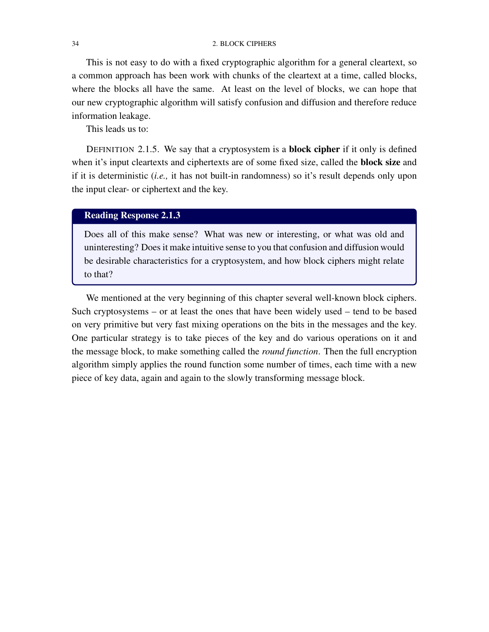#### 34 2. BLOCK CIPHERS

This is not easy to do with a fixed cryptographic algorithm for a general cleartext, so a common approach has been work with chunks of the cleartext at a time, called blocks, where the blocks all have the same. At least on the level of blocks, we can hope that our new cryptographic algorithm will satisfy confusion and diffusion and therefore reduce information leakage.

This leads us to:

DEFINITION 2.1.5. We say that a cryptosystem is a block cipher if it only is defined when it's input cleartexts and ciphertexts are of some fixed size, called the **block size** and if it is deterministic (*i.e.,* it has not built-in randomness) so it's result depends only upon the input clear- or ciphertext and the key.

# Reading Response 2.1.3

Does all of this make sense? What was new or interesting, or what was old and uninteresting? Does it make intuitive sense to you that confusion and diffusion would be desirable characteristics for a cryptosystem, and how block ciphers might relate to that?

We mentioned at the very beginning of this chapter several well-known block ciphers. Such cryptosystems – or at least the ones that have been widely used – tend to be based on very primitive but very fast mixing operations on the bits in the messages and the key. One particular strategy is to take pieces of the key and do various operations on it and the message block, to make something called the *round function*. Then the full encryption algorithm simply applies the round function some number of times, each time with a new piece of key data, again and again to the slowly transforming message block.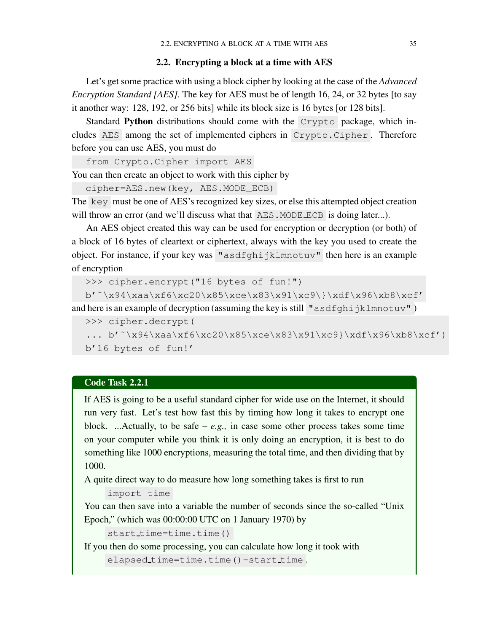### 2.2. Encrypting a block at a time with AES

<span id="page-42-1"></span>Let's get some practice with using a block cipher by looking at the case of the *Advanced Encryption Standard [AES]*. The key for AES must be of length 16, 24, or 32 bytes [to say it another way: 128, 192, or 256 bits] while its block size is 16 bytes [or 128 bits].

Standard Python distributions should come with the Crypto package, which includes AES among the set of implemented ciphers in Crypto.Cipher. Therefore before you can use AES, you must do

from Crypto.Cipher import AES

You can then create an object to work with this cipher by

cipher=AES.new(key, AES.MODE\_ECB)

The key must be one of AES's recognized key sizes, or else this attempted object creation will throw an error (and we'll discuss what that AES. MODE ECB is doing later...).

An AES object created this way can be used for encryption or decryption (or both) of a block of 16 bytes of cleartext or ciphertext, always with the key you used to create the object. For instance, if your key was "asdfghijklmnotuv" then here is an example of encryption

```
>>> cipher.encrypt("16 bytes of fun!")
```
b'˜\x94\xaa\xf6\xc20\x85\xce\x83\x91\xc9\}\xdf\x96\xb8\xcf' and here is an example of decryption (assuming the key is still "asdfghijklmnotuv")

```
>>> cipher.decrypt(
... b'<sup>\times</sup>\x94\xaa\xf6\xc20\x85\xce\x83\x91\xc9}\xdf\x96\xb8\xcf')
b'16 bytes of fun!'
```
# Code Task 2.2.1

If AES is going to be a useful standard cipher for wide use on the Internet, it should run very fast. Let's test how fast this by timing how long it takes to encrypt one block. ...Actually, to be safe –  $e.g.,$  in case some other process takes some time on your computer while you think it is only doing an encryption, it is best to do something like 1000 encryptions, measuring the total time, and then dividing that by 1000.

A quite direct way to do measure how long something takes is first to run

import time

You can then save into a variable the number of seconds since the so-called "Unix Epoch," (which was 00:00:00 UTC on 1 January 1970) by

```
start_time=time.time()
```
<span id="page-42-0"></span>If you then do some processing, you can calculate how long it took with

```
elapsed time=time.time()-start time.
```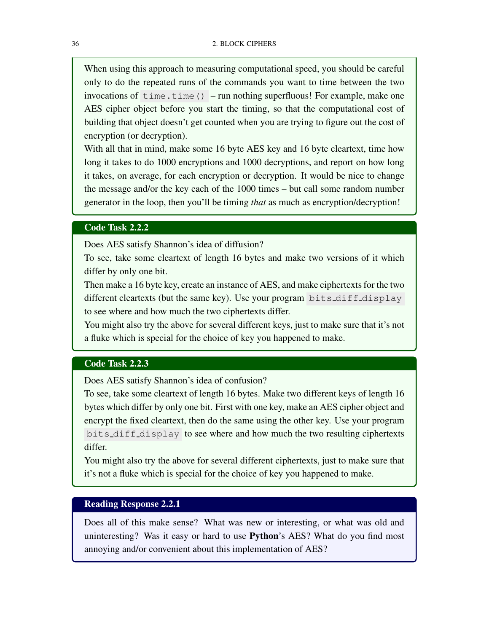When using this approach to measuring computational speed, you should be careful only to do the repeated runs of the commands you want to time between the two invocations of  $time.time()$  – run nothing superfluous! For example, make one AES cipher object before you start the timing, so that the computational cost of building that object doesn't get counted when you are trying to figure out the cost of encryption (or decryption).

With all that in mind, make some 16 byte AES key and 16 byte cleartext, time how long it takes to do 1000 encryptions and 1000 decryptions, and report on how long it takes, on average, for each encryption or decryption. It would be nice to change the message and/or the key each of the 1000 times – but call some random number generator in the loop, then you'll be timing *that* as much as encryption/decryption!

### Code Task 2.2.2

Does AES satisfy Shannon's idea of diffusion?

To see, take some cleartext of length 16 bytes and make two versions of it which differ by only one bit.

Then make a 16 byte key, create an instance of AES, and make ciphertexts for the two different cleartexts (but the same key). Use your program bits diff display to see where and how much the two ciphertexts differ.

You might also try the above for several different keys, just to make sure that it's not a fluke which is special for the choice of key you happened to make.

### <span id="page-43-0"></span>Code Task 2.2.3

Does AES satisfy Shannon's idea of confusion?

To see, take some cleartext of length 16 bytes. Make two different keys of length 16 bytes which differ by only one bit. First with one key, make an AES cipher object and encrypt the fixed cleartext, then do the same using the other key. Use your program bits diff display to see where and how much the two resulting ciphertexts differ.

You might also try the above for several different ciphertexts, just to make sure that it's not a fluke which is special for the choice of key you happened to make.

### Reading Response 2.2.1

Does all of this make sense? What was new or interesting, or what was old and uninteresting? Was it easy or hard to use Python's AES? What do you find most annoying and/or convenient about this implementation of AES?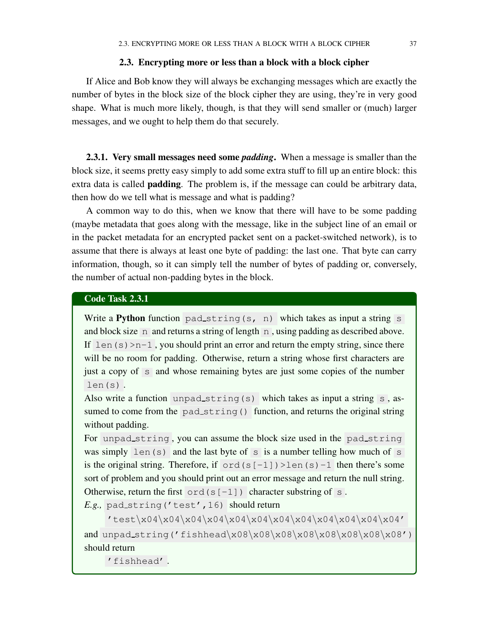### 2.3. Encrypting more or less than a block with a block cipher

If Alice and Bob know they will always be exchanging messages which are exactly the number of bytes in the block size of the block cipher they are using, they're in very good shape. What is much more likely, though, is that they will send smaller or (much) larger messages, and we ought to help them do that securely.

2.3.1. Very small messages need some *padding*. When a message is smaller than the block size, it seems pretty easy simply to add some extra stuff to fill up an entire block: this extra data is called padding. The problem is, if the message can could be arbitrary data, then how do we tell what is message and what is padding?

A common way to do this, when we know that there will have to be some padding (maybe metadata that goes along with the message, like in the subject line of an email or in the packet metadata for an encrypted packet sent on a packet-switched network), is to assume that there is always at least one byte of padding: the last one. That byte can carry information, though, so it can simply tell the number of bytes of padding or, conversely, the number of actual non-padding bytes in the block.

### Code Task 2.3.1

Write a Python function pad\_string(s, n) which takes as input a string s and block size n and returns a string of length n, using padding as described above. If  $len(s) > n-1$ , you should print an error and return the empty string, since there will be no room for padding. Otherwise, return a string whose first characters are just a copy of s and whose remaining bytes are just some copies of the number len(s) .

Also write a function unpad\_string(s) which takes as input a string s, assumed to come from the pad\_string() function, and returns the original string without padding.

For unpad\_string, you can assume the block size used in the pad\_string was simply len(s) and the last byte of s is a number telling how much of s is the original string. Therefore, if  $\text{ord}(s[-1])$ >len(s)-1 then there's some sort of problem and you should print out an error message and return the null string. Otherwise, return the first  $\text{ord}(s[-1])$  character substring of s.

*E.g.*, pad\_string('test',16) should return

'test\x04\x04\x04\x04\x04\x04\x04\x04\x04\x04\x04\x04' and unpad\_string('fishhead\x08\x08\x08\x08\x08\x08\x08\x08') should return

'fishhead' .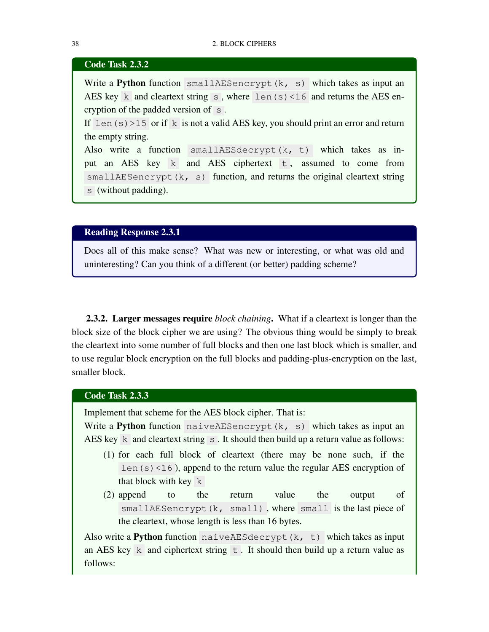### Code Task 2.3.2

Write a Python function smallAESencrypt(k, s) which takes as input an AES key k and cleartext string s, where len(s) <16 and returns the AES encryption of the padded version of s .

If  $len(s) > 15$  or if k is not a valid AES key, you should print an error and return the empty string.

Also write a function smallAESdecrypt(k, t) which takes as input an AES key  $k$  and AES ciphertext  $t$ , assumed to come from smallAESencrypt(k, s) function, and returns the original cleartext string s (without padding).

Reading Response 2.3.1

Does all of this make sense? What was new or interesting, or what was old and uninteresting? Can you think of a different (or better) padding scheme?

2.3.2. Larger messages require *block chaining*. What if a cleartext is longer than the block size of the block cipher we are using? The obvious thing would be simply to break the cleartext into some number of full blocks and then one last block which is smaller, and to use regular block encryption on the full blocks and padding-plus-encryption on the last, smaller block.

# Code Task 2.3.3

Implement that scheme for the AES block cipher. That is:

Write a Python function naiveAESencrypt(k, s) which takes as input an AES key k and cleartext string  $\overline{s}$ . It should then build up a return value as follows:

- (1) for each full block of cleartext (there may be none such, if the len(s)<16), append to the return value the regular AES encryption of that block with key k
- (2) append to the return value the output of smallAESencrypt(k, small), where small is the last piece of the cleartext, whose length is less than 16 bytes.

Also write a Python function naiveAESdecrypt $(k, t)$  which takes as input an AES key k and ciphertext string  $\pm$ . It should then build up a return value as follows: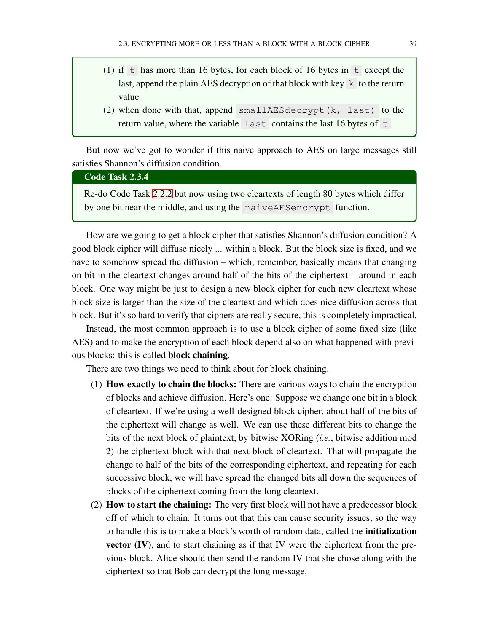- (1) if t has more than 16 bytes, for each block of 16 bytes in  $t$  except the last, append the plain AES decryption of that block with key  $k$  to the return value
- (2) when done with that, append smallAESdecrypt(k, last) to the return value, where the variable last contains the last 16 bytes of  $t$

But now we've got to wonder if this naive approach to AES on large messages still satisfies Shannon's diffusion condition.

### Code Task 2.3.4

Re-do Code Task [2.2.2](#page-43-0) but now using two cleartexts of length 80 bytes which differ by one bit near the middle, and using the naiveAESencrypt function.

<span id="page-46-0"></span>How are we going to get a block cipher that satisfies Shannon's diffusion condition? A good block cipher will diffuse nicely ... within a block. But the block size is fixed, and we have to somehow spread the diffusion – which, remember, basically means that changing on bit in the cleartext changes around half of the bits of the ciphertext – around in each block. One way might be just to design a new block cipher for each new cleartext whose block size is larger than the size of the cleartext and which does nice diffusion across that block. But it's so hard to verify that ciphers are really secure, this is completely impractical.

Instead, the most common approach is to use a block cipher of some fixed size (like AES) and to make the encryption of each block depend also on what happened with previous blocks: this is called block chaining.

There are two things we need to think about for block chaining.

- (1) How exactly to chain the blocks: There are various ways to chain the encryption of blocks and achieve diffusion. Here's one: Suppose we change one bit in a block of cleartext. If we're using a well-designed block cipher, about half of the bits of the ciphertext will change as well. We can use these different bits to change the bits of the next block of plaintext, by bitwise XORing (*i.e.*, bitwise addition mod 2) the ciphertext block with that next block of cleartext. That will propagate the change to half of the bits of the corresponding ciphertext, and repeating for each successive block, we will have spread the changed bits all down the sequences of blocks of the ciphertext coming from the long cleartext.
- (2) How to start the chaining: The very first block will not have a predecessor block off of which to chain. It turns out that this can cause security issues, so the way to handle this is to make a block's worth of random data, called the initialization vector (IV), and to start chaining as if that IV were the ciphertext from the previous block. Alice should then send the random IV that she chose along with the ciphertext so that Bob can decrypt the long message.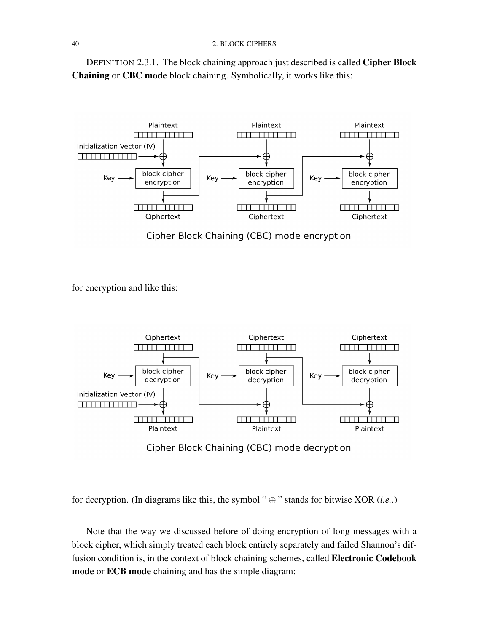#### 40 2. BLOCK CIPHERS

DEFINITION 2.3.1. The block chaining approach just described is called Cipher Block Chaining or CBC mode block chaining. Symbolically, it works like this:



Cipher Block Chaining (CBC) mode encryption

for encryption and like this:



Cipher Block Chaining (CBC) mode decryption

for decryption. (In diagrams like this, the symbol " $\oplus$ " stands for bitwise XOR (*i.e.*.)

Note that the way we discussed before of doing encryption of long messages with a block cipher, which simply treated each block entirely separately and failed Shannon's diffusion condition is, in the context of block chaining schemes, called Electronic Codebook mode or ECB mode chaining and has the simple diagram: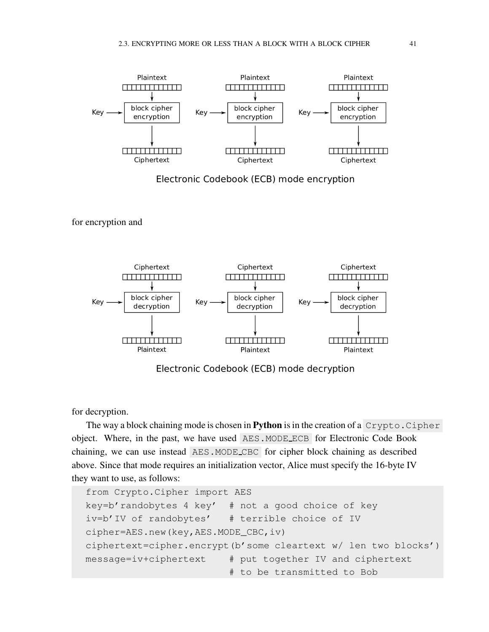

Electronic Codebook (ECB) mode encryption

for encryption and



Electronic Codebook (ECB) mode decryption

for decryption.

The way a block chaining mode is chosen in **Python** is in the creation of a  $Crypto.Cipher$ object. Where, in the past, we have used AES.MODE ECB for Electronic Code Book chaining, we can use instead AES.MODE CBC for cipher block chaining as described above. Since that mode requires an initialization vector, Alice must specify the 16-byte IV they want to use, as follows:

```
from Crypto.Cipher import AES
key=b'randobytes 4 key' # not a good choice of key
iv=b'IV of randobytes' # terrible choice of IV
cipher=AES.new(key,AES.MODE_CBC,iv)
ciphertext=cipher.encrypt(b'some cleartext w/ len two blocks')
message=iv+ciphertext # put together IV and ciphertext
                         # to be transmitted to Bob
```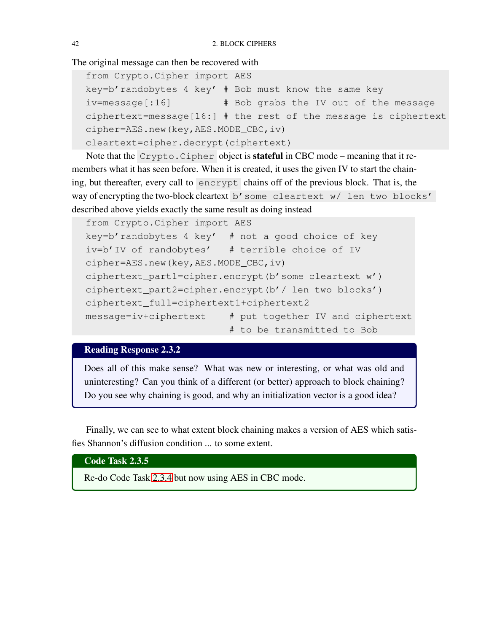The original message can then be recovered with

```
from Crypto.Cipher import AES
key=b'randobytes 4 key' # Bob must know the same key
iv=message[:16] # Bob grabs the IV out of the message
ciphertext=message[16:] # the rest of the message is ciphertext
cipher=AES.new(key,AES.MODE_CBC,iv)
cleartext=cipher.decrypt(ciphertext)
```
Note that the Crypto.Cipher object is stateful in CBC mode – meaning that it remembers what it has seen before. When it is created, it uses the given IV to start the chaining, but thereafter, every call to encrypt chains off of the previous block. That is, the way of encrypting the two-block cleartext b'some cleartext w/ len two blocks' described above yields exactly the same result as doing instead

```
from Crypto.Cipher import AES
key=b'randobytes 4 key' # not a good choice of key
iv=b'IV of randobytes' # terrible choice of IV
cipher=AES.new(key,AES.MODE_CBC,iv)
ciphertext_part1=cipher.encrypt(b'some cleartext w')
ciphertext_part2=cipher.encrypt(b'/ len two blocks')
ciphertext_full=ciphertext1+ciphertext2
message=iv+ciphertext # put together IV and ciphertext
                         # to be transmitted to Bob
```
# Reading Response 2.3.2

Does all of this make sense? What was new or interesting, or what was old and uninteresting? Can you think of a different (or better) approach to block chaining? Do you see why chaining is good, and why an initialization vector is a good idea?

Finally, we can see to what extent block chaining makes a version of AES which satisfies Shannon's diffusion condition ... to some extent.

Code Task 2.3.5

Re-do Code Task [2.3.4](#page-46-0) but now using AES in CBC mode.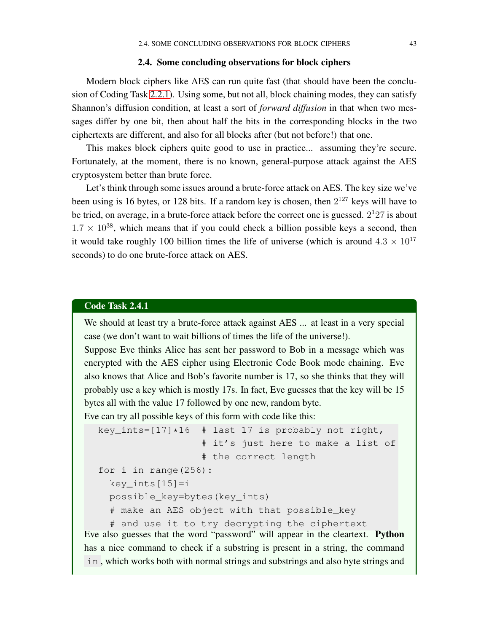### 2.4. Some concluding observations for block ciphers

Modern block ciphers like AES can run quite fast (that should have been the conclusion of Coding Task [2.2.1\)](#page-42-0). Using some, but not all, block chaining modes, they can satisfy Shannon's diffusion condition, at least a sort of *forward diffusion* in that when two messages differ by one bit, then about half the bits in the corresponding blocks in the two ciphertexts are different, and also for all blocks after (but not before!) that one.

This makes block ciphers quite good to use in practice... assuming they're secure. Fortunately, at the moment, there is no known, general-purpose attack against the AES cryptosystem better than brute force.

Let's think through some issues around a brute-force attack on AES. The key size we've been using is 16 bytes, or 128 bits. If a random key is chosen, then  $2^{127}$  keys will have to be tried, on average, in a brute-force attack before the correct one is guessed.  $2^{1}27$  is about  $1.7 \times 10^{38}$ , which means that if you could check a billion possible keys a second, then it would take roughly 100 billion times the life of universe (which is around  $4.3 \times 10^{17}$ seconds) to do one brute-force attack on AES.

### Code Task 2.4.1

We should at least try a brute-force attack against AES ... at least in a very special case (we don't want to wait billions of times the life of the universe!).

Suppose Eve thinks Alice has sent her password to Bob in a message which was encrypted with the AES cipher using Electronic Code Book mode chaining. Eve also knows that Alice and Bob's favorite number is 17, so she thinks that they will probably use a key which is mostly 17s. In fact, Eve guesses that the key will be 15 bytes all with the value 17 followed by one new, random byte.

Eve can try all possible keys of this form with code like this:

```
key_ints=[17]*16 # last 17 is probably not right,
                        # it's just here to make a list of
                        # the correct length
  for i in range(256):
     key\_ints[15]=ipossible_key=bytes(key_ints)
     # make an AES object with that possible_key
     # and use it to try decrypting the ciphertext
Eve also guesses that the word "password" will appear in the cleartext. Python
has a nice command to check if a substring is present in a string, the command
in , which works both with normal strings and substrings and also byte strings and
```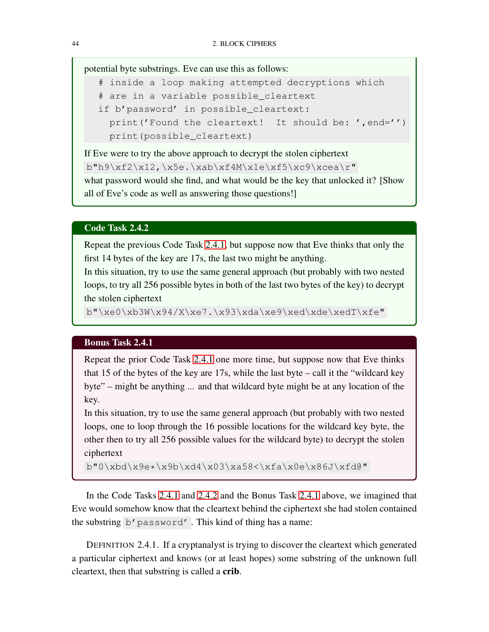potential byte substrings. Eve can use this as follows:

```
# inside a loop making attempted decryptions which
# are in a variable possible_cleartext
if b'password' in possible_cleartext:
  print ('Found the cleartext! It should be: ', end='')
 print(possible_cleartext)
```
If Eve were to try the above approach to decrypt the stolen ciphertext b"h9\xf2\x12,\x5e.\xab\xf4M\x1e\xf5\xc9\xcea\r" what password would she find, and what would be the key that unlocked it? [Show all of Eve's code as well as answering those questions!]

### Code Task 2.4.2

Repeat the previous Code Task [2.4.1,](#page-50-0) but suppose now that Eve thinks that only the first 14 bytes of the key are 17s, the last two might be anything.

In this situation, try to use the same general approach (but probably with two nested loops, to try all 256 possible bytes in both of the last two bytes of the key) to decrypt the stolen ciphertext

<span id="page-51-0"></span>b"\xe0\xb3W\x94/X\xe7.\x93\xda\xe9\xed\xde\xedT\xfe"

### Bonus Task 2.4.1

Repeat the prior Code Task [2.4.1](#page-50-0) one more time, but suppose now that Eve thinks that 15 of the bytes of the key are 17s, while the last byte – call it the "wildcard key byte" – might be anything ... and that wildcard byte might be at any location of the key.

In this situation, try to use the same general approach (but probably with two nested loops, one to loop through the 16 possible locations for the wildcard key byte, the other then to try all 256 possible values for the wildcard byte) to decrypt the stolen ciphertext

```
b"0\xbd\x9e*\x9b\xd4\x03\xa58<\xfa\x0e\x86J\xfd@"
```
In the Code Tasks [2.4.1](#page-50-0) and [2.4.2](#page-51-0) and the Bonus Task [2.4.1](#page-51-1) above, we imagined that Eve would somehow know that the cleartext behind the ciphertext she had stolen contained the substring b'password' . This kind of thing has a name:

DEFINITION 2.4.1. If a cryptanalyst is trying to discover the cleartext which generated a particular ciphertext and knows (or at least hopes) some substring of the unknown full cleartext, then that substring is called a crib.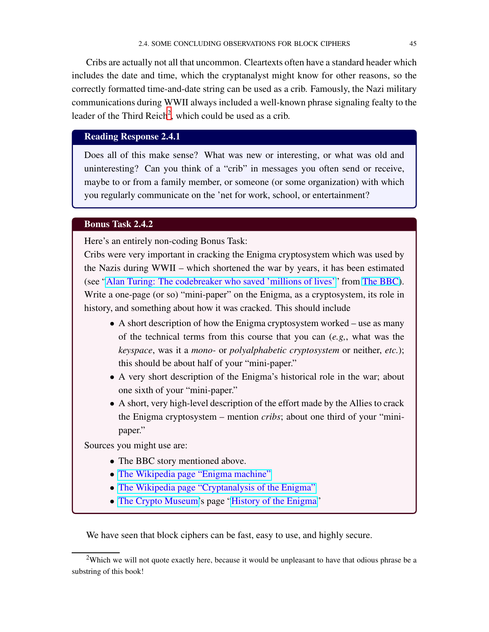Cribs are actually not all that uncommon. Cleartexts often have a standard header which includes the date and time, which the cryptanalyst might know for other reasons, so the correctly formatted time-and-date string can be used as a crib. Famously, the Nazi military communications during WWII always included a well-known phrase signaling fealty to the leader of the Third Reich<sup>[2](#page-52-0)</sup>, which could be used as a crib.

# Reading Response 2.4.1

Does all of this make sense? What was new or interesting, or what was old and uninteresting? Can you think of a "crib" in messages you often send or receive, maybe to or from a family member, or someone (or some organization) with which you regularly communicate on the 'net for work, school, or entertainment?

### Bonus Task 2.4.2

Here's an entirely non-coding Bonus Task:

Cribs were very important in cracking the Enigma cryptosystem which was used by the Nazis during WWII – which shortened the war by years, it has been estimated (see ["Alan Turing: The codebreaker who saved 'millions of lives'"](https://www.bbc.com/news/technology-18419691) from [The BBC\)](https://www.bbc.com/). Write a one-page (or so) "mini-paper" on the Enigma, as a cryptosystem, its role in history, and something about how it was cracked. This should include

- A short description of how the Enigma cryptosystem worked use as many of the technical terms from this course that you can (*e.g,*, what was the *keyspace*, was it a *mono-* or *polyalphabetic cryptosystem* or neither, *etc.*); this should be about half of your "mini-paper."
- A very short description of the Enigma's historical role in the war; about one sixth of your "mini-paper."
- A short, very high-level description of the effort made by the Allies to crack the Enigma cryptosystem – mention *cribs*; about one third of your "minipaper."

Sources you might use are:

- The BBC story mentioned above.
- [The Wikipedia page "Enigma machine"](https://en.wikipedia.org/wiki/Enigma_machine)
- [The Wikipedia page "Cryptanalysis of the Enigma"](https://en.wikipedia.org/wiki/Cryptanalysis_of_the_Enigma)
- [The Crypto Museum'](https://cryptomuseum.com/index.htm)s page ["History of the Enigma"](https://cryptomuseum.com/crypto/enigma/hist.htm)

We have seen that block ciphers can be fast, easy to use, and highly secure.

<span id="page-52-0"></span><sup>&</sup>lt;sup>2</sup>Which we will not quote exactly here, because it would be unpleasant to have that odious phrase be a substring of this book!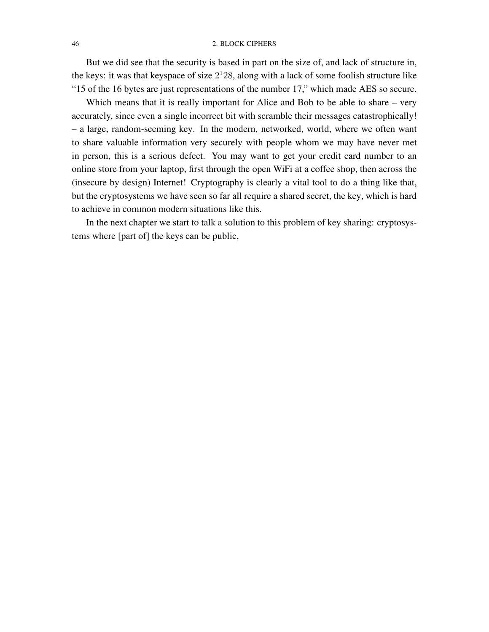#### 46 2. BLOCK CIPHERS

But we did see that the security is based in part on the size of, and lack of structure in, the keys: it was that keyspace of size  $2<sup>1</sup>28$ , along with a lack of some foolish structure like "15 of the 16 bytes are just representations of the number 17," which made AES so secure.

Which means that it is really important for Alice and Bob to be able to share – very accurately, since even a single incorrect bit with scramble their messages catastrophically! – a large, random-seeming key. In the modern, networked, world, where we often want to share valuable information very securely with people whom we may have never met in person, this is a serious defect. You may want to get your credit card number to an online store from your laptop, first through the open WiFi at a coffee shop, then across the (insecure by design) Internet! Cryptography is clearly a vital tool to do a thing like that, but the cryptosystems we have seen so far all require a shared secret, the key, which is hard to achieve in common modern situations like this.

In the next chapter we start to talk a solution to this problem of key sharing: cryptosystems where [part of] the keys can be public,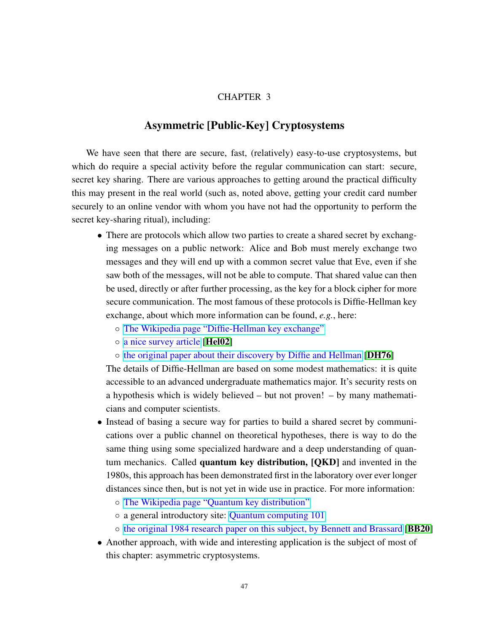### CHAPTER 3

# Asymmetric [Public-Key] Cryptosystems

We have seen that there are secure, fast, (relatively) easy-to-use cryptosystems, but which do require a special activity before the regular communication can start: secure, secret key sharing. There are various approaches to getting around the practical difficulty this may present in the real world (such as, noted above, getting your credit card number securely to an online vendor with whom you have not had the opportunity to perform the secret key-sharing ritual), including:

- There are protocols which allow two parties to create a shared secret by exchanging messages on a public network: Alice and Bob must merely exchange two messages and they will end up with a common secret value that Eve, even if she saw both of the messages, will not be able to compute. That shared value can then be used, directly or after further processing, as the key for a block cipher for more secure communication. The most famous of these protocols is Diffie-Hellman key exchange, about which more information can be found, *e.g.*, here:
	- [The Wikipedia page "Diffie-Hellman key exchange"](https://en.wikipedia.org/wiki/Diffie-Hellman_key_exchange)
	- [a nice survey article](https://ieeexplore.ieee.org/document/1006971) [[Hel02](#page-86-2)]
	- [the original paper about their discovery by Diffie and Hellman](https://citeseerx.ist.psu.edu/viewdoc/summary?doi=10.1.1.37.9720) [[DH76](#page-86-3)]

The details of Diffie-Hellman are based on some modest mathematics: it is quite accessible to an advanced undergraduate mathematics major. It's security rests on a hypothesis which is widely believed – but not proven! – by many mathematicians and computer scientists.

- Instead of basing a secure way for parties to build a shared secret by communications over a public channel on theoretical hypotheses, there is way to do the same thing using some specialized hardware and a deep understanding of quantum mechanics. Called quantum key distribution, [QKD] and invented in the 1980s, this approach has been demonstrated first in the laboratory over ever longer distances since then, but is not yet in wide use in practice. For more information:
	- [The Wikipedia page "Quantum key distribution"](https://en.wikipedia.org/wiki/Quantum_key_distribution)
	- a general introductory site: [Quantum computing 101](https://web.archive.org/web/20131225083723/https://uwaterloo.ca/institute-for-quantum-computing/quantum-computing-101)
	- [the original 1984 research paper on this subject, by Bennett](https://arxiv.org/pdf/2003.06557.pdf) and Brassard [[BB20](#page-86-4)]
- Another approach, with wide and interesting application is the subject of most of this chapter: asymmetric cryptosystems.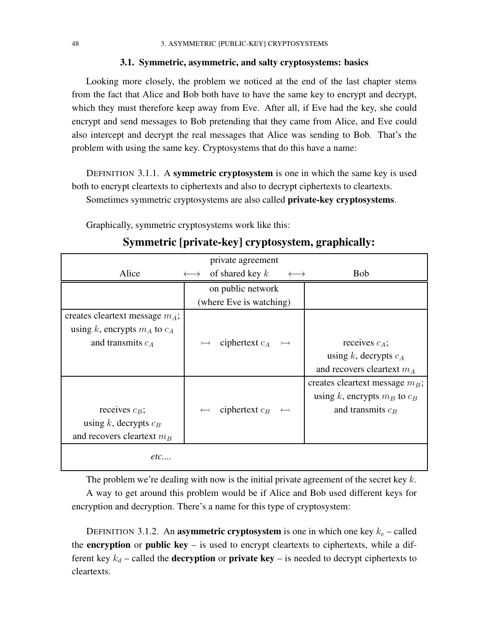### 3.1. Symmetric, asymmetric, and salty cryptosystems: basics

Looking more closely, the problem we noticed at the end of the last chapter stems from the fact that Alice and Bob both have to have the same key to encrypt and decrypt, which they must therefore keep away from Eve. After all, if Eve had the key, she could encrypt and send messages to Bob pretending that they came from Alice, and Eve could also intercept and decrypt the real messages that Alice was sending to Bob. That's the problem with using the same key. Cryptosystems that do this have a name:

DEFINITION 3.1.1. A symmetric cryptosystem is one in which the same key is used both to encrypt cleartexts to ciphertexts and also to decrypt ciphertexts to cleartexts. Sometimes symmetric cryptosystems are also called private-key cryptosystems.

Graphically, symmetric cryptosystems work like this:

| private agreement                 |                                                             |                                   |  |  |
|-----------------------------------|-------------------------------------------------------------|-----------------------------------|--|--|
| Alice                             | of shared key $k$<br>$\longleftrightarrow$<br>$\rightarrow$ | <b>Bob</b>                        |  |  |
|                                   | on public network                                           |                                   |  |  |
|                                   | (where Eve is watching)                                     |                                   |  |  |
| creates cleartext message $m_A$ ; |                                                             |                                   |  |  |
| using k, encrypts $m_A$ to $c_A$  |                                                             |                                   |  |  |
| and transmits $c_A$               | ciphertext $c_A \rightarrow$                                | receives $c_A$ ;                  |  |  |
|                                   |                                                             | using k, decrypts $c_A$           |  |  |
|                                   |                                                             | and recovers cleartext $m_A$      |  |  |
|                                   |                                                             | creates cleartext message $m_B$ ; |  |  |
|                                   |                                                             | using k, encrypts $m_B$ to $c_B$  |  |  |
| receives $c_B$ ;                  | ciphertext $c_B$                                            | and transmits $c_B$               |  |  |
| using k, decrypts $c_B$           |                                                             |                                   |  |  |
| and recovers cleartext $m_B$      |                                                             |                                   |  |  |
| etc                               |                                                             |                                   |  |  |

# Symmetric [private-key] cryptosystem, graphically:

The problem we're dealing with now is the initial private agreement of the secret key  $k$ . A way to get around this problem would be if Alice and Bob used different keys for encryption and decryption. There's a name for this type of cryptosystem:

DEFINITION 3.1.2. An asymmetric cryptosystem is one in which one key  $k_e$  – called the encryption or public key  $-$  is used to encrypt cleartexts to ciphertexts, while a different key  $k_d$  – called the **decryption** or **private key** – is needed to decrypt ciphertexts to cleartexts.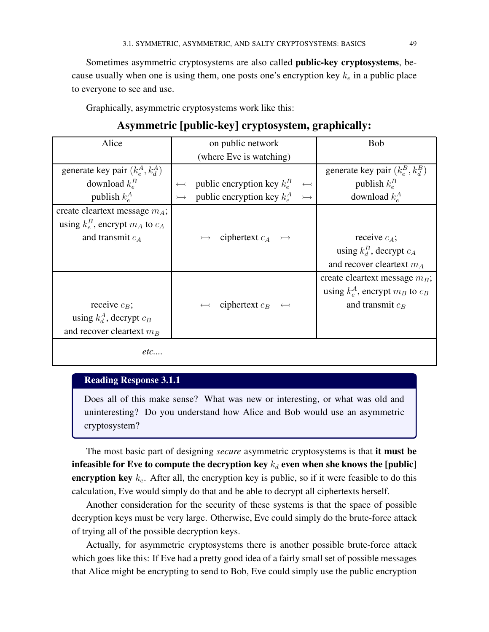Sometimes asymmetric cryptosystems are also called public-key cryptosystems, because usually when one is using them, one posts one's encryption key  $k_e$  in a public place to everyone to see and use.

Graphically, asymmetric cryptosystems work like this:

# Asymmetric [public-key] cryptosystem, graphically:

| Alice                                  |                       | on public network                          |                       | <b>Bob</b>                             |
|----------------------------------------|-----------------------|--------------------------------------------|-----------------------|----------------------------------------|
|                                        |                       | (where Eve is watching)                    |                       |                                        |
| generate key pair $(k_e^A, k_d^A)$     |                       |                                            |                       | generate key pair $(k_e^B, k_d^B)$     |
| download $k_e^B$                       | $\longleftrightarrow$ | public encryption key $k_e^B$              | $\longleftrightarrow$ | publish $k_e^B$                        |
| publish $k_e^A$                        | $\rightarrowtail$     | public encryption key $k_e^A \rightarrow$  |                       | download $k_e^A$                       |
| create cleartext message $m_A$ ;       |                       |                                            |                       |                                        |
| using $k_e^B$ , encrypt $m_A$ to $c_A$ |                       |                                            |                       |                                        |
| and transmit $c_A$                     |                       | $\rightarrow$ ciphertext $c_A \rightarrow$ |                       | receive $c_A$ ;                        |
|                                        |                       |                                            |                       | using $k_d^B$ , decrypt $c_A$          |
|                                        |                       |                                            |                       | and recover cleartext $m_A$            |
|                                        |                       |                                            |                       | create cleartext message $m_B$ ;       |
|                                        |                       |                                            |                       | using $k_e^A$ , encrypt $m_B$ to $c_B$ |
| receive $c_B$ ;                        |                       | ciphertext $c_B \leftrightarrow$           |                       | and transmit $c_B$                     |
| using $k_d^A$ , decrypt $c_B$          |                       |                                            |                       |                                        |
| and recover cleartext $m_B$            |                       |                                            |                       |                                        |
| etc                                    |                       |                                            |                       |                                        |

# Reading Response 3.1.1

Does all of this make sense? What was new or interesting, or what was old and uninteresting? Do you understand how Alice and Bob would use an asymmetric cryptosystem?

The most basic part of designing *secure* asymmetric cryptosystems is that it must be infeasible for Eve to compute the decryption key  $k_d$  even when she knows the [public] encryption key  $k_e$ . After all, the encryption key is public, so if it were feasible to do this calculation, Eve would simply do that and be able to decrypt all ciphertexts herself.

Another consideration for the security of these systems is that the space of possible decryption keys must be very large. Otherwise, Eve could simply do the brute-force attack of trying all of the possible decryption keys.

Actually, for asymmetric cryptosystems there is another possible brute-force attack which goes like this: If Eve had a pretty good idea of a fairly small set of possible messages that Alice might be encrypting to send to Bob, Eve could simply use the public encryption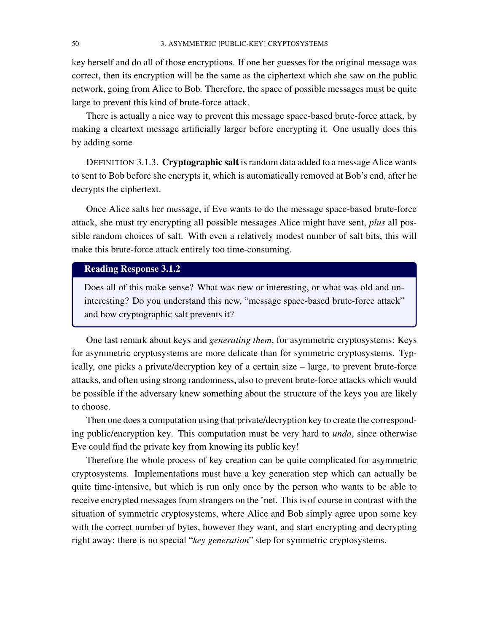key herself and do all of those encryptions. If one her guesses for the original message was correct, then its encryption will be the same as the ciphertext which she saw on the public network, going from Alice to Bob. Therefore, the space of possible messages must be quite large to prevent this kind of brute-force attack.

There is actually a nice way to prevent this message space-based brute-force attack, by making a cleartext message artificially larger before encrypting it. One usually does this by adding some

DEFINITION 3.1.3. Cryptographic salt is random data added to a message Alice wants to sent to Bob before she encrypts it, which is automatically removed at Bob's end, after he decrypts the ciphertext.

Once Alice salts her message, if Eve wants to do the message space-based brute-force attack, she must try encrypting all possible messages Alice might have sent, *plus* all possible random choices of salt. With even a relatively modest number of salt bits, this will make this brute-force attack entirely too time-consuming.

# Reading Response 3.1.2

Does all of this make sense? What was new or interesting, or what was old and uninteresting? Do you understand this new, "message space-based brute-force attack" and how cryptographic salt prevents it?

One last remark about keys and *generating them*, for asymmetric cryptosystems: Keys for asymmetric cryptosystems are more delicate than for symmetric cryptosystems. Typically, one picks a private/decryption key of a certain size – large, to prevent brute-force attacks, and often using strong randomness, also to prevent brute-force attacks which would be possible if the adversary knew something about the structure of the keys you are likely to choose.

Then one does a computation using that private/decryption key to create the corresponding public/encryption key. This computation must be very hard to *undo*, since otherwise Eve could find the private key from knowing its public key!

Therefore the whole process of key creation can be quite complicated for asymmetric cryptosystems. Implementations must have a key generation step which can actually be quite time-intensive, but which is run only once by the person who wants to be able to receive encrypted messages from strangers on the 'net. This is of course in contrast with the situation of symmetric cryptosystems, where Alice and Bob simply agree upon some key with the correct number of bytes, however they want, and start encrypting and decrypting right away: there is no special "*key generation*" step for symmetric cryptosystems.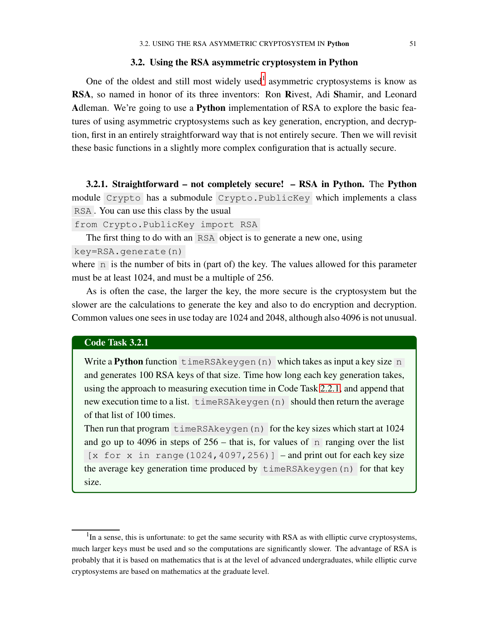### 3.2. Using the RSA asymmetric cryptosystem in Python

<span id="page-58-1"></span>One of the oldest and still most widely used<sup>[1](#page-58-0)</sup> asymmetric cryptosystems is know as RSA, so named in honor of its three inventors: Ron Rivest, Adi Shamir, and Leonard Adleman. We're going to use a Python implementation of RSA to explore the basic features of using asymmetric cryptosystems such as key generation, encryption, and decryption, first in an entirely straightforward way that is not entirely secure. Then we will revisit these basic functions in a slightly more complex configuration that is actually secure.

3.2.1. Straightforward – not completely secure! – RSA in Python. The Python module Crypto has a submodule Crypto.PublicKey which implements a class RSA . You can use this class by the usual

from Crypto.PublicKey import RSA

The first thing to do with an RSA object is to generate a new one, using

key=RSA.generate(n)

where  $n$  is the number of bits in (part of) the key. The values allowed for this parameter must be at least 1024, and must be a multiple of 256.

As is often the case, the larger the key, the more secure is the cryptosystem but the slower are the calculations to generate the key and also to do encryption and decryption. Common values one sees in use today are 1024 and 2048, although also 4096 is not unusual.

### Code Task 3.2.1

Write a Python function timeRSAkeygen(n) which takes as input a key size n and generates 100 RSA keys of that size. Time how long each key generation takes, using the approach to measuring execution time in Code Task [2.2.1,](#page-42-0) and append that new execution time to a list. timeRSAkeygen(n) should then return the average of that list of 100 times.

Then run that program timeRSAkeygen(n) for the key sizes which start at 1024 and go up to 4096 in steps of  $256$  – that is, for values of  $\overline{p}$  ranging over the list  $[x for x in range(1024, 4097, 256)]$  – and print out for each key size the average key generation time produced by timeRSAkeygen(n) for that key size.

<span id="page-58-0"></span><sup>&</sup>lt;sup>1</sup>In a sense, this is unfortunate: to get the same security with RSA as with elliptic curve cryptosystems, much larger keys must be used and so the computations are significantly slower. The advantage of RSA is probably that it is based on mathematics that is at the level of advanced undergraduates, while elliptic curve cryptosystems are based on mathematics at the graduate level.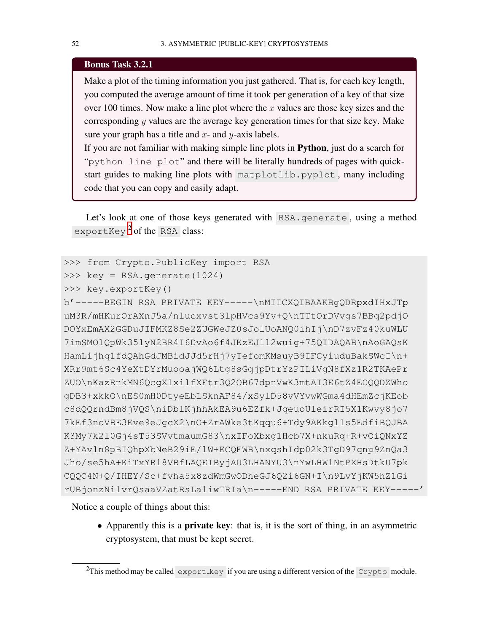### Bonus Task 3.2.1

Make a plot of the timing information you just gathered. That is, for each key length, you computed the average amount of time it took per generation of a key of that size over 100 times. Now make a line plot where the  $x$  values are those key sizes and the corresponding y values are the average key generation times for that size key. Make sure your graph has a title and  $x$ - and  $y$ -axis labels.

If you are not familiar with making simple line plots in Python, just do a search for "python line plot" and there will be literally hundreds of pages with quickstart guides to making line plots with matplotlib.pyplot , many including code that you can copy and easily adapt.

Let's look at one of those keys generated with RSA. generate, using a method exportKey<sup>[2](#page-59-0)</sup> of the RSA class:

```
>>> from Crypto.PublicKey import RSA
```

```
>>> key = RSA.generate(1024)
```

```
>>> key.exportKey()
```
b'-----BEGIN RSA PRIVATE KEY-----\nMIICXQIBAAKBgQDRpxdIHxJTp uM3R/mHKurOrAXnJ5a/nlucxvst3lpHVcs9Yv+Q\nTTtOrDVvgs7BBq2pdjO DOYxEmAX2GGDuJIFMKZ8Se2ZUGWeJZ0sJolUoANQ0ihIj\nD7zvFz40kuWLU 7imSMOlQpWk35lyN2BR4I6DvAo6f4JKzEJ1l2wuig+75QIDAQAB\nAoGAQsK HamLijhq1fdQAhGdJMBidJJd5rHj7yTefomKMsuyB9IFCyiuduBakSWcI\n+ XRr9mt6Sc4YeXtDYrMuooajWQ6Ltg8sGqjpDtrYzPILiVgN8fXz1R2TKAePr ZUO\nKazRnkMN6QcgX1xilfXFtr3Q2OB67dpnVwK3mtAI3E6tZ4ECQQDZWho gDB3+xkkO\nES0mH0DtyeEbLSknAF84/xSylD58vVYvwWGma4dHEmZcjKEob c8dQQrndBm8jVQS\niDblKjhhAkEA9u6EZfk+JqeuoUleirRI5X1Kwvy8jo7 7kEf3noVBE3Eve9eJgcX2\nO+ZrAWke3tKqqu6+Tdy9AKkgl1s5EdfiBQJBA K3My7k2l0Gj4sT53SVvtmaumG83\nxIFoXbxg1Hcb7X+nkuRq+R+vOiQNxYZ Z+YAvln8pBIQhpXbNeB29iE/lW+ECQFWB\nxqshIdp02k3TgD97qnp9ZnQa3 Jho/se5hA+KiTxYR18VBfLAQEIByjAU3LHANYU3\nYwLHW1NtPXHsDtkU7pk CQQC4N+Q/IHEY/Sc+fvha5x8zdWmGwODheGJ6Q2i6GN+I\n9LvYjKW5hZ1Gi rUBjonzNi1vrQsaaVZatRsLa1iwTRIa\n-----END RSA PRIVATE KEY-----'

Notice a couple of things about this:

• Apparently this is a **private key**: that is, it is the sort of thing, in an asymmetric cryptosystem, that must be kept secret.

<span id="page-59-0"></span><sup>&</sup>lt;sup>2</sup>This method may be called export key if you are using a different version of the Crypto module.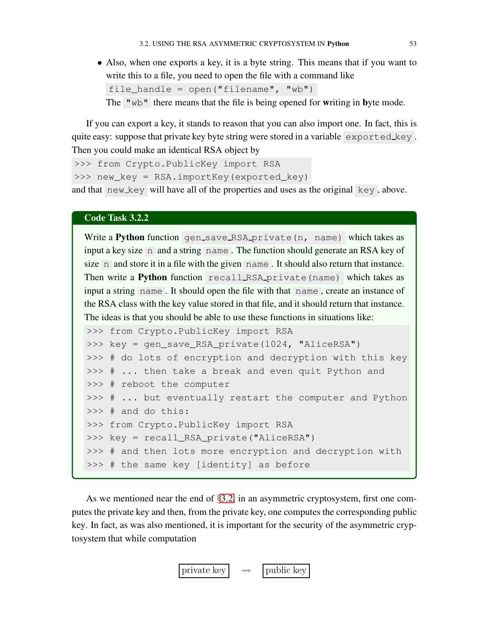• Also, when one exports a key, it is a byte string. This means that if you want to write this to a file, you need to open the file with a command like file\_handle = open("filename", "wb") The " $wb$ " there means that the file is being opened for writing in byte mode.

If you can export a key, it stands to reason that you can also import one. In fact, this is quite easy: suppose that private key byte string were stored in a variable exported key. Then you could make an identical RSA object by

```
>>> from Crypto.PublicKey import RSA
```
>>> new\_key = RSA.importKey(exported\_key)

and that  $new_{key}$  will have all of the properties and uses as the original  $key$ , above.

### Code Task 3.2.2

Write a Python function gen\_save\_RSA\_private(n, name) which takes as input a key size n and a string name . The function should generate an RSA key of size n and store it in a file with the given name. It should also return that instance. Then write a Python function recall RSA private (name) which takes as input a string name . It should open the file with that name , create an instance of the RSA class with the key value stored in that file, and it should return that instance. The ideas is that you should be able to use these functions in situations like:

```
>>> from Crypto.PublicKey import RSA
>>> key = gen_save_RSA_private(1024, "AliceRSA")
>>> # do lots of encryption and decryption with this key
>>> # ... then take a break and even quit Python and
>>> # reboot the computer
>>> # ... but eventually restart the computer and Python
>>> # and do this:
>>> from Crypto.PublicKey import RSA
>>> key = recall_RSA_private("AliceRSA")
>>> # and then lots more encryption and decryption with
>>> # the same key [identity] as before
```
<span id="page-60-0"></span>As we mentioned near the end of §[3.2,](#page-58-1) in an asymmetric cryptosystem, first one computes the private key and then, from the private key, one computes the corresponding public key. In fact, as was also mentioned, it is important for the security of the asymmetric cryptosystem that while computation

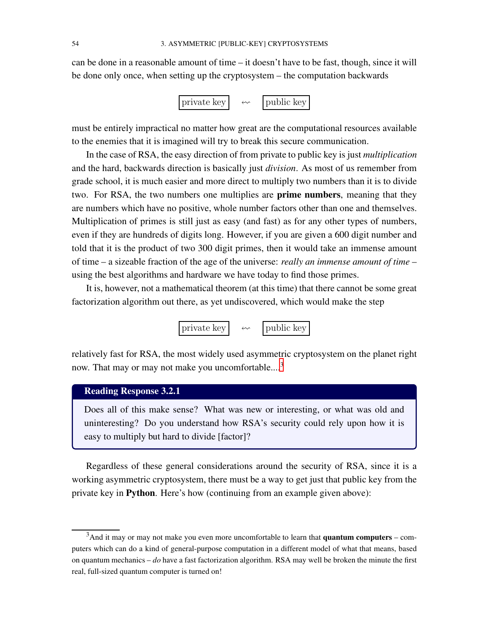can be done in a reasonable amount of time – it doesn't have to be fast, though, since it will be done only once, when setting up the cryptosystem – the computation backwards

$$
\boxed{\text{private key}} \quad \ \ \leftarrow \quad \ \ \boxed{\text{public key}}
$$

must be entirely impractical no matter how great are the computational resources available to the enemies that it is imagined will try to break this secure communication.

In the case of RSA, the easy direction of from private to public key is just *multiplication* and the hard, backwards direction is basically just *division*. As most of us remember from grade school, it is much easier and more direct to multiply two numbers than it is to divide two. For RSA, the two numbers one multiplies are **prime numbers**, meaning that they are numbers which have no positive, whole number factors other than one and themselves. Multiplication of primes is still just as easy (and fast) as for any other types of numbers, even if they are hundreds of digits long. However, if you are given a 600 digit number and told that it is the product of two 300 digit primes, then it would take an immense amount of time – a sizeable fraction of the age of the universe: *really an immense amount of time* – using the best algorithms and hardware we have today to find those primes.

It is, however, not a mathematical theorem (at this time) that there cannot be some great factorization algorithm out there, as yet undiscovered, which would make the step



relatively fast for RSA, the most widely used asymmetric cryptosystem on the planet right now. That may or may not make you uncomfortable....[3](#page-61-0)

# Reading Response 3.2.1

Does all of this make sense? What was new or interesting, or what was old and uninteresting? Do you understand how RSA's security could rely upon how it is easy to multiply but hard to divide [factor]?

Regardless of these general considerations around the security of RSA, since it is a working asymmetric cryptosystem, there must be a way to get just that public key from the private key in Python. Here's how (continuing from an example given above):

<span id="page-61-0"></span> $3$ And it may or may not make you even more uncomfortable to learn that **quantum computers** – computers which can do a kind of general-purpose computation in a different model of what that means, based on quantum mechanics – *do* have a fast factorization algorithm. RSA may well be broken the minute the first real, full-sized quantum computer is turned on!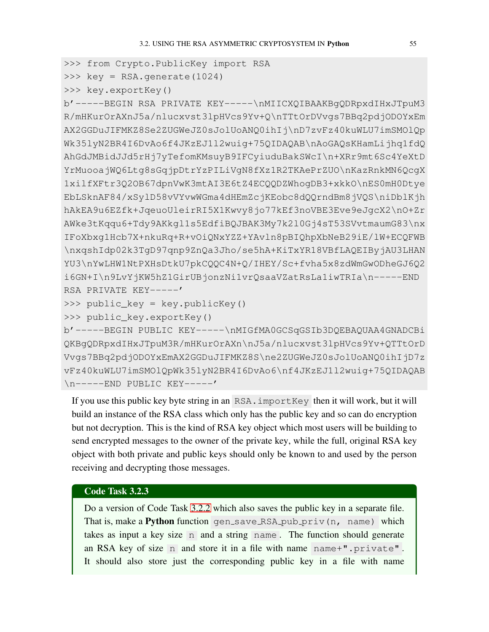```
>>> from Crypto.PublicKey import RSA
```

```
>>> key = RSA.generate(1024)
```

```
>>> key.exportKey()
```
b'-----BEGIN RSA PRIVATE KEY-----\nMIICXQIBAAKBgQDRpxdIHxJTpuM3 R/mHKurOrAXnJ5a/nlucxvst3lpHVcs9Yv+Q\nTTtOrDVvgs7BBq2pdjODOYxEm AX2GGDuJIFMKZ8Se2ZUGWeJZ0sJolUoANQ0ihIj\nD7zvFz40kuWLU7imSMOlQp Wk35lyN2BR4I6DvAo6f4JKzEJ1l2wuig+75QIDAQAB\nAoGAQsKHamLijhq1fdQ AhGdJMBidJJd5rHj7yTefomKMsuyB9IFCyiuduBakSWcI\n+XRr9mt6Sc4YeXtD YrMuooajWQ6Ltg8sGqjpDtrYzPILiVgN8fXz1R2TKAePrZUO\nKazRnkMN6QcgX 1xilfXFtr3Q2OB67dpnVwK3mtAI3E6tZ4ECQQDZWhogDB3+xkkO\nES0mH0Dtye EbLSknAF84/xSylD58vVYvwWGma4dHEmZcjKEobc8dQQrndBm8jVQS\niDblKjh hAkEA9u6EZfk+JqeuoUleirRI5X1Kwvy8jo77kEf3noVBE3Eve9eJgcX2\nO+Zr AWke3tKqqu6+Tdy9AKkgl1s5EdfiBQJBAK3My7k2l0Gj4sT53SVvtmaumG83\nx IFoXbxg1Hcb7X+nkuRq+R+vOiQNxYZZ+YAvln8pBIQhpXbNeB29iE/lW+ECQFWB \nxqshIdp02k3TgD97qnp9ZnQa3Jho/se5hA+KiTxYR18VBfLAQEIByjAU3LHAN YU3\nYwLHW1NtPXHsDtkU7pkCQQC4N+Q/IHEY/Sc+fvha5x8zdWmGwODheGJ6Q2 i6GN+I\n9LvYjKW5hZ1GirUBjonzNi1vrQsaaVZatRsLa1iwTRIa\n-----END RSA PRIVATE KEY-----'

>>> public\_key = key.publicKey()

```
>>> public_key.exportKey()
```
b'-----BEGIN PUBLIC KEY-----\nMIGfMA0GCSqGSIb3DQEBAQUAA4GNADCBi QKBgQDRpxdIHxJTpuM3R/mHKurOrAXn\nJ5a/nlucxvst3lpHVcs9Yv+QTTtOrD Vvgs7BBq2pdjODOYxEmAX2GGDuJIFMKZ8S\ne2ZUGWeJZ0sJolUoANQ0ihIjD7z vFz40kuWLU7imSMOlQpWk35lyN2BR4I6DvAo6\nf4JKzEJ1l2wuig+75QIDAQAB \n-----END PUBLIC KEY-----'

If you use this public key byte string in an RSA. importKey then it will work, but it will build an instance of the RSA class which only has the public key and so can do encryption but not decryption. This is the kind of RSA key object which most users will be building to send encrypted messages to the owner of the private key, while the full, original RSA key object with both private and public keys should only be known to and used by the person receiving and decrypting those messages.

### Code Task 3.2.3

<span id="page-62-0"></span>Do a version of Code Task [3.2.2](#page-60-0) which also saves the public key in a separate file. That is, make a Python function gen\_save\_RSA\_pub\_priv(n, name) which takes as input a key size n and a string name . The function should generate an RSA key of size n and store it in a file with name name+".private" . It should also store just the corresponding public key in a file with name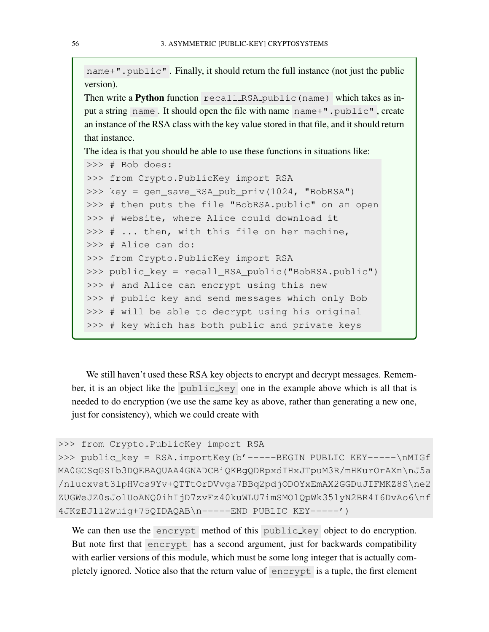name+".public". Finally, it should return the full instance (not just the public version).

Then write a Python function recall RSA public (name) which takes as input a string name . It should open the file with name name+".public" , create an instance of the RSA class with the key value stored in that file, and it should return that instance.

The idea is that you should be able to use these functions in situations like:

```
>>> # Bob does:
>>> from Crypto.PublicKey import RSA
>>> key = gen_save_RSA_pub_priv(1024, "BobRSA")
>>> # then puts the file "BobRSA.public" on an open
>>> # website, where Alice could download it
>>> # ... then, with this file on her machine,
>>> # Alice can do:
>>> from Crypto.PublicKey import RSA
>>> public_key = recall_RSA_public("BobRSA.public")
>>> # and Alice can encrypt using this new
>>> # public key and send messages which only Bob
>>> # will be able to decrypt using his original
>>> # key which has both public and private keys
```
We still haven't used these RSA key objects to encrypt and decrypt messages. Remember, it is an object like the public key one in the example above which is all that is needed to do encryption (we use the same key as above, rather than generating a new one, just for consistency), which we could create with

```
>>> from Crypto.PublicKey import RSA
>>> public_key = RSA.importKey(b'-----BEGIN PUBLIC KEY-----\nMIGf
MA0GCSqGSIb3DQEBAQUAA4GNADCBiQKBgQDRpxdIHxJTpuM3R/mHKurOrAXn\nJ5a
/nlucxvst3lpHVcs9Yv+QTTtOrDVvgs7BBq2pdjODOYxEmAX2GGDuJIFMKZ8S\ne2
ZUGWeJZ0sJolUoANQ0ihIjD7zvFz40kuWLU7imSMOlQpWk35lyN2BR4I6DvAo6\nf
4JKzEJ1l2wuig+75QIDAQAB\n-----END PUBLIC KEY-----')
```
We can then use the encrypt method of this public key object to do encryption. But note first that encrypt has a second argument, just for backwards compatibility with earlier versions of this module, which must be some long integer that is actually completely ignored. Notice also that the return value of encrypt is a tuple, the first element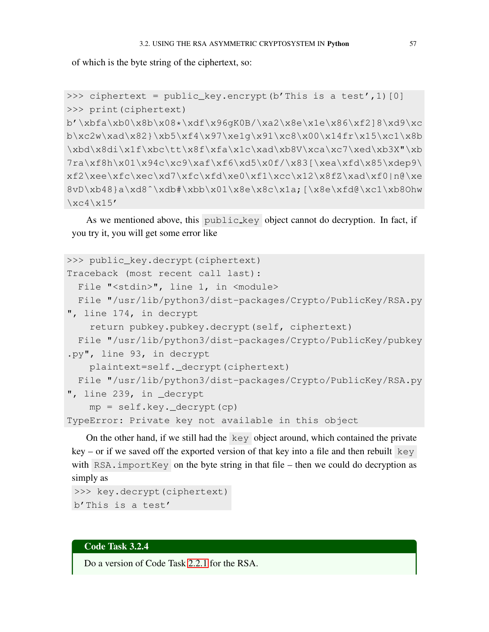of which is the byte string of the ciphertext, so:

```
>>> ciphertext = public_key.encrypt(b'This is a test', 1) [0]
>>> print(ciphertext)
b'\xbfa\xb0\x8b\x08*\xdf\x96gK0B/\xa2\x8e\x1e\x86\xf2]8\xd9\xc
b\xc2w\xad\x82}\xb5\xf4\x97\xe1g\x91\xc8\x00\x14fr\x15\xc1\x8b
\xbd\x8di\x1f\xbc\tt\x8f\xfa\x1c\xad\xb8V\xca\xc7\xed\xb3X"\xb
7ra\xf8h\x01\x94c\xc9\xaf\xf6\xd5\x0f/\x83[\xea\xfd\x85\xdep9\xf2\xee\xec\xd7\xfc\xde0\xde0\xde0\xde0\xde0\xde08VD\xb48}a\xd8^\\xdb#\xbb\x01\x8e\x1a;[\x8e\xfd@\xc1\xb80hw]\xc4\x15'
```
As we mentioned above, this public key object cannot do decryption. In fact, if you try it, you will get some error like

```
>>> public_key.decrypt(ciphertext)
Traceback (most recent call last):
  File "<stdin>", line 1, in <module>
 File "/usr/lib/python3/dist-packages/Crypto/PublicKey/RSA.py
", line 174, in decrypt
    return pubkey.pubkey.decrypt(self, ciphertext)
 File "/usr/lib/python3/dist-packages/Crypto/PublicKey/pubkey
.py", line 93, in decrypt
    plaintext=self._decrypt(ciphertext)
 File "/usr/lib/python3/dist-packages/Crypto/PublicKey/RSA.py
", line 239, in _decrypt
    mp = self.key._decrypt(cp)
TypeError: Private key not available in this object
```
On the other hand, if we still had the key object around, which contained the private  $key - or if we saved off the exported version of that key into a file and then rebuild key$ with RSA. importKey on the byte string in that file – then we could do decryption as simply as

```
>>> key.decrypt(ciphertext)
b'This is a test'
```
### Code Task 3.2.4

<span id="page-64-0"></span>Do a version of Code Task [2.2.1](#page-42-0) for the RSA.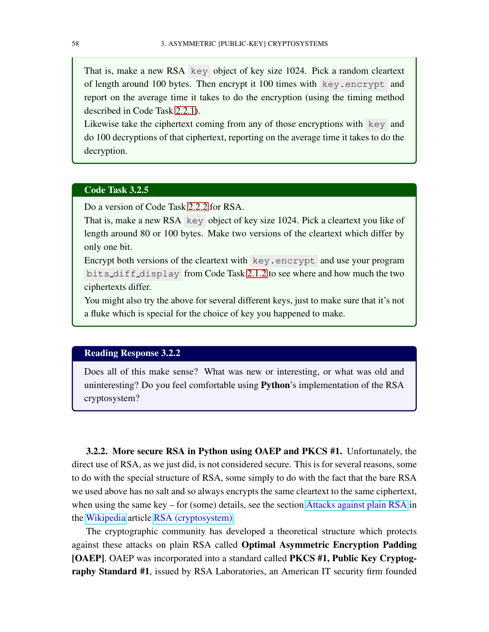That is, make a new RSA key object of key size 1024. Pick a random cleartext of length around 100 bytes. Then encrypt it 100 times with key.encrypt and report on the average time it takes to do the encryption (using the timing method described in Code Task [2.2.1\)](#page-42-0).

Likewise take the ciphertext coming from any of those encryptions with key and do 100 decryptions of that ciphertext, reporting on the average time it takes to do the decryption.

### Code Task 3.2.5

Do a version of Code Task [2.2.2](#page-43-0) for RSA.

That is, make a new RSA key object of key size 1024. Pick a cleartext you like of length around 80 or 100 bytes. Make two versions of the cleartext which differ by only one bit.

Encrypt both versions of the cleartext with key.encrypt and use your program bits diff display from Code Task [2.1.2](#page-39-0) to see where and how much the two ciphertexts differ.

You might also try the above for several different keys, just to make sure that it's not a fluke which is special for the choice of key you happened to make.

# Reading Response 3.2.2

Does all of this make sense? What was new or interesting, or what was old and uninteresting? Do you feel comfortable using Python's implementation of the RSA cryptosystem?

3.2.2. More secure RSA in Python using OAEP and PKCS #1. Unfortunately, the direct use of RSA, as we just did, is not considered secure. This is for several reasons, some to do with the special structure of RSA, some simply to do with the fact that the bare RSA we used above has no salt and so always encrypts the same cleartext to the same ciphertext, when using the same key – for (some) details, see the section [Attacks against plain RSA](https://en.wikipedia.org/wiki/RSA_(cryptosystem)#Attacks_against_plain_RSA) in the [Wikipedia](https://wikipedia.org) article [RSA \(cryptosystem\).](https://en.wikipedia.org/wiki/RSA_(cryptosystem))

The cryptographic community has developed a theoretical structure which protects against these attacks on plain RSA called Optimal Asymmetric Encryption Padding [OAEP]. OAEP was incorporated into a standard called PKCS #1, Public Key Cryptography Standard #1, issued by RSA Laboratories, an American IT security firm founded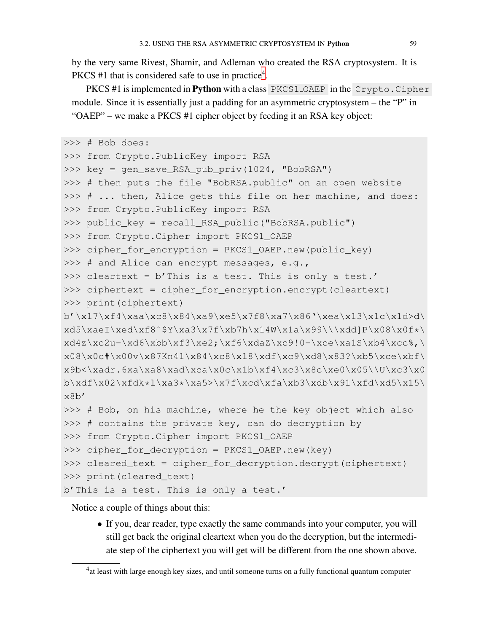by the very same Rivest, Shamir, and Adleman who created the RSA cryptosystem. It is PKCS #1 that is considered safe to use in practice<sup>[4](#page-66-0)</sup>.

PKCS #1 is implemented in Python with a class PKCS1\_OAEP in the Crypto.Cipher module. Since it is essentially just a padding for an asymmetric cryptosystem – the "P" in "OAEP" – we make a PKCS #1 cipher object by feeding it an RSA key object:

```
>>> # Bob does:
>>> from Crypto.PublicKey import RSA
>>> key = gen_save_RSA_pub_priv(1024, "BobRSA")
>>> # then puts the file "BobRSA.public" on an open website
>>> # ... then, Alice gets this file on her machine, and does:
>>> from Crypto.PublicKey import RSA
>>> public_key = recall_RSA_public("BobRSA.public")
>>> from Crypto.Cipher import PKCS1_OAEP
>>> cipher_for_encryption = PKCS1_OAEP.new(public_key)
>>> # and Alice can encrypt messages, e.g.,
>>> cleartext = b'This is a test. This is only a test.'
>>> ciphertext = cipher_for_encryption.encrypt(cleartext)
>>> print(ciphertext)
b'\x17\xf4\xaa\xc8\x84\xa9\xe5\x7f8\xa7\x86'\xea\x13\x1c\x1d>d\
xd5\xaeI\xed\xf8^*Y\xa3\x7f\xb7h\x14W\x1a\x99\\\xdd]P\x08\x0f*\xd4z\xc2u-\xd6\xbb\tf3\xe2; \xf6\xdaZ\xc9!0-\xce\xa1S\xb4\xcc\*,\x08\x0c#x00v\x87Kn41\x84\xc8\x18\xdf\xc9\xd8\x83?\xb5\xce\xbf\x9b<\xadr.6xa\xab\xa8\xad\xca\x0c\x1b\xf4\xc3\x8c\xe0\x05\U\xc3\x0b\xdf\x02\xfdk*l\xa3*\xa5>\x7f\xcd\xfa\xb3\xdb\x91\xfd\xd5\x15\
x8b'
>>> # Bob, on his machine, where he the key object which also
>>> # contains the private key, can do decryption by
>>> from Crypto.Cipher import PKCS1_OAEP
>>> cipher_for_decryption = PKCS1_OAEP.new(key)
>>> cleared_text = cipher_for_decryption.decrypt(ciphertext)
>>> print(cleared_text)
b'This is a test. This is only a test.'
```
Notice a couple of things about this:

• If you, dear reader, type exactly the same commands into your computer, you will still get back the original cleartext when you do the decryption, but the intermediate step of the ciphertext you will get will be different from the one shown above.

<span id="page-66-0"></span> $<sup>4</sup>$ at least with large enough key sizes, and until someone turns on a fully functional quantum computer</sup>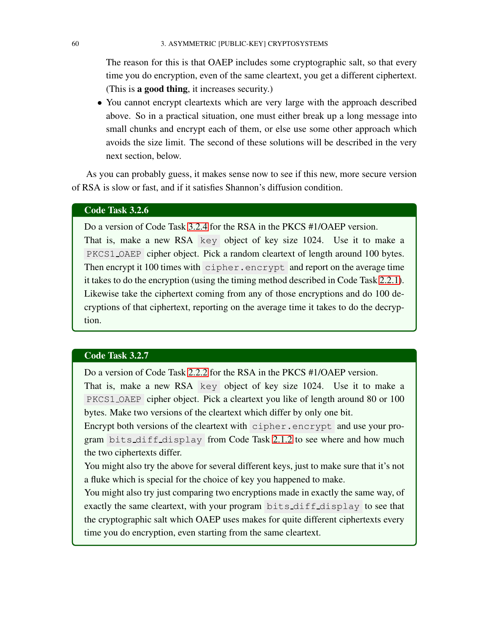The reason for this is that OAEP includes some cryptographic salt, so that every time you do encryption, even of the same cleartext, you get a different ciphertext. (This is a good thing, it increases security.)

• You cannot encrypt cleartexts which are very large with the approach described above. So in a practical situation, one must either break up a long message into small chunks and encrypt each of them, or else use some other approach which avoids the size limit. The second of these solutions will be described in the very next section, below.

As you can probably guess, it makes sense now to see if this new, more secure version of RSA is slow or fast, and if it satisfies Shannon's diffusion condition.

### Code Task 3.2.6

Do a version of Code Task [3.2.4](#page-64-0) for the RSA in the PKCS #1/OAEP version. That is, make a new RSA key object of key size 1024. Use it to make a PKCS1 OAEP cipher object. Pick a random cleartext of length around 100 bytes. Then encrypt it 100 times with cipher.encrypt and report on the average time it takes to do the encryption (using the timing method described in Code Task [2.2.1\)](#page-42-0). Likewise take the ciphertext coming from any of those encryptions and do 100 decryptions of that ciphertext, reporting on the average time it takes to do the decryption.

### <span id="page-67-0"></span>Code Task 3.2.7

Do a version of Code Task [2.2.2](#page-43-0) for the RSA in the PKCS #1/OAEP version.

That is, make a new RSA key object of key size 1024. Use it to make a PKCS1 OAEP cipher object. Pick a cleartext you like of length around 80 or 100 bytes. Make two versions of the cleartext which differ by only one bit.

Encrypt both versions of the cleartext with cipher.encrypt and use your program bits diff display from Code Task [2.1.2](#page-39-0) to see where and how much the two ciphertexts differ.

You might also try the above for several different keys, just to make sure that it's not a fluke which is special for the choice of key you happened to make.

<span id="page-67-1"></span>You might also try just comparing two encryptions made in exactly the same way, of exactly the same cleartext, with your program bits diff display to see that the cryptographic salt which OAEP uses makes for quite different ciphertexts every time you do encryption, even starting from the same cleartext.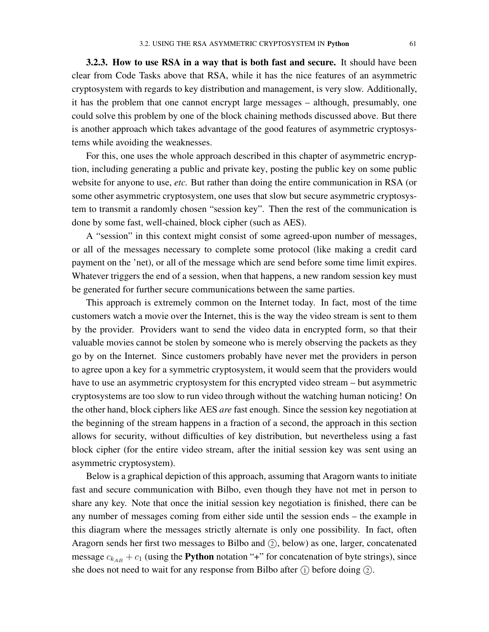3.2.3. How to use RSA in a way that is both fast and secure. It should have been clear from Code Tasks above that RSA, while it has the nice features of an asymmetric cryptosystem with regards to key distribution and management, is very slow. Additionally, it has the problem that one cannot encrypt large messages – although, presumably, one could solve this problem by one of the block chaining methods discussed above. But there is another approach which takes advantage of the good features of asymmetric cryptosystems while avoiding the weaknesses.

For this, one uses the whole approach described in this chapter of asymmetric encryption, including generating a public and private key, posting the public key on some public website for anyone to use, *etc.* But rather than doing the entire communication in RSA (or some other asymmetric cryptosystem, one uses that slow but secure asymmetric cryptosystem to transmit a randomly chosen "session key". Then the rest of the communication is done by some fast, well-chained, block cipher (such as AES).

A "session" in this context might consist of some agreed-upon number of messages, or all of the messages necessary to complete some protocol (like making a credit card payment on the 'net), or all of the message which are send before some time limit expires. Whatever triggers the end of a session, when that happens, a new random session key must be generated for further secure communications between the same parties.

This approach is extremely common on the Internet today. In fact, most of the time customers watch a movie over the Internet, this is the way the video stream is sent to them by the provider. Providers want to send the video data in encrypted form, so that their valuable movies cannot be stolen by someone who is merely observing the packets as they go by on the Internet. Since customers probably have never met the providers in person to agree upon a key for a symmetric cryptosystem, it would seem that the providers would have to use an asymmetric cryptosystem for this encrypted video stream – but asymmetric cryptosystems are too slow to run video through without the watching human noticing! On the other hand, block ciphers like AES *are* fast enough. Since the session key negotiation at the beginning of the stream happens in a fraction of a second, the approach in this section allows for security, without difficulties of key distribution, but nevertheless using a fast block cipher (for the entire video stream, after the initial session key was sent using an asymmetric cryptosystem).

Below is a graphical depiction of this approach, assuming that Aragorn wants to initiate fast and secure communication with Bilbo, even though they have not met in person to share any key. Note that once the initial session key negotiation is finished, there can be any number of messages coming from either side until the session ends – the example in this diagram where the messages strictly alternate is only one possibility. In fact, often Aragorn sends her first two messages to Bilbo and  $(2)$ , below) as one, larger, concatenated message  $c_{k_{AB}} + c_1$  (using the **Python** notation "+" for concatenation of byte strings), since she does not need to wait for any response from Bilbo after  $(1)$  before doing  $(2)$ .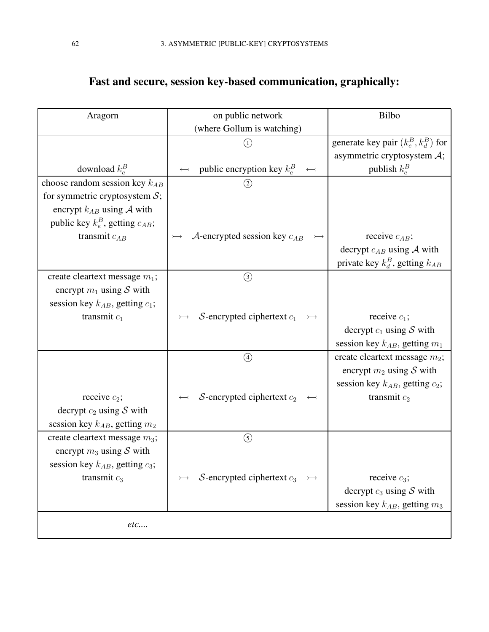| Aragorn                                 | on public network                             | <b>Bilbo</b>                           |
|-----------------------------------------|-----------------------------------------------|----------------------------------------|
|                                         | (where Gollum is watching)                    |                                        |
|                                         | (1)                                           | generate key pair $(k_e^B, k_d^B)$ for |
|                                         |                                               | asymmetric cryptosystem $A$ ;          |
| download $k_e^B$                        | public encryption key $k_e^B \leftrightarrow$ | publish $k_e^B$                        |
| choose random session key $k_{AB}$      | $\circled{2}$                                 |                                        |
| for symmetric cryptosystem $S$ ;        |                                               |                                        |
| encrypt $k_{AB}$ using A with           |                                               |                                        |
| public key $k_e^B$ , getting $c_{AB}$ ; |                                               |                                        |
| transmit $c_{AB}$                       | $A$ -encrypted session key $c_{AB}$           | receive $c_{AB}$ ;                     |
|                                         |                                               | decrypt $c_{AB}$ using A with          |
|                                         |                                               | private key $k_d^B$ , getting $k_{AB}$ |
| create cleartext message $m_1$ ;        | $\circled{3}$                                 |                                        |
| encrypt $m_1$ using S with              |                                               |                                        |
| session key $k_{AB}$ , getting $c_1$ ;  |                                               |                                        |
| transmit $c_1$                          | $S$ -encrypted ciphertext $c_1$               | receive $c_1$ ;                        |
|                                         |                                               | decrypt $c_1$ using S with             |
|                                         |                                               | session key $k_{AB}$ , getting $m_1$   |
|                                         | $\bigcirc$                                    | create cleartext message $m_2$ ;       |
|                                         |                                               | encrypt $m_2$ using S with             |
|                                         |                                               | session key $k_{AB}$ , getting $c_2$ ; |
| receive $c_2$ ;                         | $S$ -encrypted ciphertext $c_2$               | transmit $c_2$                         |
| decrypt $c_2$ using S with              |                                               |                                        |
| session key $k_{AB}$ , getting $m_2$    |                                               |                                        |
| create cleartext message $m_3$ ;        | $\circledS$                                   |                                        |
| encrypt $m_3$ using S with              |                                               |                                        |
| session key $k_{AB}$ , getting $c_3$ ;  |                                               |                                        |
| transmit $c_3$                          | S-encrypted ciphertext $c_3$                  | receive $c_3$ ;                        |
|                                         |                                               | decrypt $c_3$ using S with             |
|                                         |                                               | session key $k_{AB}$ , getting $m_3$   |
| etc                                     |                                               |                                        |
|                                         |                                               |                                        |

# Fast and secure, session key-based communication, graphically: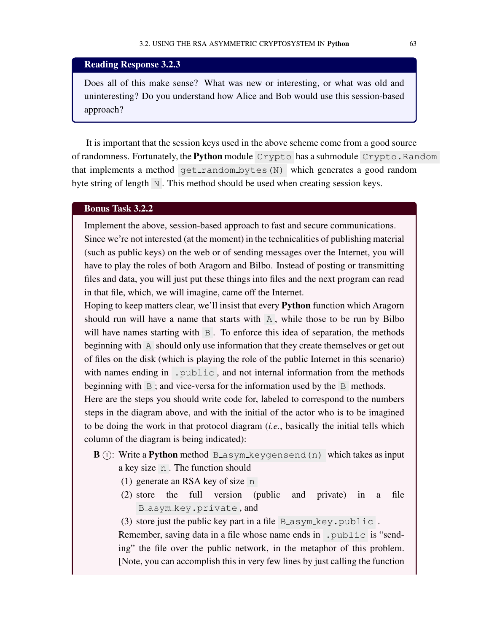### Reading Response 3.2.3

Does all of this make sense? What was new or interesting, or what was old and uninteresting? Do you understand how Alice and Bob would use this session-based approach?

It is important that the session keys used in the above scheme come from a good source of randomness. Fortunately, the Python module Crypto has a submodule Crypto. Random that implements a method get\_random\_bytes(N) which generates a good random byte string of length N. This method should be used when creating session keys.

### Bonus Task 3.2.2

Implement the above, session-based approach to fast and secure communications. Since we're not interested (at the moment) in the technicalities of publishing material (such as public keys) on the web or of sending messages over the Internet, you will have to play the roles of both Aragorn and Bilbo. Instead of posting or transmitting files and data, you will just put these things into files and the next program can read in that file, which, we will imagine, came off the Internet.

Hoping to keep matters clear, we'll insist that every Python function which Aragorn should run will have a name that starts with A , while those to be run by Bilbo will have names starting with B. To enforce this idea of separation, the methods beginning with A should only use information that they create themselves or get out of files on the disk (which is playing the role of the public Internet in this scenario) with names ending in . public, and not internal information from the methods beginning with  $\overline{B}$ ; and vice-versa for the information used by the  $\overline{B}$  methods.

Here are the steps you should write code for, labeled to correspond to the numbers steps in the diagram above, and with the initial of the actor who is to be imagined to be doing the work in that protocol diagram (*i.e.*, basically the initial tells which column of the diagram is being indicated):

- $\mathbf{B}$  (i): Write a **Python** method B asym keygensend (n) which takes as input a key size n . The function should
	- (1) generate an RSA key of size n
	- (2) store the full version (public and private) in a file B asym key.private , and
	- (3) store just the public key part in a file B\_asym\_key.public.

Remember, saving data in a file whose name ends in . public is "sending" the file over the public network, in the metaphor of this problem. [Note, you can accomplish this in very few lines by just calling the function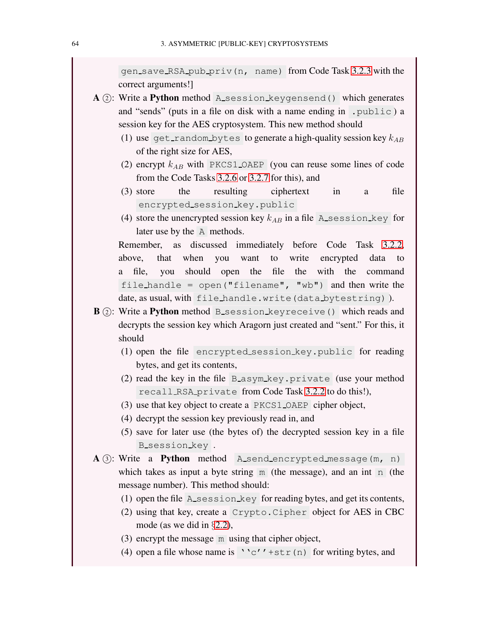gen save RSA pub priv(n, name) from Code Task [3.2.3](#page-62-0) with the correct arguments!]

- $A$  (2): Write a **Python** method A session keygensend () which generates and "sends" (puts in a file on disk with a name ending in .public ) a session key for the AES cryptosystem. This new method should
	- (1) use get random bytes to generate a high-quality session key  $k_{AB}$ of the right size for AES,
	- (2) encrypt  $k_{AB}$  with PKCS1\_OAEP (you can reuse some lines of code from the Code Tasks [3.2.6](#page-67-0) or [3.2.7](#page-67-1) for this), and
	- (3) store the resulting ciphertext in a file encrypted\_session\_key.public
	- (4) store the unencrypted session key  $k_{AB}$  in a file A session key for later use by the A methods.

Remember, as discussed immediately before Code Task [3.2.2,](#page-60-0) above, that when you want to write encrypted data to a file, you should open the file the with the command file handle = open("filename", "wb") and then write the date, as usual, with file handle.write(data bytestring)).

- B (2): Write a Python method B\_session\_keyreceive() which reads and decrypts the session key which Aragorn just created and "sent." For this, it should
	- (1) open the file encrypted session key.public for reading bytes, and get its contents,
	- (2) read the key in the file B asym key.private (use your method recall RSA private from Code Task [3.2.2](#page-60-0) to do this!),
	- (3) use that key object to create a PKCS1 OAEP cipher object,
	- (4) decrypt the session key previously read in, and
	- (5) save for later use (the bytes of) the decrypted session key in a file B\_session\_key.
- $A$  (3): Write a **Python** method A send encrypted message  $(m, n)$ which takes as input a byte string  $\overline{m}$  (the message), and an int  $\overline{n}$  (the message number). This method should:
	- (1) open the file A session key for reading bytes, and get its contents,
	- (2) using that key, create a Crypto.Cipher object for AES in CBC mode (as we did in §[2.2\)](#page-42-1),
	- (3) encrypt the message m using that cipher object,
	- (4) open a file whose name is ''c''+str(n) for writing bytes, and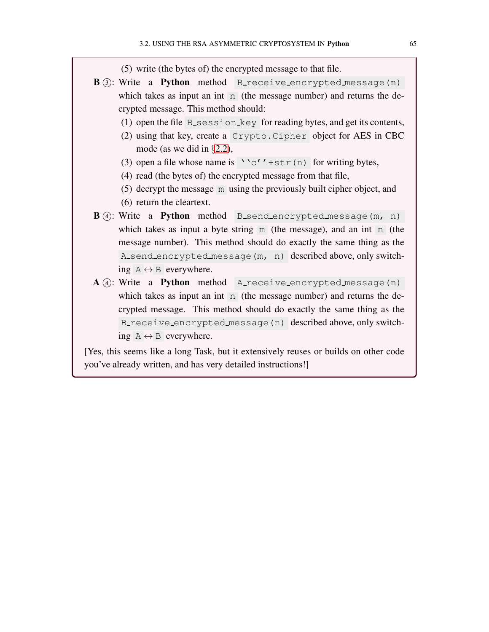(5) write (the bytes of) the encrypted message to that file.

- <span id="page-72-0"></span>**B** (3): Write a **Python** method Breceive encrypted message (n) which takes as input an int  $\overline{n}$  (the message number) and returns the decrypted message. This method should:
	- (1) open the file B session key for reading bytes, and get its contents,
	- (2) using that key, create a Crypto.Cipher object for AES in CBC mode (as we did in §[2.2\)](#page-42-0),
	- (3) open a file whose name is  $\sqrt{c'}$  +str(n) for writing bytes,
	- (4) read (the bytes of) the encrypted message from that file,
	- (5) decrypt the message m using the previously built cipher object, and
	- (6) return the cleartext.
- **B** (4): Write a **Python** method **B\_send\_encrypted** message (m, n) which takes as input a byte string  $\overline{m}$  (the message), and an int  $\overline{n}$  (the message number). This method should do exactly the same thing as the A send encrypted message(m, n) described above, only switching  $A \leftrightarrow B$  everywhere.
- A (4): Write a Python method A receive encrypted message (n) which takes as input an int  $\overline{n}$  (the message number) and returns the decrypted message. This method should do exactly the same thing as the B receive encrypted message(n) described above, only switching  $A \leftrightarrow B$  everywhere.

[Yes, this seems like a long Task, but it extensively reuses or builds on other code you've already written, and has very detailed instructions!]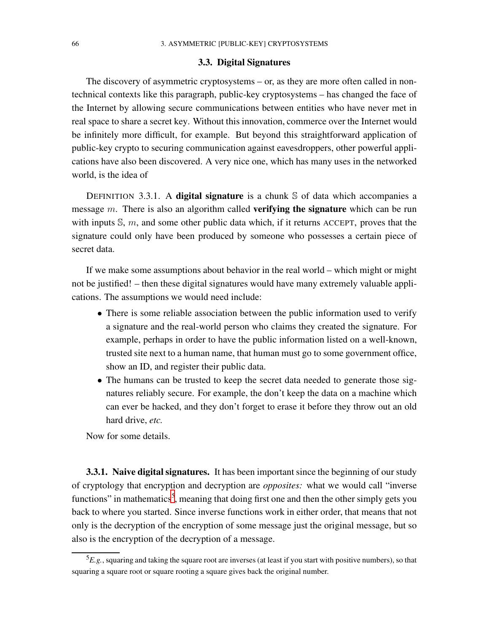#### 3.3. Digital Signatures

<span id="page-73-1"></span>The discovery of asymmetric cryptosystems – or, as they are more often called in nontechnical contexts like this paragraph, public-key cryptosystems – has changed the face of the Internet by allowing secure communications between entities who have never met in real space to share a secret key. Without this innovation, commerce over the Internet would be infinitely more difficult, for example. But beyond this straightforward application of public-key crypto to securing communication against eavesdroppers, other powerful applications have also been discovered. A very nice one, which has many uses in the networked world, is the idea of

DEFINITION 3.3.1. A digital signature is a chunk  $S$  of data which accompanies a message  $m$ . There is also an algorithm called **verifying the signature** which can be run with inputs  $\mathbb{S}$ ,  $m$ , and some other public data which, if it returns ACCEPT, proves that the signature could only have been produced by someone who possesses a certain piece of secret data.

If we make some assumptions about behavior in the real world – which might or might not be justified! – then these digital signatures would have many extremely valuable applications. The assumptions we would need include:

- There is some reliable association between the public information used to verify a signature and the real-world person who claims they created the signature. For example, perhaps in order to have the public information listed on a well-known, trusted site next to a human name, that human must go to some government office, show an ID, and register their public data.
- The humans can be trusted to keep the secret data needed to generate those signatures reliably secure. For example, the don't keep the data on a machine which can ever be hacked, and they don't forget to erase it before they throw out an old hard drive, *etc.*

Now for some details.

**3.3.1. Naive digital signatures.** It has been important since the beginning of our study of cryptology that encryption and decryption are *opposites:* what we would call "inverse functions" in mathematics<sup>[5](#page-73-0)</sup>, meaning that doing first one and then the other simply gets you back to where you started. Since inverse functions work in either order, that means that not only is the decryption of the encryption of some message just the original message, but so also is the encryption of the decryption of a message.

<span id="page-73-0"></span><sup>5</sup>*E.g.*, squaring and taking the square root are inverses (at least if you start with positive numbers), so that squaring a square root or square rooting a square gives back the original number.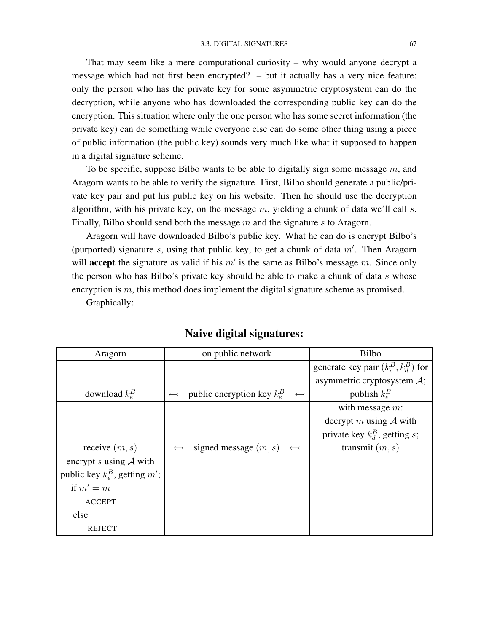<span id="page-74-0"></span>That may seem like a mere computational curiosity – why would anyone decrypt a message which had not first been encrypted? – but it actually has a very nice feature: only the person who has the private key for some asymmetric cryptosystem can do the decryption, while anyone who has downloaded the corresponding public key can do the encryption. This situation where only the one person who has some secret information (the private key) can do something while everyone else can do some other thing using a piece of public information (the public key) sounds very much like what it supposed to happen in a digital signature scheme.

To be specific, suppose Bilbo wants to be able to digitally sign some message  $m$ , and Aragorn wants to be able to verify the signature. First, Bilbo should generate a public/private key pair and put his public key on his website. Then he should use the decryption algorithm, with his private key, on the message  $m$ , yielding a chunk of data we'll call  $s$ . Finally, Bilbo should send both the message  $m$  and the signature  $s$  to Aragorn.

Aragorn will have downloaded Bilbo's public key. What he can do is encrypt Bilbo's (purported) signature  $s$ , using that public key, to get a chunk of data  $m'$ . Then Aragorn will **accept** the signature as valid if his  $m'$  is the same as Bilbo's message m. Since only the person who has Bilbo's private key should be able to make a chunk of data  $s$  whose encryption is m, this method does implement the digital signature scheme as promised.

Graphically:

| Aragorn                          | on public network                                                          | <b>Bilbo</b>                            |
|----------------------------------|----------------------------------------------------------------------------|-----------------------------------------|
|                                  |                                                                            | generate key pair $(k_e^B, k_d^B)$ for  |
|                                  |                                                                            | asymmetric cryptosystem $\mathcal{A}$ ; |
| download $k_e^B$                 | public encryption key $k_e^B$<br>$\longleftrightarrow$<br>$\longleftarrow$ | publish $k_e^B$                         |
|                                  |                                                                            | with message $m$ :                      |
|                                  |                                                                            | decrypt m using $A$ with                |
|                                  |                                                                            | private key $k_d^B$ , getting s;        |
| receive $(m, s)$                 | signed message $(m, s) \leftarrow$<br>$\longleftrightarrow$                | transmit $(m, s)$                       |
| encrypt s using $A$ with         |                                                                            |                                         |
| public key $k_e^B$ , getting m'; |                                                                            |                                         |
| if $m'=m$                        |                                                                            |                                         |
| <b>ACCEPT</b>                    |                                                                            |                                         |
| else                             |                                                                            |                                         |
| REJECT                           |                                                                            |                                         |

## Naive digital signatures: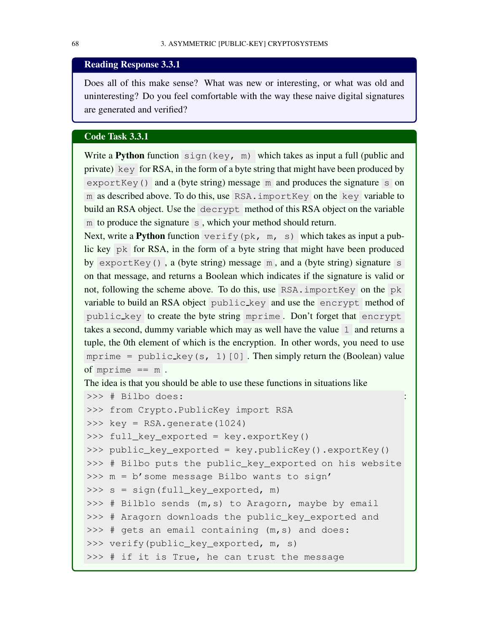### <span id="page-75-1"></span>Reading Response 3.3.1

Does all of this make sense? What was new or interesting, or what was old and uninteresting? Do you feel comfortable with the way these naive digital signatures are generated and verified?

### Code Task 3.3.1

Write a **Python** function  $\sin(ky, m)$  which takes as input a full (public and private) key for RSA, in the form of a byte string that might have been produced by exportKey() and a (byte string) message  $\overline{m}$  and produces the signature s on m as described above. To do this, use RSA.importKey on the key variable to build an RSA object. Use the decrypt method of this RSA object on the variable m to produce the signature  $\overline{s}$ , which your method should return.

Next, write a **Python** function  $\text{verify}(pk, m, s)$  which takes as input a public key pk for RSA, in the form of a byte string that might have been produced by exportKey(), a (byte string) message  $m$ , and a (byte string) signature s on that message, and returns a Boolean which indicates if the signature is valid or not, following the scheme above. To do this, use RSA.importKey on the pk variable to build an RSA object public key and use the encrypt method of public key to create the byte string mprime . Don't forget that encrypt takes a second, dummy variable which may as well have the value 1 and returns a tuple, the 0th element of which is the encryption. In other words, you need to use mprime = public key(s, 1)[0]. Then simply return the (Boolean) value of mprime  $== m$ .

The idea is that you should be able to use these functions in situations like

```
>>> # Bilbo does:
>>> from Crypto.PublicKey import RSA
>>> key = RSA.generate(1024)
>>> full_key_exported = key.exportKey()
>>> public_key_exported = key.publicKey().exportKey()
>>> # Bilbo puts the public_key_exported on his website
>>> m = b'some message Bilbo wants to sign'
>>> s = sign(full_key_exported, m)
>>> # Bilblo sends (m, s) to Aragorn, maybe by email
>>> # Aragorn downloads the public_key_exported and
>>> # gets an email containing (m, s) and does:
>>> verify(public_key_exported, m, s)
>>> # if it is True, he can trust the message
```
: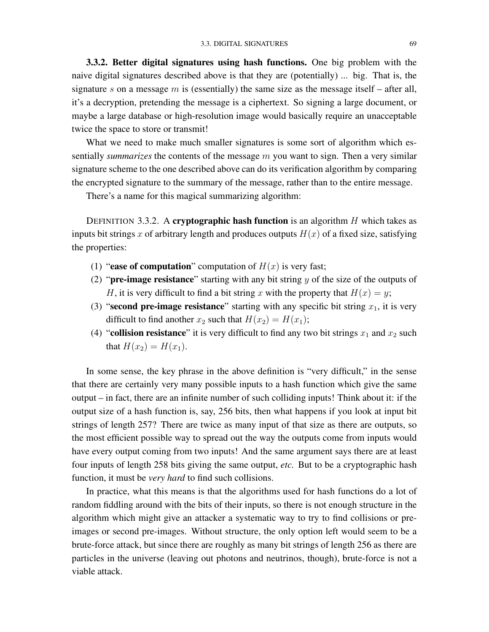<span id="page-76-1"></span>3.3.2. Better digital signatures using hash functions. One big problem with the naive digital signatures described above is that they are (potentially) ... big. That is, the signature s on a message m is (essentially) the same size as the message itself – after all, it's a decryption, pretending the message is a ciphertext. So signing a large document, or maybe a large database or high-resolution image would basically require an unacceptable twice the space to store or transmit!

What we need to make much smaller signatures is some sort of algorithm which essentially *summarizes* the contents of the message m you want to sign. Then a very similar signature scheme to the one described above can do its verification algorithm by comparing the encrypted signature to the summary of the message, rather than to the entire message.

There's a name for this magical summarizing algorithm:

<span id="page-76-0"></span>DEFINITION 3.3.2. A cryptographic hash function is an algorithm  $H$  which takes as inputs bit strings x of arbitrary length and produces outputs  $H(x)$  of a fixed size, satisfying the properties:

- (1) "ease of computation" computation of  $H(x)$  is very fast;
- (2) "**pre-image resistance**" starting with any bit string  $y$  of the size of the outputs of H, it is very difficult to find a bit string x with the property that  $H(x) = y$ ;
- (3) "second pre-image resistance" starting with any specific bit string  $x_1$ , it is very difficult to find another  $x_2$  such that  $H(x_2) = H(x_1)$ ;
- (4) "collision resistance" it is very difficult to find any two bit strings  $x_1$  and  $x_2$  such that  $H(x_2) = H(x_1)$ .

In some sense, the key phrase in the above definition is "very difficult," in the sense that there are certainly very many possible inputs to a hash function which give the same output – in fact, there are an infinite number of such colliding inputs! Think about it: if the output size of a hash function is, say, 256 bits, then what happens if you look at input bit strings of length 257? There are twice as many input of that size as there are outputs, so the most efficient possible way to spread out the way the outputs come from inputs would have every output coming from two inputs! And the same argument says there are at least four inputs of length 258 bits giving the same output, *etc.* But to be a cryptographic hash function, it must be *very hard* to find such collisions.

In practice, what this means is that the algorithms used for hash functions do a lot of random fiddling around with the bits of their inputs, so there is not enough structure in the algorithm which might give an attacker a systematic way to try to find collisions or preimages or second pre-images. Without structure, the only option left would seem to be a brute-force attack, but since there are roughly as many bit strings of length 256 as there are particles in the universe (leaving out photons and neutrinos, though), brute-force is not a viable attack.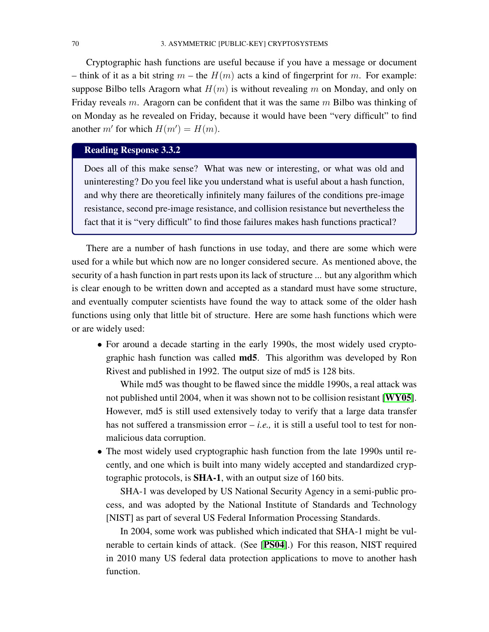<span id="page-77-0"></span>Cryptographic hash functions are useful because if you have a message or document – think of it as a bit string  $m$  – the  $H(m)$  acts a kind of fingerprint for m. For example: suppose Bilbo tells Aragorn what  $H(m)$  is without revealing m on Monday, and only on Friday reveals  $m$ . Aragorn can be confident that it was the same  $m$  Bilbo was thinking of on Monday as he revealed on Friday, because it would have been "very difficult" to find another m' for which  $H(m') = H(m)$ .

## Reading Response 3.3.2

Does all of this make sense? What was new or interesting, or what was old and uninteresting? Do you feel like you understand what is useful about a hash function, and why there are theoretically infinitely many failures of the conditions pre-image resistance, second pre-image resistance, and collision resistance but nevertheless the fact that it is "very difficult" to find those failures makes hash functions practical?

There are a number of hash functions in use today, and there are some which were used for a while but which now are no longer considered secure. As mentioned above, the security of a hash function in part rests upon its lack of structure ... but any algorithm which is clear enough to be written down and accepted as a standard must have some structure, and eventually computer scientists have found the way to attack some of the older hash functions using only that little bit of structure. Here are some hash functions which were or are widely used:

• For around a decade starting in the early 1990s, the most widely used cryptographic hash function was called md5. This algorithm was developed by Ron Rivest and published in 1992. The output size of md5 is 128 bits.

While md5 was thought to be flawed since the middle 1990s, a real attack was not published until 2004, when it was shown not to be collision resistant [[WY05](#page-86-0)]. However, md5 is still used extensively today to verify that a large data transfer has not suffered a transmission error – *i.e.,* it is still a useful tool to test for nonmalicious data corruption.

• The most widely used cryptographic hash function from the late 1990s until recently, and one which is built into many widely accepted and standardized cryptographic protocols, is SHA-1, with an output size of 160 bits.

SHA-1 was developed by US National Security Agency in a semi-public process, and was adopted by the National Institute of Standards and Technology [NIST] as part of several US Federal Information Processing Standards.

In 2004, some work was published which indicated that SHA-1 might be vulnerable to certain kinds of attack. (See [[PS04](#page-86-1)].) For this reason, NIST required in 2010 many US federal data protection applications to move to another hash function.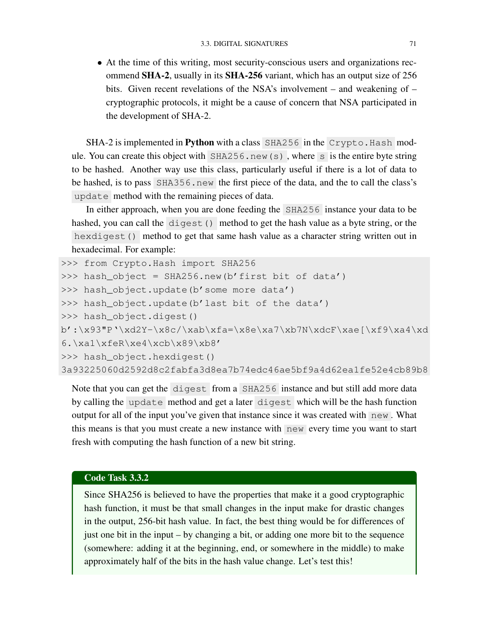<span id="page-78-0"></span>• At the time of this writing, most security-conscious users and organizations recommend SHA-2, usually in its SHA-256 variant, which has an output size of 256 bits. Given recent revelations of the NSA's involvement – and weakening of – cryptographic protocols, it might be a cause of concern that NSA participated in the development of SHA-2.

SHA-2 is implemented in Python with a class SHA256 in the Crypto. Hash module. You can create this object with  $SHA256$ . new (s), where s is the entire byte string to be hashed. Another way use this class, particularly useful if there is a lot of data to be hashed, is to pass SHA356.new the first piece of the data, and the to call the class's update method with the remaining pieces of data.

In either approach, when you are done feeding the SHA256 instance your data to be hashed, you can call the digest() method to get the hash value as a byte string, or the hexdigest() method to get that same hash value as a character string written out in hexadecimal. For example:

```
>>> from Crypto.Hash import SHA256
>>> hash_object = SHA256.new(b'first bit of data')
>>> hash_object.update(b'some more data')
>>> hash_object.update(b'last bit of the data')
>>> hash_object.digest()
b':\x93"P'\xd2Y-\x8c/\xab\xfa=\x8e\xa7\xb7N\xdcF\xae[\xf9\xa4\xd
6.\xa1\xfeR\xe4\xcb\x89\xb8'
>>> hash_object.hexdigest()
3a93225060d2592d8c2fabfa3d8ea7b74edc46ae5bf9a4d62ea1fe52e4cb89b8
```
Note that you can get the digest from a SHA256 instance and but still add more data by calling the update method and get a later digest which will be the hash function output for all of the input you've given that instance since it was created with  $\log N$ . What this means is that you must create a new instance with new every time you want to start fresh with computing the hash function of a new bit string.

### Code Task 3.3.2

Since SHA256 is believed to have the properties that make it a good cryptographic hash function, it must be that small changes in the input make for drastic changes in the output, 256-bit hash value. In fact, the best thing would be for differences of just one bit in the input – by changing a bit, or adding one more bit to the sequence (somewhere: adding it at the beginning, end, or somewhere in the middle) to make approximately half of the bits in the hash value change. Let's test this!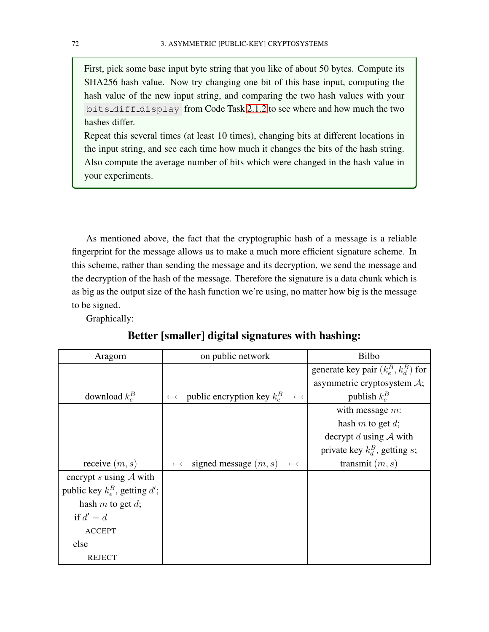<span id="page-79-0"></span>First, pick some base input byte string that you like of about 50 bytes. Compute its SHA256 hash value. Now try changing one bit of this base input, computing the hash value of the new input string, and comparing the two hash values with your bits diff display from Code Task [2.1.2](#page-39-0) to see where and how much the two hashes differ.

Repeat this several times (at least 10 times), changing bits at different locations in the input string, and see each time how much it changes the bits of the hash string. Also compute the average number of bits which were changed in the hash value in your experiments.

As mentioned above, the fact that the cryptographic hash of a message is a reliable fingerprint for the message allows us to make a much more efficient signature scheme. In this scheme, rather than sending the message and its decryption, we send the message and the decryption of the hash of the message. Therefore the signature is a data chunk which is as big as the output size of the hash function we're using, no matter how big is the message to be signed.

Graphically:

| Aragorn                          | on public network                                                     | <b>Bilbo</b>                           |
|----------------------------------|-----------------------------------------------------------------------|----------------------------------------|
|                                  |                                                                       | generate key pair $(k_e^B, k_d^B)$ for |
|                                  |                                                                       | asymmetric cryptosystem $A$ ;          |
| download $k_e^B$                 | public encryption key $k_e^B$<br>$\longleftarrow$<br>$\longleftarrow$ | publish $k_e^B$                        |
|                                  |                                                                       | with message $m$ :                     |
|                                  |                                                                       | hash $m$ to get $d$ ;                  |
|                                  |                                                                       | decrypt d using $A$ with               |
|                                  |                                                                       | private key $k_d^B$ , getting s;       |
| receive $(m, s)$                 | signed message $(m, s)$<br>$\longleftrightarrow$<br>$\leftarrow$      | transmit $(m, s)$                      |
| encrypt s using $A$ with         |                                                                       |                                        |
| public key $k_e^B$ , getting d'; |                                                                       |                                        |
| hash $m$ to get $d$ ;            |                                                                       |                                        |
| if $d' = d$                      |                                                                       |                                        |
| <b>ACCEPT</b>                    |                                                                       |                                        |
| else                             |                                                                       |                                        |
| REJECT                           |                                                                       |                                        |

## Better [smaller] digital signatures with hashing: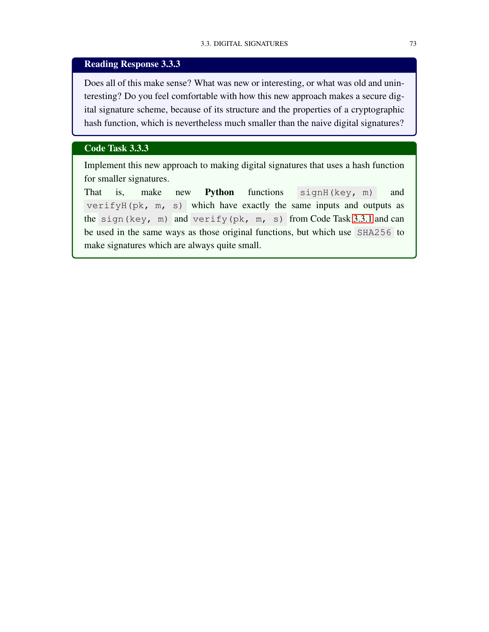## <span id="page-80-0"></span>Reading Response 3.3.3

Does all of this make sense? What was new or interesting, or what was old and uninteresting? Do you feel comfortable with how this new approach makes a secure digital signature scheme, because of its structure and the properties of a cryptographic hash function, which is nevertheless much smaller than the naive digital signatures?

### Code Task 3.3.3

Implement this new approach to making digital signatures that uses a hash function for smaller signatures.

That is, make new **Python** functions signH(key, m) and verifyH(pk, m, s) which have exactly the same inputs and outputs as the sign(key, m) and verify(pk, m, s) from Code Task [3.3.1](#page-75-0) and can be used in the same ways as those original functions, but which use SHA256 to make signatures which are always quite small.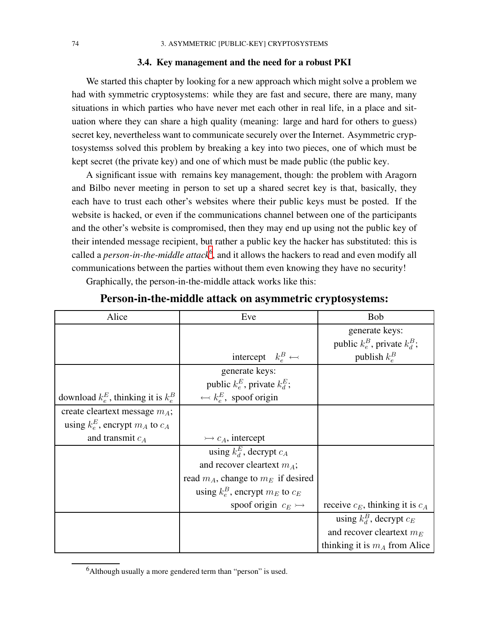#### 3.4. Key management and the need for a robust PKI

<span id="page-81-1"></span>We started this chapter by looking for a new approach which might solve a problem we had with symmetric cryptosystems: while they are fast and secure, there are many, many situations in which parties who have never met each other in real life, in a place and situation where they can share a high quality (meaning: large and hard for others to guess) secret key, nevertheless want to communicate securely over the Internet. Asymmetric cryptosystemss solved this problem by breaking a key into two pieces, one of which must be kept secret (the private key) and one of which must be made public (the public key.

A significant issue with remains key management, though: the problem with Aragorn and Bilbo never meeting in person to set up a shared secret key is that, basically, they each have to trust each other's websites where their public keys must be posted. If the website is hacked, or even if the communications channel between one of the participants and the other's website is compromised, then they may end up using not the public key of their intended message recipient, but rather a public key the hacker has substituted: this is called a *person-in-the-middle attack*<sup>[6](#page-81-0)</sup>, and it allows the hackers to read and even modify all communications between the parties without them even knowing they have no security!

Graphically, the person-in-the-middle attack works like this:

| Alice                                     | Eve                                     | <b>Bob</b>                           |
|-------------------------------------------|-----------------------------------------|--------------------------------------|
|                                           |                                         | generate keys:                       |
|                                           |                                         | public $k_e^B$ , private $k_d^B$ ;   |
|                                           | intercept $k_e^B \leftrightarrow$       | publish $k_e^B$                      |
|                                           | generate keys:                          |                                      |
|                                           | public $k_e^E$ , private $k_d^E$ ;      |                                      |
| download $k_e^E$ , thinking it is $k_e^B$ | $\leftarrow k_e^E$ , spoof origin       |                                      |
| create cleartext message $m_A$ ;          |                                         |                                      |
| using $k_e^E$ , encrypt $m_A$ to $c_A$    |                                         |                                      |
| and transmit $c_A$                        | $\rightarrow c_A$ , intercept           |                                      |
|                                           | using $k_d^E$ , decrypt $c_A$           |                                      |
|                                           | and recover cleartext $m_A$ ;           |                                      |
|                                           | read $m_A$ , change to $m_E$ if desired |                                      |
|                                           | using $k_e^B$ , encrypt $m_E$ to $c_E$  |                                      |
|                                           | spoof origin $c_E \rightarrowtail$      | receive $c_E$ , thinking it is $c_A$ |
|                                           |                                         | using $k_d^B$ , decrypt $c_E$        |
|                                           |                                         | and recover cleartext $m_E$          |
|                                           |                                         | thinking it is $m_A$ from Alice      |

## Person-in-the-middle attack on asymmetric cryptosystems:

<span id="page-81-0"></span> $6$ Although usually a more gendered term than "person" is used.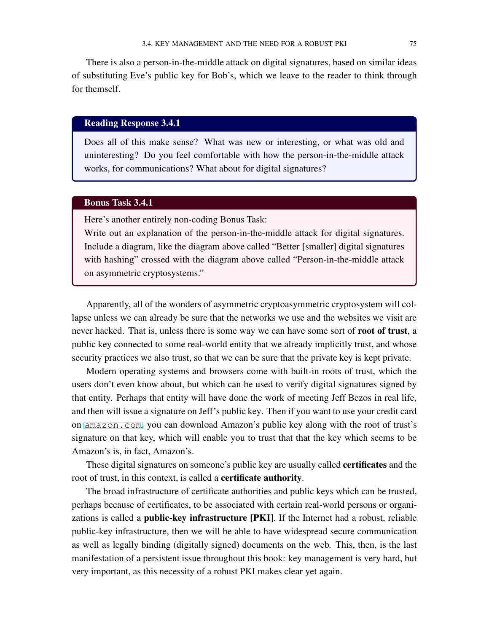<span id="page-82-0"></span>There is also a person-in-the-middle attack on digital signatures, based on similar ideas of substituting Eve's public key for Bob's, which we leave to the reader to think through for themself.

### Reading Response 3.4.1

Does all of this make sense? What was new or interesting, or what was old and uninteresting? Do you feel comfortable with how the person-in-the-middle attack works, for communications? What about for digital signatures?

### Bonus Task 3.4.1

Here's another entirely non-coding Bonus Task:

Write out an explanation of the person-in-the-middle attack for digital signatures. Include a diagram, like the diagram above called "Better [smaller] digital signatures with hashing" crossed with the diagram above called "Person-in-the-middle attack on asymmetric cryptosystems."

Apparently, all of the wonders of asymmetric cryptoasymmetric cryptosystem will collapse unless we can already be sure that the networks we use and the websites we visit are never hacked. That is, unless there is some way we can have some sort of root of trust, a public key connected to some real-world entity that we already implicitly trust, and whose security practices we also trust, so that we can be sure that the private key is kept private.

Modern operating systems and browsers come with built-in roots of trust, which the users don't even know about, but which can be used to verify digital signatures signed by that entity. Perhaps that entity will have done the work of meeting Jeff Bezos in real life, and then will issue a signature on Jeff's public key. Then if you want to use your credit card on <amazon.com>, you can download Amazon's public key along with the root of trust's signature on that key, which will enable you to trust that that the key which seems to be Amazon's is, in fact, Amazon's.

These digital signatures on someone's public key are usually called certificates and the root of trust, in this context, is called a **certificate authority**.

The broad infrastructure of certificate authorities and public keys which can be trusted, perhaps because of certificates, to be associated with certain real-world persons or organizations is called a public-key infrastructure [PKI]. If the Internet had a robust, reliable public-key infrastructure, then we will be able to have widespread secure communication as well as legally binding (digitally signed) documents on the web. This, then, is the last manifestation of a persistent issue throughout this book: key management is very hard, but very important, as this necessity of a robust PKI makes clear yet again.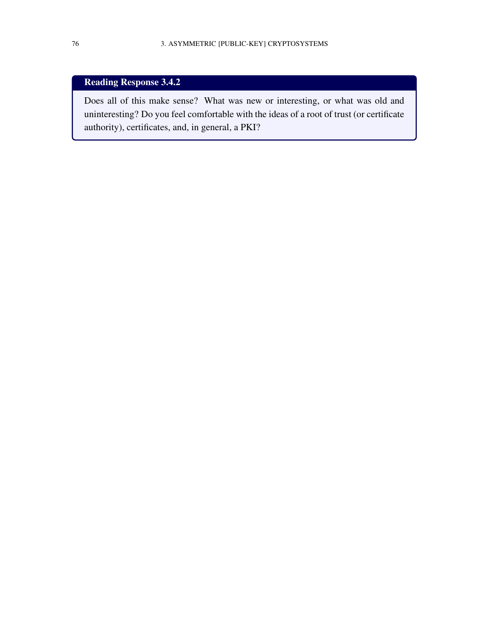# Reading Response 3.4.2

Does all of this make sense? What was new or interesting, or what was old and uninteresting? Do you feel comfortable with the ideas of a root of trust (or certificate authority), certificates, and, in general, a PKI?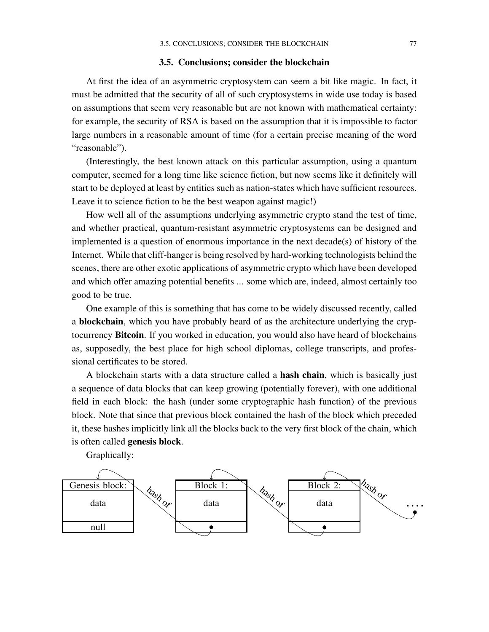#### 3.5. Conclusions; consider the blockchain

<span id="page-84-0"></span>At first the idea of an asymmetric cryptosystem can seem a bit like magic. In fact, it must be admitted that the security of all of such cryptosystems in wide use today is based on assumptions that seem very reasonable but are not known with mathematical certainty: for example, the security of RSA is based on the assumption that it is impossible to factor large numbers in a reasonable amount of time (for a certain precise meaning of the word "reasonable").

(Interestingly, the best known attack on this particular assumption, using a quantum computer, seemed for a long time like science fiction, but now seems like it definitely will start to be deployed at least by entities such as nation-states which have sufficient resources. Leave it to science fiction to be the best weapon against magic!)

How well all of the assumptions underlying asymmetric crypto stand the test of time, and whether practical, quantum-resistant asymmetric cryptosystems can be designed and implemented is a question of enormous importance in the next decade(s) of history of the Internet. While that cliff-hanger is being resolved by hard-working technologists behind the scenes, there are other exotic applications of asymmetric crypto which have been developed and which offer amazing potential benefits ... some which are, indeed, almost certainly too good to be true.

One example of this is something that has come to be widely discussed recently, called a blockchain, which you have probably heard of as the architecture underlying the cryptocurrency Bitcoin. If you worked in education, you would also have heard of blockchains as, supposedly, the best place for high school diplomas, college transcripts, and professional certificates to be stored.

A blockchain starts with a data structure called a hash chain, which is basically just a sequence of data blocks that can keep growing (potentially forever), with one additional field in each block: the hash (under some cryptographic hash function) of the previous block. Note that since that previous block contained the hash of the block which preceded it, these hashes implicitly link all the blocks back to the very first block of the chain, which is often called genesis block.

Graphically:

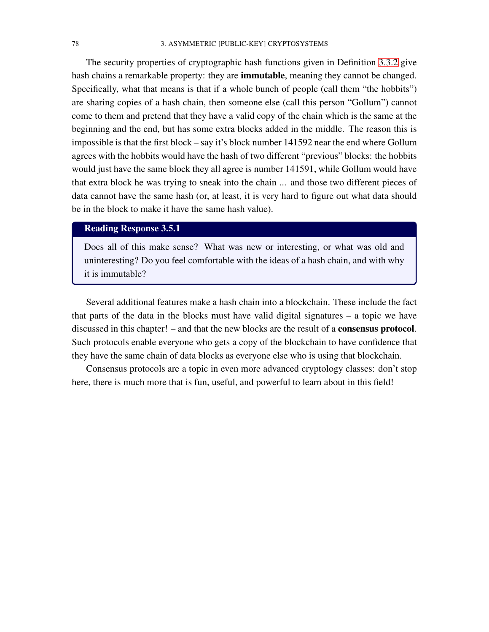<span id="page-85-0"></span>The security properties of cryptographic hash functions given in Definition [3.3.2](#page-76-0) give hash chains a remarkable property: they are immutable, meaning they cannot be changed. Specifically, what that means is that if a whole bunch of people (call them "the hobbits") are sharing copies of a hash chain, then someone else (call this person "Gollum") cannot come to them and pretend that they have a valid copy of the chain which is the same at the beginning and the end, but has some extra blocks added in the middle. The reason this is impossible is that the first block – say it's block number 141592 near the end where Gollum agrees with the hobbits would have the hash of two different "previous" blocks: the hobbits would just have the same block they all agree is number 141591, while Gollum would have that extra block he was trying to sneak into the chain ... and those two different pieces of data cannot have the same hash (or, at least, it is very hard to figure out what data should be in the block to make it have the same hash value).

## Reading Response 3.5.1

Does all of this make sense? What was new or interesting, or what was old and uninteresting? Do you feel comfortable with the ideas of a hash chain, and with why it is immutable?

Several additional features make a hash chain into a blockchain. These include the fact that parts of the data in the blocks must have valid digital signatures – a topic we have discussed in this chapter! – and that the new blocks are the result of a consensus protocol. Such protocols enable everyone who gets a copy of the blockchain to have confidence that they have the same chain of data blocks as everyone else who is using that blockchain.

Consensus protocols are a topic in even more advanced cryptology classes: don't stop here, there is much more that is fun, useful, and powerful to learn about in this field!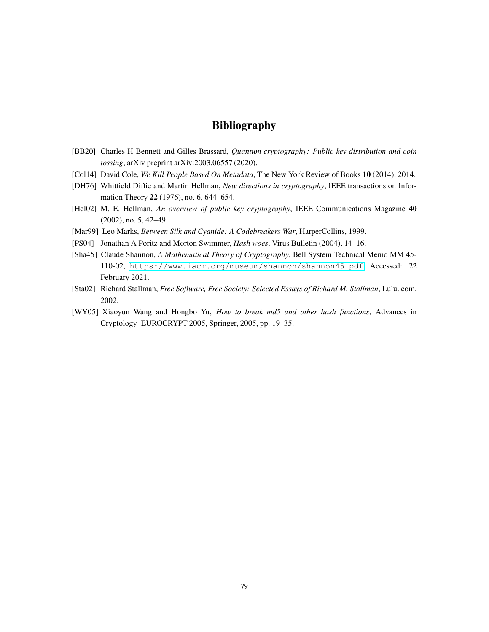## Bibliography

- <span id="page-86-2"></span>[BB20] Charles H Bennett and Gilles Brassard, *Quantum cryptography: Public key distribution and coin tossing*, arXiv preprint arXiv:2003.06557 (2020).
- [Col14] David Cole, *We Kill People Based On Metadata*, The New York Review of Books 10 (2014), 2014.
- [DH76] Whitfield Diffie and Martin Hellman, *New directions in cryptography*, IEEE transactions on Information Theory 22 (1976), no. 6, 644–654.
- [Hel02] M. E. Hellman, *An overview of public key cryptography*, IEEE Communications Magazine 40 (2002), no. 5, 42–49.
- [Mar99] Leo Marks, *Between Silk and Cyanide: A Codebreakers War*, HarperCollins, 1999.
- <span id="page-86-1"></span>[PS04] Jonathan A Poritz and Morton Swimmer, *Hash woes*, Virus Bulletin (2004), 14–16.
- [Sha45] Claude Shannon, *A Mathematical Theory of Cryptography*, Bell System Technical Memo MM 45- 110-02, <https://www.iacr.org/museum/shannon/shannon45.pdf>, Accessed: 22 February 2021.
- [Sta02] Richard Stallman, *Free Software, Free Society: Selected Essays of Richard M. Stallman*, Lulu. com, 2002.
- <span id="page-86-0"></span>[WY05] Xiaoyun Wang and Hongbo Yu, *How to break md5 and other hash functions*, Advances in Cryptology–EUROCRYPT 2005, Springer, 2005, pp. 19–35.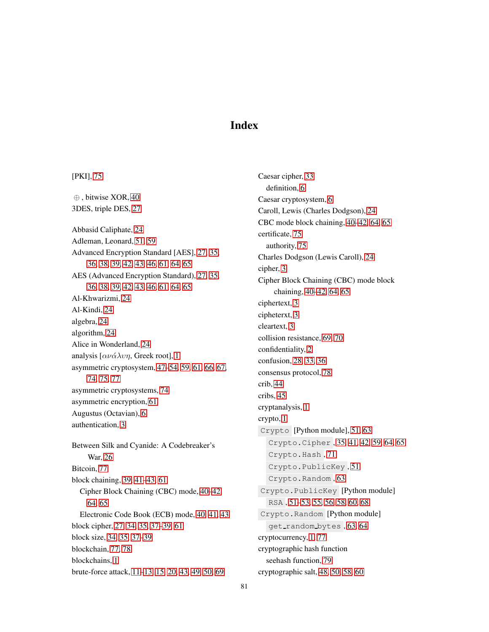## Index

⊕ , bitwise XOR, [40](#page-47-0) 3DES, triple DES, [27](#page-34-0) Abbasid Caliphate, [24](#page-31-0) Adleman, Leonard, [51,](#page-58-0) [59](#page-66-0) Advanced Encryption Standard [AES], [27,](#page-34-0) [35,](#page-42-1) [36,](#page-43-0) [38,](#page-45-0) [39,](#page-46-0) [42,](#page-49-0) [43,](#page-50-0) [46,](#page-53-0) [61,](#page-68-0) [64,](#page-71-0) [65](#page-72-0) AES (Advanced Encryption Standard), [27,](#page-34-0) [35,](#page-42-1) [36,](#page-43-0) [38,](#page-45-0) [39,](#page-46-0) [42,](#page-49-0) [43,](#page-50-0) [46,](#page-53-0) [61,](#page-68-0) [64,](#page-71-0) [65](#page-72-0) Al-Khwarizmi, [24](#page-31-0) Al-Kindi, [24](#page-31-0) algebra, [24](#page-31-0) algorithm, [24](#page-31-0) Alice in Wonderland, [24](#page-31-0) analysis  $[\alpha \nu \dot{\alpha} \lambda \nu \eta,$  Greek root], [1](#page-8-0) asymmetric cryptosystem, [47–](#page-54-0)[54,](#page-61-0) [59,](#page-66-0) [61,](#page-68-0) [66,](#page-73-1) [67,](#page-74-0) [74,](#page-81-1) [75,](#page-82-0) [77](#page-84-0) asymmetric cryptosystems, [74](#page-81-1) asymmetric encryption, [61](#page-68-0) Augustus (Octavian), [6](#page-13-0) authentication, [3](#page-10-0) Between Silk and Cyanide: A Codebreaker's War, [26](#page-33-0) Bitcoin, [77](#page-84-0) block chaining, [39,](#page-46-0) [41–](#page-48-0)[43,](#page-50-0) [61](#page-68-0) Cipher Block Chaining (CBC) mode, [40–](#page-47-0)[42,](#page-49-0) [64,](#page-71-0) [65](#page-72-0) Electronic Code Book (ECB) mode, [40,](#page-47-0) [41,](#page-48-0) [43](#page-50-0) block cipher, [27,](#page-34-0) [34,](#page-41-0) [35,](#page-42-1) [37–](#page-44-0)[39,](#page-46-0) [61](#page-68-0) block size, [34,](#page-41-0) [35,](#page-42-1) [37–](#page-44-0)[39](#page-46-0) blockchain, [77,](#page-84-0) [78](#page-85-0) blockchains, [1](#page-8-0) brute-force attack, [11](#page-18-0)[–13,](#page-20-0) [15,](#page-22-0) [20,](#page-27-0) [43,](#page-50-0) [49,](#page-56-0) [50,](#page-57-0) [69](#page-76-1)

[PKI], [75](#page-82-0)

Caesar cipher, [33](#page-40-0) definition, [6](#page-13-0) Caesar cryptosystem, [6](#page-13-0) Caroll, Lewis (Charles Dodgson), [24](#page-31-0) CBC mode block chaining, [40](#page-47-0)[–42,](#page-49-0) [64,](#page-71-0) [65](#page-72-0) certificate, [75](#page-82-0) authority, [75](#page-82-0) Charles Dodgson (Lewis Caroll), [24](#page-31-0) cipher, [3](#page-10-0) Cipher Block Chaining (CBC) mode block chaining, [40–](#page-47-0)[42,](#page-49-0) [64,](#page-71-0) [65](#page-72-0) ciphertext, [3](#page-10-0) cipheterxt, [3](#page-10-0) cleartext, [3](#page-10-0) collision resistance, [69,](#page-76-1) [70](#page-77-0) confidentiality, [2](#page-9-0) confusion, [28,](#page-35-0) [33,](#page-40-0) [36](#page-43-0) consensus protocol, [78](#page-85-0) crib, [44](#page-51-0) cribs, [45](#page-52-0) cryptanalysis, [1](#page-8-0) crypto, [1](#page-8-0) Crypto [Python module], [51,](#page-58-0) [63](#page-70-0) Crypto.Cipher , [35,](#page-42-1) [41,](#page-48-0) [42,](#page-49-0) [59,](#page-66-0) [64,](#page-71-0) [65](#page-72-0) Crypto.Hash , [71](#page-78-0) Crypto.PublicKey , [51](#page-58-0) Crypto.Random , [63](#page-70-0) Crypto.PublicKey [Python module] RSA , [51](#page-58-0)[–53,](#page-60-0) [55,](#page-62-0) [56,](#page-63-0) [58,](#page-65-0) [60,](#page-67-0) [68](#page-75-1) Crypto.Random [Python module] get\_random\_bytes, [63,](#page-70-0) [64](#page-71-0) cryptocurrency, [1,](#page-8-0) [77](#page-84-0) cryptographic hash function seehash function, [79](#page-86-2) cryptographic salt, [48,](#page-55-0) [50,](#page-57-0) [58,](#page-65-0) [60](#page-67-0)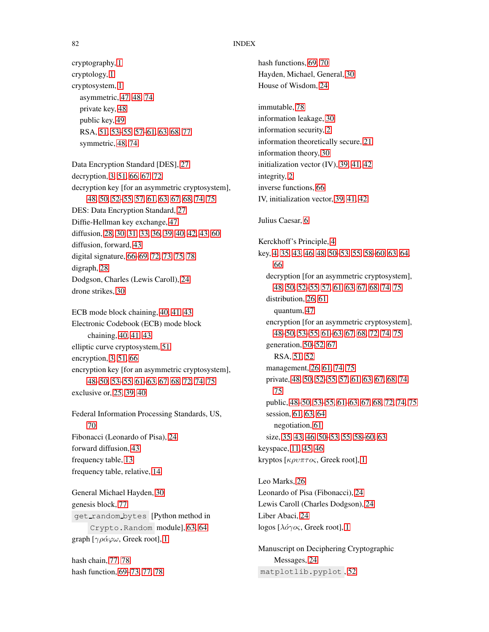#### 82 INDEX

cryptography, [1](#page-8-0) cryptology, [1](#page-8-0) cryptosystem, [1](#page-8-0) asymmetric, [47,](#page-54-0) [48,](#page-55-0) [74](#page-81-1) private key, [48](#page-55-0) public key, [49](#page-56-0) RSA, [51,](#page-58-0) [53](#page-60-0)[–55,](#page-62-0) [57](#page-64-0)[–61,](#page-68-0) [63,](#page-70-0) [68,](#page-75-1) [77](#page-84-0) symmetric, [48,](#page-55-0) [74](#page-81-1) Data Encryption Standard [DES], [27](#page-34-0) decryption, [3,](#page-10-0) [51,](#page-58-0) [66,](#page-73-1) [67,](#page-74-0) [72](#page-79-0) decryption key [for an asymmetric cryptosystem], [48,](#page-55-0) [50,](#page-57-0) [52–](#page-59-0)[55,](#page-62-0) [57,](#page-64-0) [61,](#page-68-0) [63,](#page-70-0) [67,](#page-74-0) [68,](#page-75-1) [74,](#page-81-1) [75](#page-82-0) DES: Data Encryption Standard, [27](#page-34-0) Diffie-Hellman key exchange, [47](#page-54-0) diffusion, [28,](#page-35-0) [30,](#page-37-0) [31,](#page-38-0) [33,](#page-40-0) [36,](#page-43-0) [39,](#page-46-0) [40,](#page-47-0) [42,](#page-49-0) [43,](#page-50-0) [60](#page-67-0)

diffusion, forward, [43](#page-50-0) digital signature, [66](#page-73-1)[–69,](#page-76-1) [72,](#page-79-0) [73,](#page-80-0) [75,](#page-82-0) [78](#page-85-0) digraph, [28](#page-35-0) Dodgson, Charles (Lewis Caroll), [24](#page-31-0) drone strikes, [30](#page-37-0)

ECB mode block chaining, [40,](#page-47-0) [41,](#page-48-0) [43](#page-50-0) Electronic Codebook (ECB) mode block chaining, [40,](#page-47-0) [41,](#page-48-0) [43](#page-50-0) elliptic curve cryptosystem, [51](#page-58-0) encryption, [3,](#page-10-0) [51,](#page-58-0) [66](#page-73-1) encryption key [for an asymmetric cryptosystem], [48–](#page-55-0)[50,](#page-57-0) [53–](#page-60-0)[55,](#page-62-0) [61–](#page-68-0)[63,](#page-70-0) [67,](#page-74-0) [68,](#page-75-1) [72,](#page-79-0) [74,](#page-81-1) [75](#page-82-0) exclusive or, [25,](#page-32-0) [39,](#page-46-0) [40](#page-47-0)

Federal Information Processing Standards, US, [70](#page-77-0) Fibonacci (Leonardo of Pisa), [24](#page-31-0) forward diffusion, [43](#page-50-0) frequency table, [13](#page-20-0) frequency table, relative, [14](#page-21-0)

General Michael Hayden, [30](#page-37-0) genesis block, [77](#page-84-0) get random bytes [Python method in Crypto.Random module], [63,](#page-70-0) [64](#page-71-0) graph  $[\gamma \rho \acute{\alpha} \varphi \omega,$  Greek root], [1](#page-8-0)

hash chain, [77,](#page-84-0) [78](#page-85-0) hash function, [69–](#page-76-1)[73,](#page-80-0) [77,](#page-84-0) [78](#page-85-0) hash functions, [69,](#page-76-1) [70](#page-77-0) Hayden, Michael, General, [30](#page-37-0) House of Wisdom, [24](#page-31-0) immutable, [78](#page-85-0) information leakage, [30](#page-37-0) information security, [2](#page-9-0) information theoretically secure, [21](#page-28-0) information theory, [30](#page-37-0) initialization vector (IV), [39,](#page-46-0) [41,](#page-48-0) [42](#page-49-0) integrity, [2](#page-9-0) inverse functions, [66](#page-73-1) IV, initialization vector, [39,](#page-46-0) [41,](#page-48-0) [42](#page-49-0) Julius Caesar, [6](#page-13-0) Kerckhoff's Principle, [4](#page-11-0) key, [4,](#page-11-0) [35,](#page-42-1) [43,](#page-50-0) [46,](#page-53-0) [48,](#page-55-0) [50–](#page-57-0)[53,](#page-60-0) [55,](#page-62-0) [58](#page-65-0)[–60,](#page-67-0) [63,](#page-70-0) [64,](#page-71-0) [66](#page-73-1) decryption [for an asymmetric cryptosystem], [48,](#page-55-0) [50,](#page-57-0) [52](#page-59-0)[–55,](#page-62-0) [57,](#page-64-0) [61,](#page-68-0) [63,](#page-70-0) [67,](#page-74-0) [68,](#page-75-1) [74,](#page-81-1) [75](#page-82-0) distribution, [26,](#page-33-0) [61](#page-68-0) quantum, [47](#page-54-0) encryption [for an asymmetric cryptosystem], [48](#page-55-0)[–50,](#page-57-0) [53](#page-60-0)[–55,](#page-62-0) [61](#page-68-0)[–63,](#page-70-0) [67,](#page-74-0) [68,](#page-75-1) [72,](#page-79-0) [74,](#page-81-1) [75](#page-82-0) generation, [50](#page-57-0)[–52,](#page-59-0) [67](#page-74-0) RSA, [51,](#page-58-0) [52](#page-59-0) management, [26,](#page-33-0) [61,](#page-68-0) [74,](#page-81-1) [75](#page-82-0) private, [48,](#page-55-0) [50,](#page-57-0) [52](#page-59-0)[–55,](#page-62-0) [57,](#page-64-0) [61,](#page-68-0) [63,](#page-70-0) [67,](#page-74-0) [68,](#page-75-1) [74,](#page-81-1) [75](#page-82-0) public, [48](#page-55-0)[–50,](#page-57-0) [53–](#page-60-0)[55,](#page-62-0) [61–](#page-68-0)[63,](#page-70-0) [67,](#page-74-0) [68,](#page-75-1) [72,](#page-79-0) [74,](#page-81-1) [75](#page-82-0) session, [61,](#page-68-0) [63,](#page-70-0) [64](#page-71-0) negotiation, [61](#page-68-0) size, [35,](#page-42-1) [43,](#page-50-0) [46,](#page-53-0) [50–](#page-57-0)[53,](#page-60-0) [55,](#page-62-0) [58–](#page-65-0)[60,](#page-67-0) [63](#page-70-0) keyspace, [11,](#page-18-0) [45,](#page-52-0) [46](#page-53-0) kryptos [κρυπτoς, Greek root], [1](#page-8-0) Leo Marks, [26](#page-33-0)

Leonardo of Pisa (Fibonacci), [24](#page-31-0) Lewis Caroll (Charles Dodgson), [24](#page-31-0) Liber Abaci, [24](#page-31-0)  $logos [λ*óγος*, Greek root], 1$  $logos [λ*óγος*, Greek root], 1$ 

Manuscript on Deciphering Cryptographic Messages, [24](#page-31-0) matplotlib.pyplot , [52](#page-59-0)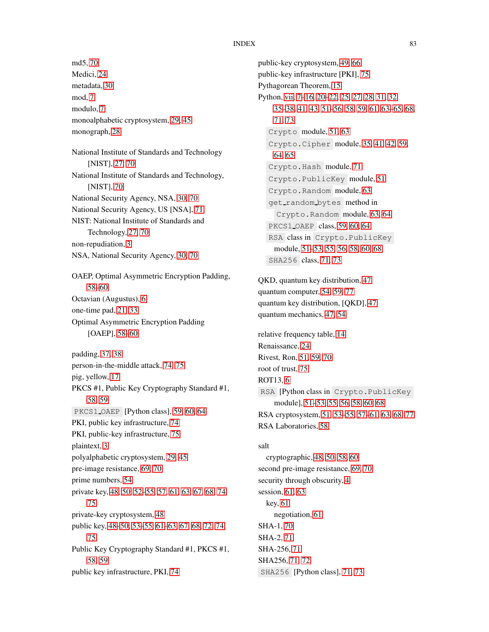md5, [70](#page-77-0) Medici, [24](#page-31-0) metadata, [30](#page-37-0) mod, [7](#page-14-0) modulo, [7](#page-14-0) monoalphabetic cryptosystem, [29,](#page-36-0) [45](#page-52-0) monograph, [28](#page-35-0) National Institute of Standards and Technology [NIST], [27,](#page-34-0) [70](#page-77-0) National Institute of Standards and Technology, [NIST], [70](#page-77-0) National Security Agency, NSA, [30,](#page-37-0) [70](#page-77-0) National Security Agency, US [NSA], [71](#page-78-0) NIST: National Institute of Standards and Technology, [27,](#page-34-0) [70](#page-77-0) non-repudiation, [3](#page-10-0) NSA, National Security Agency, [30,](#page-37-0) [70](#page-77-0) OAEP, Optimal Asymmetric Encryption Padding, [58–](#page-65-0)[60](#page-67-0) Octavian (Augustus), [6](#page-13-0) one-time pad, [21,](#page-28-0) [33](#page-40-0) Optimal Asymmetric Encryption Padding [OAEP], [58](#page-65-0)[–60](#page-67-0) padding, [37,](#page-44-0) [38](#page-45-0) person-in-the-middle attack, [74,](#page-81-1) [75](#page-82-0) pig, yellow, [17](#page-24-0) PKCS #1, Public Key Cryptography Standard #1, [58,](#page-65-0) [59](#page-66-0) PKCS1\_OAEP [Python class], [59,](#page-66-0) [60,](#page-67-0) [64](#page-71-0) PKI, public key infrastructure, [74](#page-81-1) PKI, public-key infrastructure, [75](#page-82-0) plaintext, [3](#page-10-0) polyalphabetic cryptosystem, [29,](#page-36-0) [45](#page-52-0) pre-image resistance, [69,](#page-76-1) [70](#page-77-0) prime numbers, [54](#page-61-0) private key, [48,](#page-55-0) [50,](#page-57-0) [52–](#page-59-0)[55,](#page-62-0) [57,](#page-64-0) [61,](#page-68-0) [63,](#page-70-0) [67,](#page-74-0) [68,](#page-75-1) [74,](#page-81-1) [75](#page-82-0) private-key cryptosystem, [48](#page-55-0) public key, [48–](#page-55-0)[50,](#page-57-0) [53–](#page-60-0)[55,](#page-62-0) [61–](#page-68-0)[63,](#page-70-0) [67,](#page-74-0) [68,](#page-75-1) [72,](#page-79-0) [74,](#page-81-1) [75](#page-82-0) Public Key Cryptography Standard #1, PKCS #1, [58,](#page-65-0) [59](#page-66-0) public key infrastructure, PKI, [74](#page-81-1)

public-key cryptosystem, [49,](#page-56-0) [66](#page-73-1) public-key infrastructure [PKI], [75](#page-82-0) Pythagorean Theorem, [15](#page-22-0) Python, [vii,](#page-6-0) [7](#page-14-0)[–16,](#page-23-0) [20](#page-27-0)[–22,](#page-29-0) [25,](#page-32-0) [27,](#page-34-0) [28,](#page-35-0) [31,](#page-38-0) [32,](#page-39-1) [35](#page-42-1)[–38,](#page-45-0) [41,](#page-48-0) [43,](#page-50-0) [51](#page-58-0)[–56,](#page-63-0) [58,](#page-65-0) [59,](#page-66-0) [61,](#page-68-0) [63–](#page-70-0)[65,](#page-72-0) [68,](#page-75-1) [71,](#page-78-0) [73](#page-80-0) Crypto module, [51,](#page-58-0) [63](#page-70-0) Crypto.Cipher module, [35,](#page-42-1) [41,](#page-48-0) [42,](#page-49-0) [59,](#page-66-0) [64,](#page-71-0) [65](#page-72-0) Crypto.Hash module, [71](#page-78-0) Crypto.PublicKey module, [51](#page-58-0) Crypto.Random module, [63](#page-70-0) get random bytes method in Crypto.Random module, [63,](#page-70-0) [64](#page-71-0) PKCS1 OAEP class, [59,](#page-66-0) [60,](#page-67-0) [64](#page-71-0) RSA class in Crypto.PublicKey module, [51](#page-58-0)[–53,](#page-60-0) [55,](#page-62-0) [56,](#page-63-0) [58,](#page-65-0) [60,](#page-67-0) [68](#page-75-1) SHA256 class, [71,](#page-78-0) [73](#page-80-0) QKD, quantum key distribution, [47](#page-54-0) quantum computer, [54,](#page-61-0) [59,](#page-66-0) [77](#page-84-0) quantum key distribution, [QKD], [47](#page-54-0) quantum mechanics, [47,](#page-54-0) [54](#page-61-0) relative frequency table, [14](#page-21-0) Renaissance, [24](#page-31-0) Rivest, Ron, [51,](#page-58-0) [59,](#page-66-0) [70](#page-77-0) root of trust, [75](#page-82-0) ROT13, [6](#page-13-0) RSA [Python class in Crypto.PublicKey module], [51–](#page-58-0)[53,](#page-60-0) [55,](#page-62-0) [56,](#page-63-0) [58,](#page-65-0) [60,](#page-67-0) [68](#page-75-1) RSA cryptosystem, [51,](#page-58-0) [53](#page-60-0)[–55,](#page-62-0) [57](#page-64-0)[–61,](#page-68-0) [63,](#page-70-0) [68,](#page-75-1) [77](#page-84-0) RSA Laboratories, [58](#page-65-0) salt cryptographic, [48,](#page-55-0) [50,](#page-57-0) [58,](#page-65-0) [60](#page-67-0) second pre-image resistance, [69,](#page-76-1) [70](#page-77-0) security through obscurity, [4](#page-11-0) session, [61,](#page-68-0) [63](#page-70-0) key, [61](#page-68-0) negotiation, [61](#page-68-0) SHA-1, [70](#page-77-0) SHA-2, [71](#page-78-0) SHA-256, [71](#page-78-0) SHA256, [71,](#page-78-0) [72](#page-79-0)

SHA256 [Python class], [71,](#page-78-0) [73](#page-80-0)